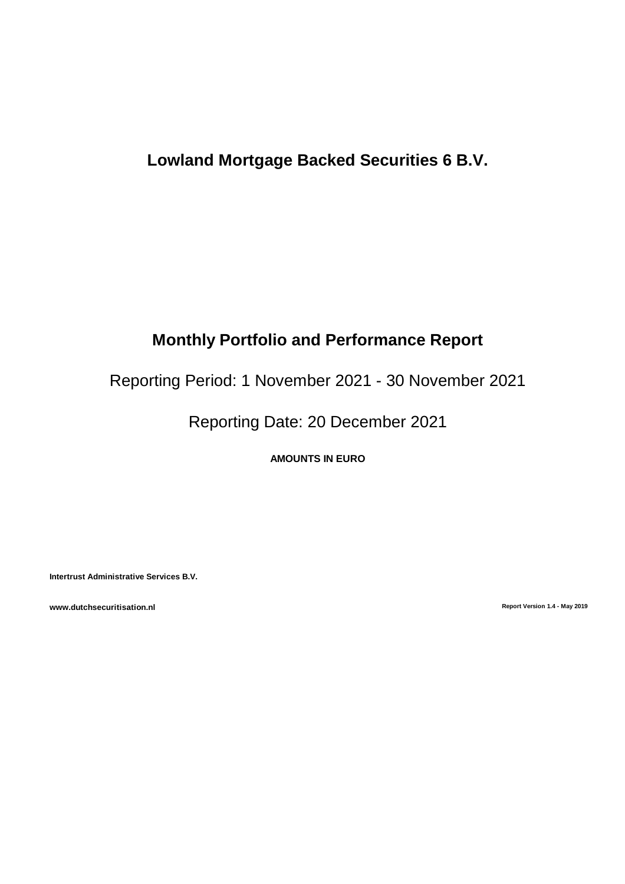# **Lowland Mortgage Backed Securities 6 B.V.**

# **Monthly Portfolio and Performance Report**

Reporting Period: 1 November 2021 - 30 November 2021

Reporting Date: 20 December 2021

**AMOUNTS IN EURO**

**Intertrust Administrative Services B.V.**

**www.dutchsecuritisation.nl Report Version 1.4 - May 2019**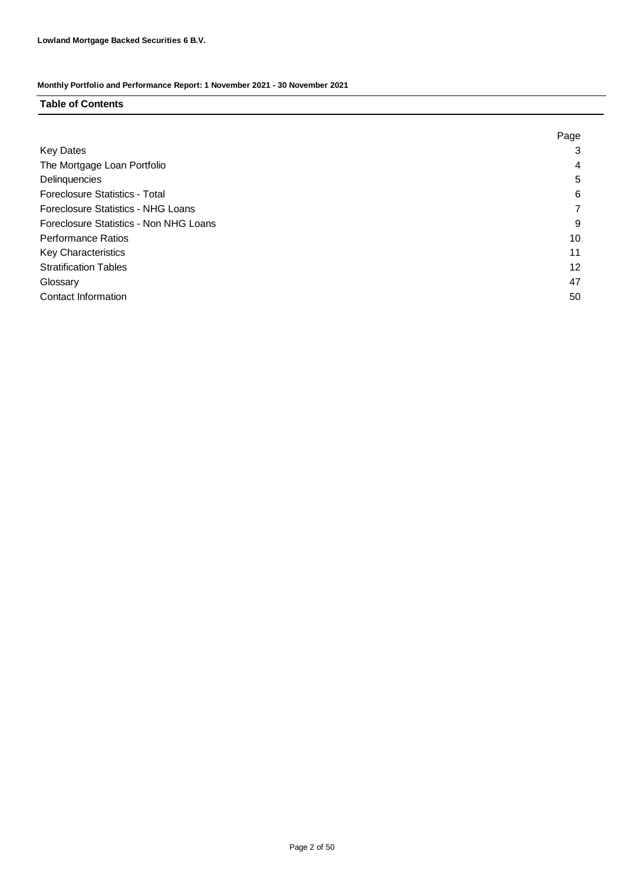### **Table of Contents**

|                                        | Page |
|----------------------------------------|------|
| <b>Key Dates</b>                       | 3    |
| The Mortgage Loan Portfolio            | 4    |
| Delinquencies                          | 5    |
| <b>Foreclosure Statistics - Total</b>  | 6    |
| Foreclosure Statistics - NHG Loans     |      |
| Foreclosure Statistics - Non NHG Loans | 9    |
| <b>Performance Ratios</b>              | 10   |
| <b>Key Characteristics</b>             | 11   |
| <b>Stratification Tables</b>           | 12   |
| Glossary                               | 47   |
| <b>Contact Information</b>             | 50   |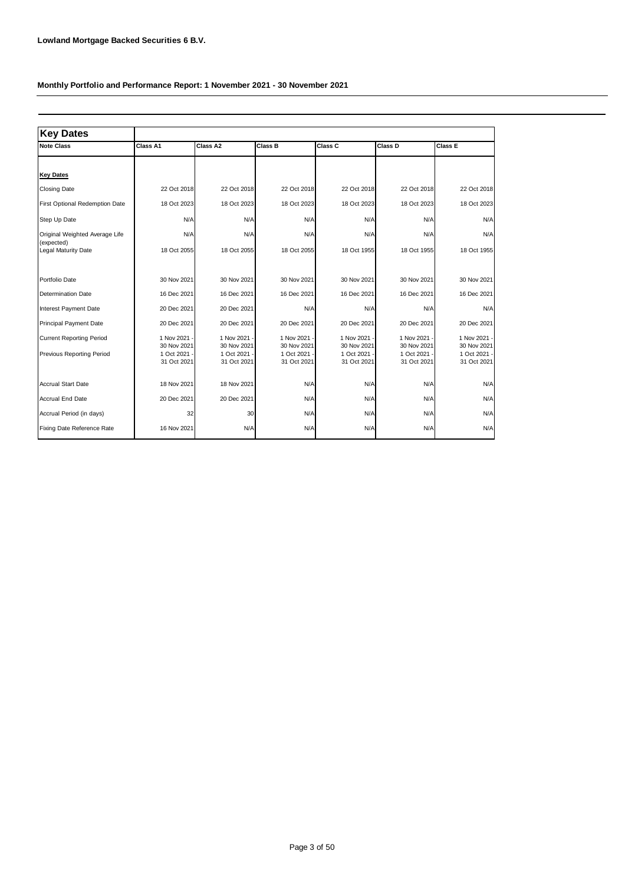| <b>Key Dates</b>                                             |                                                            |                                                        |                                                        |                                                        |                                                            |                                                            |
|--------------------------------------------------------------|------------------------------------------------------------|--------------------------------------------------------|--------------------------------------------------------|--------------------------------------------------------|------------------------------------------------------------|------------------------------------------------------------|
| <b>Note Class</b>                                            | Class A1                                                   | Class A2                                               | Class B                                                | Class C                                                | Class D                                                    | <b>Class E</b>                                             |
|                                                              |                                                            |                                                        |                                                        |                                                        |                                                            |                                                            |
| <b>Key Dates</b>                                             |                                                            |                                                        |                                                        |                                                        |                                                            |                                                            |
| <b>Closing Date</b>                                          | 22 Oct 2018                                                | 22 Oct 2018                                            | 22 Oct 2018                                            | 22 Oct 2018                                            | 22 Oct 2018                                                | 22 Oct 2018                                                |
| First Optional Redemption Date                               | 18 Oct 2023                                                | 18 Oct 2023                                            | 18 Oct 2023                                            | 18 Oct 2023                                            | 18 Oct 2023                                                | 18 Oct 2023                                                |
| Step Up Date                                                 | N/A                                                        | N/A                                                    | N/A                                                    | N/A                                                    | N/A                                                        | N/A                                                        |
| Original Weighted Average Life                               | N/A                                                        | N/A                                                    | N/A                                                    | N/A                                                    | N/A                                                        | N/A                                                        |
| (expected)<br>Legal Maturity Date                            | 18 Oct 2055                                                | 18 Oct 2055                                            | 18 Oct 2055                                            | 18 Oct 1955                                            | 18 Oct 1955                                                | 18 Oct 1955                                                |
| Portfolio Date                                               | 30 Nov 2021                                                | 30 Nov 2021                                            | 30 Nov 2021                                            | 30 Nov 2021                                            | 30 Nov 2021                                                | 30 Nov 2021                                                |
| <b>Determination Date</b>                                    | 16 Dec 2021                                                | 16 Dec 2021                                            | 16 Dec 2021                                            | 16 Dec 2021                                            | 16 Dec 2021                                                | 16 Dec 2021                                                |
| Interest Payment Date                                        | 20 Dec 2021                                                | 20 Dec 2021                                            | N/A                                                    | N/A                                                    | N/A                                                        | N/A                                                        |
| <b>Principal Payment Date</b>                                | 20 Dec 2021                                                | 20 Dec 2021                                            | 20 Dec 2021                                            | 20 Dec 2021                                            | 20 Dec 2021                                                | 20 Dec 2021                                                |
| <b>Current Reporting Period</b><br>Previous Reporting Period | 1 Nov 2021 -<br>30 Nov 2021<br>1 Oct 2021 ·<br>31 Oct 2021 | 1 Nov 2021<br>30 Nov 2021<br>1 Oct 2021<br>31 Oct 2021 | 1 Nov 2021<br>30 Nov 2021<br>1 Oct 2021<br>31 Oct 2021 | 1 Nov 2021<br>30 Nov 2021<br>1 Oct 2021<br>31 Oct 2021 | 1 Nov 2021 -<br>30 Nov 2021<br>1 Oct 2021 -<br>31 Oct 2021 | 1 Nov 2021 -<br>30 Nov 2021<br>1 Oct 2021 -<br>31 Oct 2021 |
| <b>Accrual Start Date</b>                                    | 18 Nov 2021                                                | 18 Nov 2021                                            | N/A                                                    | N/A                                                    | N/A                                                        | N/A                                                        |
| Accrual End Date                                             | 20 Dec 2021                                                | 20 Dec 2021                                            | N/A                                                    | N/A                                                    | N/A                                                        | N/A                                                        |
| Accrual Period (in days)                                     | 32                                                         | 30                                                     | N/A                                                    | N/A                                                    | N/A                                                        | N/A                                                        |
| Fixing Date Reference Rate                                   | 16 Nov 2021                                                | N/A                                                    | N/A                                                    | N/A                                                    | N/A                                                        | N/A                                                        |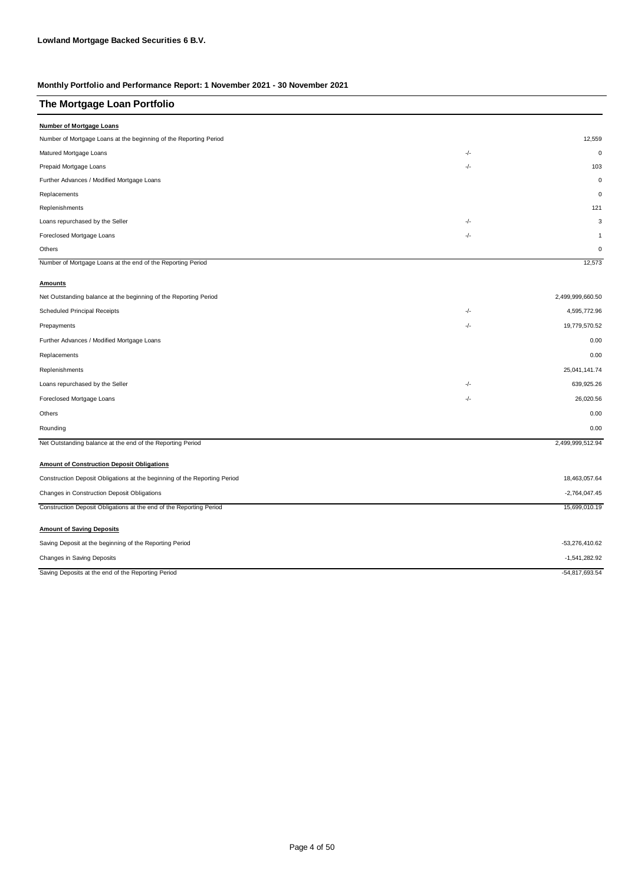| The Mortgage Loan Portfolio                                               |       |                  |
|---------------------------------------------------------------------------|-------|------------------|
| <b>Number of Mortgage Loans</b>                                           |       |                  |
| Number of Mortgage Loans at the beginning of the Reporting Period         |       | 12,559           |
| Matured Mortgage Loans                                                    | -/-   | $\mathbf 0$      |
| Prepaid Mortgage Loans                                                    | -/-   | 103              |
| Further Advances / Modified Mortgage Loans                                |       | $\mathbf 0$      |
| Replacements                                                              |       | $\mathbf 0$      |
| Replenishments                                                            |       | 121              |
| Loans repurchased by the Seller                                           | -/-   | 3                |
| Foreclosed Mortgage Loans                                                 | $-/-$ | $\overline{1}$   |
| Others                                                                    |       | $\mathbf 0$      |
| Number of Mortgage Loans at the end of the Reporting Period               |       | 12,573           |
| <b>Amounts</b>                                                            |       |                  |
| Net Outstanding balance at the beginning of the Reporting Period          |       | 2,499,999,660.50 |
| <b>Scheduled Principal Receipts</b>                                       | -/-   | 4,595,772.96     |
| Prepayments                                                               | -/-   | 19,779,570.52    |
| Further Advances / Modified Mortgage Loans                                |       | 0.00             |
| Replacements                                                              |       | 0.00             |
| Replenishments                                                            |       | 25,041,141.74    |
| Loans repurchased by the Seller                                           | -/-   | 639,925.26       |
| Foreclosed Mortgage Loans                                                 | $-/-$ | 26,020.56        |
| Others                                                                    |       | 0.00             |
| Rounding                                                                  |       | 0.00             |
| Net Outstanding balance at the end of the Reporting Period                |       | 2,499,999,512.94 |
| <b>Amount of Construction Deposit Obligations</b>                         |       |                  |
| Construction Deposit Obligations at the beginning of the Reporting Period |       | 18,463,057.64    |
| Changes in Construction Deposit Obligations                               |       | $-2,764,047.45$  |
| Construction Deposit Obligations at the end of the Reporting Period       |       | 15,699,010.19    |
| <b>Amount of Saving Deposits</b>                                          |       |                  |
| Saving Deposit at the beginning of the Reporting Period                   |       | $-53,276,410.62$ |
| Changes in Saving Deposits                                                |       | $-1,541,282.92$  |
| Saving Deposits at the end of the Reporting Period                        |       | $-54,817,693.54$ |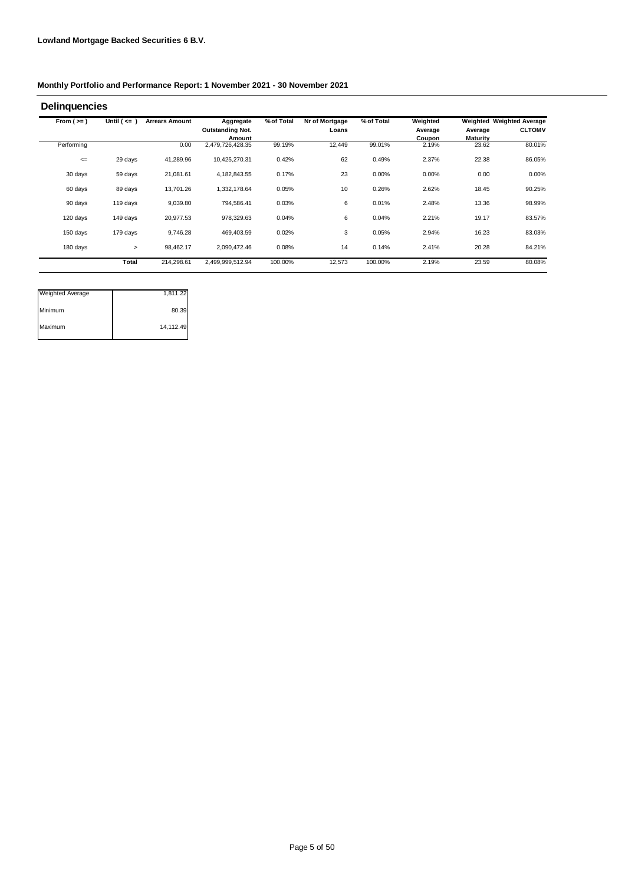| From $(>=)$ | Until ( <= | <b>Arrears Amount</b> | Aggregate                         | % of Total | Nr of Mortgage | % of Total | Weighted          |                            | Weighted Weighted Average |
|-------------|------------|-----------------------|-----------------------------------|------------|----------------|------------|-------------------|----------------------------|---------------------------|
|             |            |                       | <b>Outstanding Not.</b><br>Amount |            | Loans          |            | Average<br>Coupon | Average<br><b>Maturity</b> | <b>CLTOMV</b>             |
| Performing  |            | 0.00                  | 2,479,726,428.35                  | 99.19%     | 12,449         | 99.01%     | 2.19%             | 23.62                      | 80.01%                    |
| $\leq$      | 29 days    | 41,289.96             | 10,425,270.31                     | 0.42%      | 62             | 0.49%      | 2.37%             | 22.38                      | 86.05%                    |
| 30 days     | 59 days    | 21,081.61             | 4,182,843.55                      | 0.17%      | 23             | 0.00%      | 0.00%             | 0.00                       | 0.00%                     |
| 60 days     | 89 days    | 13,701.26             | 1,332,178.64                      | 0.05%      | 10             | 0.26%      | 2.62%             | 18.45                      | 90.25%                    |
| 90 days     | 119 days   | 9,039.80              | 794,586.41                        | 0.03%      | 6              | 0.01%      | 2.48%             | 13.36                      | 98.99%                    |
| 120 days    | 149 days   | 20,977.53             | 978,329.63                        | 0.04%      | 6              | 0.04%      | 2.21%             | 19.17                      | 83.57%                    |
| 150 days    | 179 days   | 9.746.28              | 469.403.59                        | 0.02%      | 3              | 0.05%      | 2.94%             | 16.23                      | 83.03%                    |
| 180 days    | $\geq$     | 98,462.17             | 2,090,472.46                      | 0.08%      | 14             | 0.14%      | 2.41%             | 20.28                      | 84.21%                    |
|             | Total      | 214,298.61            | 2,499,999,512.94                  | 100.00%    | 12,573         | 100.00%    | 2.19%             | 23.59                      | 80.08%                    |

| <b>Weighted Average</b> | 1,811.22  |
|-------------------------|-----------|
| Minimum                 | 80.39     |
| Maximum                 | 14,112.49 |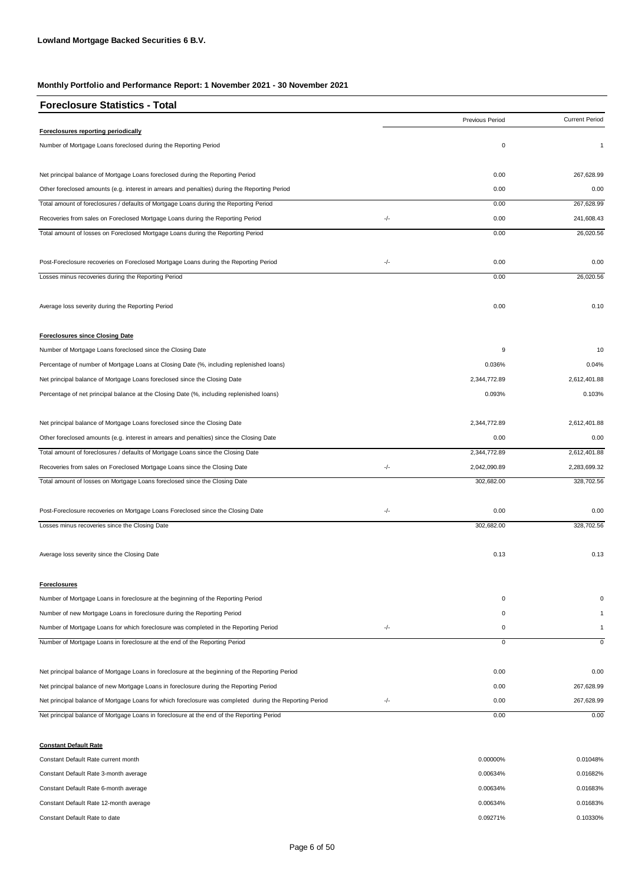| <b>Foreclosure Statistics - Total</b>                                                                   |       |                 |                       |
|---------------------------------------------------------------------------------------------------------|-------|-----------------|-----------------------|
|                                                                                                         |       | Previous Period | <b>Current Period</b> |
| Foreclosures reporting periodically                                                                     |       |                 |                       |
| Number of Mortgage Loans foreclosed during the Reporting Period                                         |       | $\mathsf 0$     | $\mathbf{1}$          |
| Net principal balance of Mortgage Loans foreclosed during the Reporting Period                          |       | 0.00            | 267,628.99            |
| Other foreclosed amounts (e.g. interest in arrears and penalties) during the Reporting Period           |       | 0.00            | 0.00                  |
| Total amount of foreclosures / defaults of Mortgage Loans during the Reporting Period                   |       | 0.00            | 267,628.99            |
| Recoveries from sales on Foreclosed Mortgage Loans during the Reporting Period                          | -/-   | 0.00            | 241,608.43            |
| Total amount of losses on Foreclosed Mortgage Loans during the Reporting Period                         |       | 0.00            | 26.020.56             |
| Post-Foreclosure recoveries on Foreclosed Mortgage Loans during the Reporting Period                    | -/-   | 0.00            | 0.00                  |
| Losses minus recoveries during the Reporting Period                                                     |       | 0.00            | 26,020.56             |
| Average loss severity during the Reporting Period                                                       |       | 0.00            | 0.10                  |
| <b>Foreclosures since Closing Date</b>                                                                  |       |                 |                       |
| Number of Mortgage Loans foreclosed since the Closing Date                                              |       | 9               | 10                    |
| Percentage of number of Mortgage Loans at Closing Date (%, including replenished loans)                 |       | 0.036%          | 0.04%                 |
| Net principal balance of Mortgage Loans foreclosed since the Closing Date                               |       | 2,344,772.89    | 2,612,401.88          |
| Percentage of net principal balance at the Closing Date (%, including replenished loans)                |       | 0.093%          | 0.103%                |
| Net principal balance of Mortgage Loans foreclosed since the Closing Date                               |       | 2,344,772.89    | 2,612,401.88          |
| Other foreclosed amounts (e.g. interest in arrears and penalties) since the Closing Date                |       | 0.00            | 0.00                  |
| Total amount of foreclosures / defaults of Mortgage Loans since the Closing Date                        |       | 2,344,772.89    | 2,612,401.88          |
| Recoveries from sales on Foreclosed Mortgage Loans since the Closing Date                               | $-/-$ | 2,042,090.89    | 2,283,699.32          |
| Total amount of losses on Mortgage Loans foreclosed since the Closing Date                              |       | 302,682.00      | 328,702.56            |
| Post-Foreclosure recoveries on Mortgage Loans Foreclosed since the Closing Date                         | -/-   | 0.00            | 0.00                  |
| Losses minus recoveries since the Closing Date                                                          |       | 302,682.00      | 328,702.56            |
| Average loss severity since the Closing Date                                                            |       | 0.13            | 0.13                  |
| <b>Foreclosures</b>                                                                                     |       |                 |                       |
| Number of Mortgage Loans in foreclosure at the beginning of the Reporting Period                        |       | 0               | $\Omega$              |
| Number of new Mortgage Loans in foreclosure during the Reporting Period                                 |       | 0               | -1                    |
| Number of Mortgage Loans for which foreclosure was completed in the Reporting Period                    | -/-   | 0               | $\mathbf{1}$          |
| Number of Mortgage Loans in foreclosure at the end of the Reporting Period                              |       | $\mathsf 0$     | $\mathbf 0$           |
| Net principal balance of Mortgage Loans in foreclosure at the beginning of the Reporting Period         |       | 0.00            | 0.00                  |
| Net principal balance of new Mortgage Loans in foreclosure during the Reporting Period                  |       | 0.00            | 267,628.99            |
| Net principal balance of Mortgage Loans for which foreclosure was completed during the Reporting Period | -/-   | 0.00            | 267,628.99            |
| Net principal balance of Mortgage Loans in foreclosure at the end of the Reporting Period               |       | 0.00            | 0.00                  |
| <b>Constant Default Rate</b>                                                                            |       |                 |                       |
| Constant Default Rate current month                                                                     |       | 0.00000%        | 0.01048%              |

| Constant Default Rate 3-month average  | 0.00634% | 0.01682% |
|----------------------------------------|----------|----------|
| Constant Default Rate 6-month average  | 0.00634% | 0.01683% |
| Constant Default Rate 12-month average | 0.00634% | 0.01683% |
| Constant Default Rate to date          | 0.09271% | 0.10330% |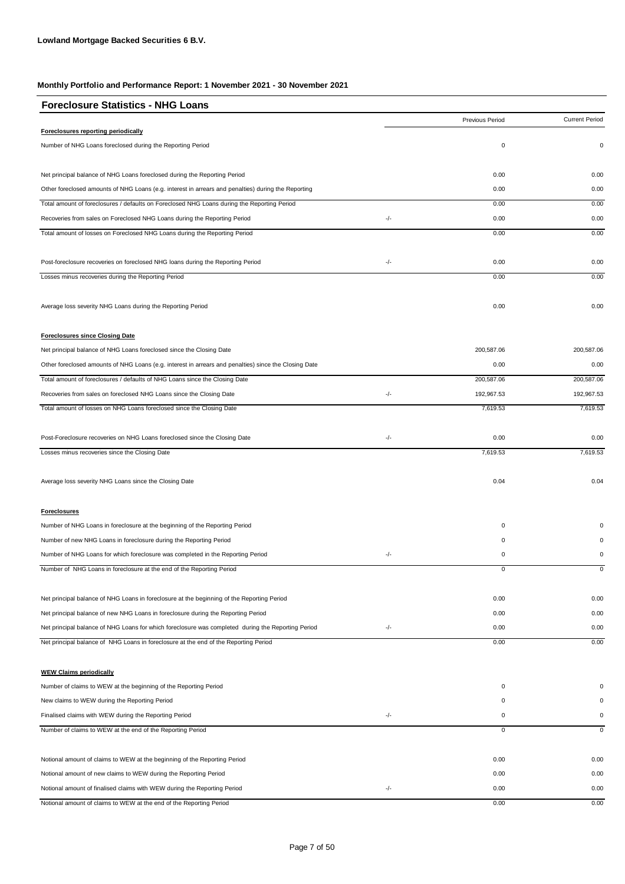| <b>Foreclosure Statistics - NHG Loans</b>                                                             |     |                 |                       |
|-------------------------------------------------------------------------------------------------------|-----|-----------------|-----------------------|
|                                                                                                       |     | Previous Period | <b>Current Period</b> |
| Foreclosures reporting periodically                                                                   |     |                 |                       |
| Number of NHG Loans foreclosed during the Reporting Period                                            |     | 0               | $\mathbf 0$           |
| Net principal balance of NHG Loans foreclosed during the Reporting Period                             |     | 0.00            | 0.00                  |
| Other foreclosed amounts of NHG Loans (e.g. interest in arrears and penalties) during the Reporting   |     | 0.00            | 0.00                  |
| Total amount of foreclosures / defaults on Foreclosed NHG Loans during the Reporting Period           |     | 0.00            | 0.00                  |
| Recoveries from sales on Foreclosed NHG Loans during the Reporting Period                             | -/- | 0.00            | 0.00                  |
| Total amount of losses on Foreclosed NHG Loans during the Reporting Period                            |     | 0.00            | 0.00                  |
| Post-foreclosure recoveries on foreclosed NHG loans during the Reporting Period                       | -/- | 0.00            | 0.00                  |
| Losses minus recoveries during the Reporting Period                                                   |     | 0.00            | 0.00                  |
| Average loss severity NHG Loans during the Reporting Period                                           |     | 0.00            | 0.00                  |
| <b>Foreclosures since Closing Date</b>                                                                |     |                 |                       |
| Net principal balance of NHG Loans foreclosed since the Closing Date                                  |     | 200,587.06      | 200,587.06            |
| Other foreclosed amounts of NHG Loans (e.g. interest in arrears and penalties) since the Closing Date |     | 0.00            | 0.00                  |
| Total amount of foreclosures / defaults of NHG Loans since the Closing Date                           |     | 200,587.06      | 200,587.06            |
| Recoveries from sales on foreclosed NHG Loans since the Closing Date                                  | -/- | 192,967.53      | 192,967.53            |
| Total amount of losses on NHG Loans foreclosed since the Closing Date                                 |     | 7,619.53        | 7,619.53              |
| Post-Foreclosure recoveries on NHG Loans foreclosed since the Closing Date                            | -/- | 0.00            | 0.00                  |
| Losses minus recoveries since the Closing Date                                                        |     | 7,619.53        | 7,619.53              |
| Average loss severity NHG Loans since the Closing Date                                                |     | 0.04            | 0.04                  |
| <b>Foreclosures</b>                                                                                   |     |                 |                       |
| Number of NHG Loans in foreclosure at the beginning of the Reporting Period                           |     | 0               |                       |
| Number of new NHG Loans in foreclosure during the Reporting Period                                    |     | 0               |                       |
| Number of NHG Loans for which foreclosure was completed in the Reporting Period                       | -/- | 0               | 0                     |
| Number of NHG Loans in foreclosure at the end of the Reporting Period                                 |     | 0               | 0                     |
| Net principal balance of NHG Loans in foreclosure at the beginning of the Reporting Period            |     | 0.00            | 0.00                  |
| Net principal balance of new NHG Loans in foreclosure during the Reporting Period                     |     | 0.00            | 0.00                  |
| Net principal balance of NHG Loans for which foreclosure was completed during the Reporting Period    | -/- | 0.00            | 0.00                  |
| Net principal balance of NHG Loans in foreclosure at the end of the Reporting Period                  |     | 0.00            | 0.00                  |
| <b>WEW Claims periodically</b>                                                                        |     |                 |                       |
| Number of claims to WEW at the beginning of the Reporting Period                                      |     | 0               | $\Omega$              |
| New claims to WEW during the Reporting Period                                                         |     | 0               |                       |
| Finalised claims with WEW during the Reporting Period                                                 | -/- | 0               | 0                     |
| Number of claims to WEW at the end of the Reporting Period                                            |     | $\overline{0}$  | 0                     |
| Notional amount of claims to WEW at the beginning of the Reporting Period                             |     | 0.00            | 0.00                  |
| Notional amount of new claims to WEW during the Reporting Period                                      |     | 0.00            | 0.00                  |
| Notional amount of finalised claims with WEW during the Reporting Period                              | -/- | 0.00            | 0.00                  |
| Notional amount of claims to WEW at the end of the Reporting Period                                   |     | 0.00            | 0.00                  |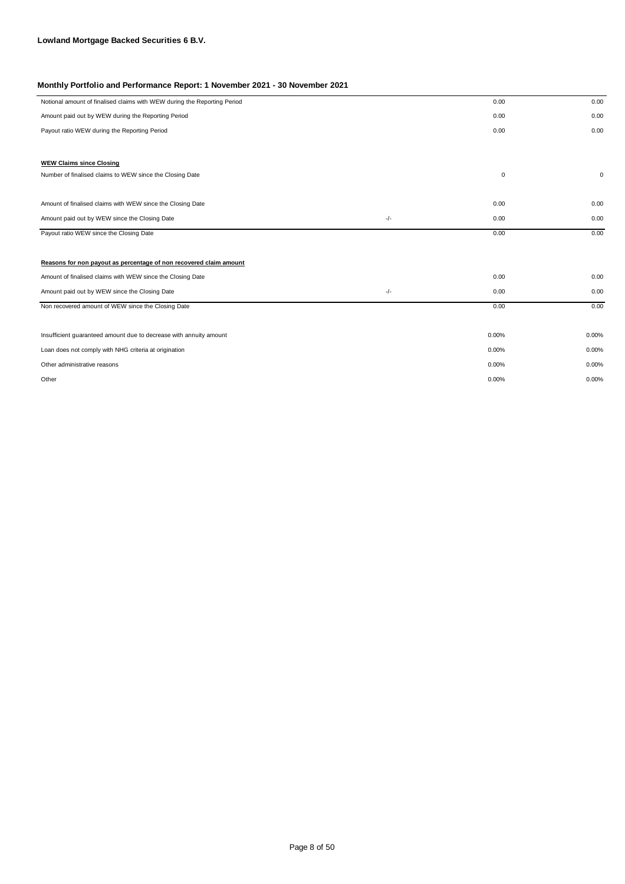| Notional amount of finalised claims with WEW during the Reporting Period |       | 0.00        | 0.00        |
|--------------------------------------------------------------------------|-------|-------------|-------------|
| Amount paid out by WEW during the Reporting Period                       |       | 0.00        | 0.00        |
| Payout ratio WEW during the Reporting Period                             |       | 0.00        | 0.00        |
|                                                                          |       |             |             |
| <b>WEW Claims since Closing</b>                                          |       |             |             |
| Number of finalised claims to WEW since the Closing Date                 |       | $\mathbf 0$ | $\mathbf 0$ |
|                                                                          |       |             |             |
| Amount of finalised claims with WEW since the Closing Date               |       | 0.00        | 0.00        |
| Amount paid out by WEW since the Closing Date                            | -/-   | 0.00        | 0.00        |
| Payout ratio WEW since the Closing Date                                  |       | 0.00        | 0.00        |
|                                                                          |       |             |             |
| Reasons for non payout as percentage of non recovered claim amount       |       |             |             |
| Amount of finalised claims with WEW since the Closing Date               |       | 0.00        | 0.00        |
| Amount paid out by WEW since the Closing Date                            | $-/-$ | 0.00        | 0.00        |
| Non recovered amount of WEW since the Closing Date                       |       | 0.00        | 0.00        |
|                                                                          |       |             |             |
| Insufficient guaranteed amount due to decrease with annuity amount       |       | 0.00%       | 0.00%       |
| Loan does not comply with NHG criteria at origination                    |       | 0.00%       | 0.00%       |
| Other administrative reasons                                             |       | 0.00%       | 0.00%       |
| Other                                                                    |       | 0.00%       | 0.00%       |
|                                                                          |       |             |             |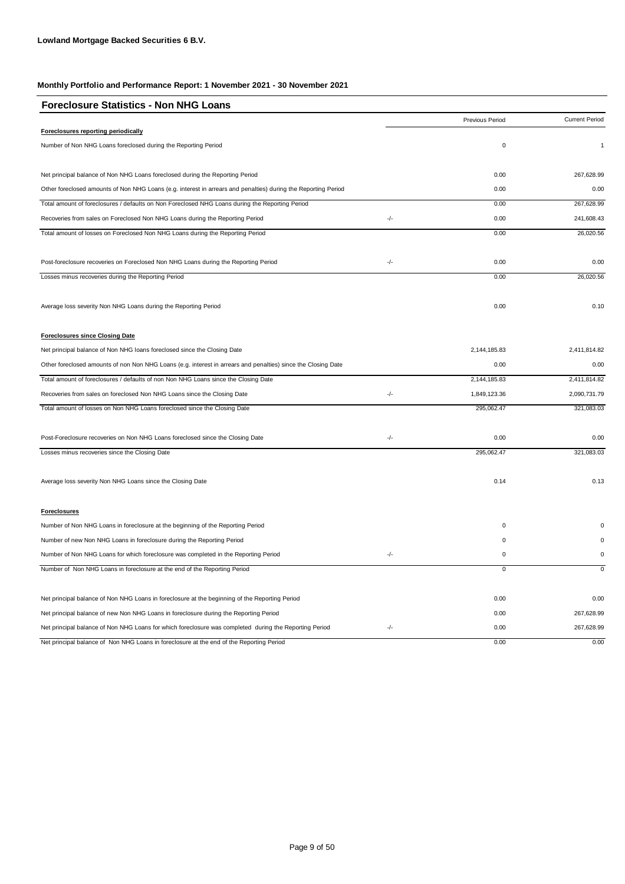| <b>Foreclosure Statistics - Non NHG Loans</b>                                                                  |       |                 |                       |
|----------------------------------------------------------------------------------------------------------------|-------|-----------------|-----------------------|
|                                                                                                                |       | Previous Period | <b>Current Period</b> |
| Foreclosures reporting periodically                                                                            |       |                 |                       |
| Number of Non NHG Loans foreclosed during the Reporting Period                                                 |       | $\mathbf 0$     | $\mathbf{1}$          |
| Net principal balance of Non NHG Loans foreclosed during the Reporting Period                                  |       | 0.00            | 267,628.99            |
| Other foreclosed amounts of Non NHG Loans (e.g. interest in arrears and penalties) during the Reporting Period |       | 0.00            | 0.00                  |
| Total amount of foreclosures / defaults on Non Foreclosed NHG Loans during the Reporting Period                |       | 0.00            | 267,628.99            |
| Recoveries from sales on Foreclosed Non NHG Loans during the Reporting Period                                  | -/-   | 0.00            | 241,608.43            |
| Total amount of losses on Foreclosed Non NHG Loans during the Reporting Period                                 |       | 0.00            | 26,020.56             |
| Post-foreclosure recoveries on Foreclosed Non NHG Loans during the Reporting Period                            | $-/-$ | 0.00            | 0.00                  |
| Losses minus recoveries during the Reporting Period                                                            |       | 0.00            | 26,020.56             |
| Average loss severity Non NHG Loans during the Reporting Period                                                |       | 0.00            | 0.10                  |
| <b>Foreclosures since Closing Date</b>                                                                         |       |                 |                       |
| Net principal balance of Non NHG loans foreclosed since the Closing Date                                       |       | 2,144,185.83    | 2,411,814.82          |
| Other foreclosed amounts of non Non NHG Loans (e.g. interest in arrears and penalties) since the Closing Date  |       | 0.00            | 0.00                  |
| Total amount of foreclosures / defaults of non Non NHG Loans since the Closing Date                            |       | 2,144,185.83    | 2,411,814.82          |
| Recoveries from sales on foreclosed Non NHG Loans since the Closing Date                                       | -/-   | 1,849,123.36    | 2,090,731.79          |
| Total amount of losses on Non NHG Loans foreclosed since the Closing Date                                      |       | 295,062.47      | 321,083.03            |
| Post-Foreclosure recoveries on Non NHG Loans foreclosed since the Closing Date                                 | -/-   | 0.00            | 0.00                  |
| Losses minus recoveries since the Closing Date                                                                 |       | 295,062.47      | 321,083.03            |
| Average loss severity Non NHG Loans since the Closing Date                                                     |       | 0.14            | 0.13                  |
| <b>Foreclosures</b>                                                                                            |       |                 |                       |
| Number of Non NHG Loans in foreclosure at the beginning of the Reporting Period                                |       | 0               |                       |
| Number of new Non NHG Loans in foreclosure during the Reporting Period                                         |       | 0               |                       |
| Number of Non NHG Loans for which foreclosure was completed in the Reporting Period                            | $-/-$ | 0               | $\mathbf 0$           |
| Number of Non NHG Loans in foreclosure at the end of the Reporting Period                                      |       | $\mathbf 0$     | $\mathbf 0$           |
| Net principal balance of Non NHG Loans in foreclosure at the beginning of the Reporting Period                 |       | 0.00            | 0.00                  |
| Net principal balance of new Non NHG Loans in foreclosure during the Reporting Period                          |       | 0.00            | 267,628.99            |
| Net principal balance of Non NHG Loans for which foreclosure was completed during the Reporting Period         | -/-   | 0.00            | 267,628.99            |
| Net principal balance of Non NHG Loans in foreclosure at the end of the Reporting Period                       |       | 0.00            | 0.00                  |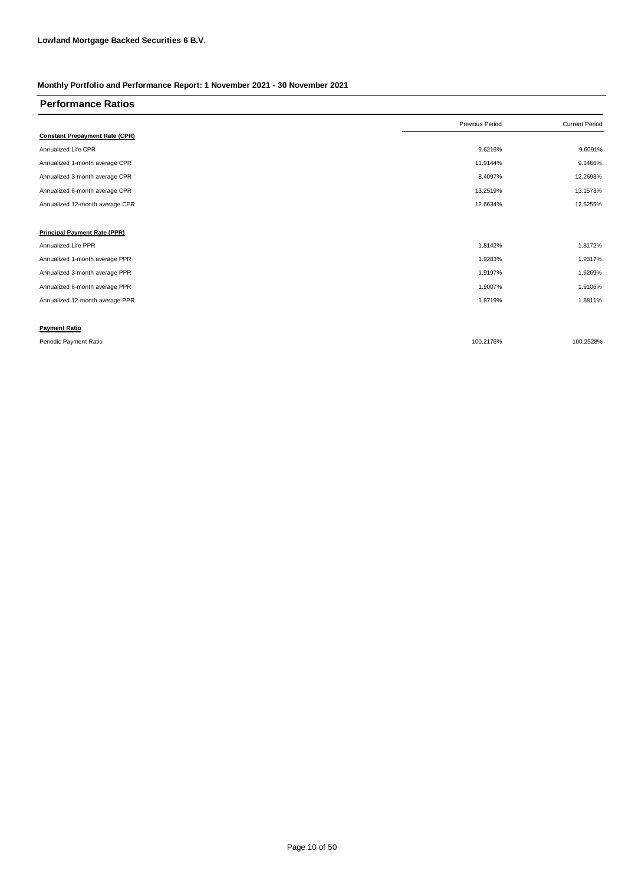| <b>Performance Ratios</b>             |                 |                       |
|---------------------------------------|-----------------|-----------------------|
|                                       | Previous Period | <b>Current Period</b> |
| <b>Constant Prepayment Rate (CPR)</b> |                 |                       |
| Annualized Life CPR                   | 9.6216%         | 9.6091%               |
| Annualized 1-month average CPR        | 11.9144%        | 9.1466%               |
| Annualized 3-month average CPR        | 8.4097%         | 12.2693%              |
| Annualized 6-month average CPR        | 13.2519%        | 13.1573%              |
| Annualized 12-month average CPR       | 12.6634%        | 12.5255%              |
|                                       |                 |                       |
| <b>Principal Payment Rate (PPR)</b>   |                 |                       |
| Annualized Life PPR                   | 1.8142%         | 1.8172%               |
| Annualized 1-month average PPR        | 1.9283%         | 1.9317%               |
| Annualized 3-month average PPR        | 1.9197%         | 1.9269%               |
| Annualized 6-month average PPR        | 1.9007%         | 1.9106%               |
| Annualized 12-month average PPR       | 1.8719%         | 1.8811%               |
|                                       |                 |                       |
| <b>Payment Ratio</b>                  |                 |                       |
| Periodic Payment Ratio                | 100.2176%       | 100.2528%             |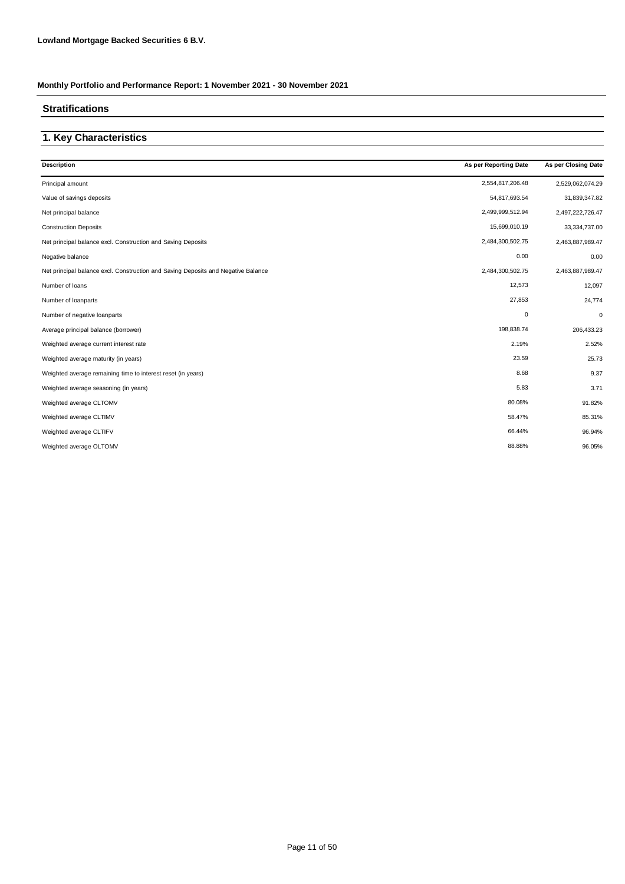### **Stratifications**

### **1. Key Characteristics**

| <b>Description</b>                                                                | As per Reporting Date | As per Closing Date |
|-----------------------------------------------------------------------------------|-----------------------|---------------------|
| Principal amount                                                                  | 2,554,817,206.48      | 2,529,062,074.29    |
| Value of savings deposits                                                         | 54,817,693.54         | 31,839,347.82       |
| Net principal balance                                                             | 2,499,999,512.94      | 2,497,222,726.47    |
| <b>Construction Deposits</b>                                                      | 15,699,010.19         | 33, 334, 737.00     |
| Net principal balance excl. Construction and Saving Deposits                      | 2,484,300,502.75      | 2,463,887,989.47    |
| Negative balance                                                                  | 0.00                  | 0.00                |
| Net principal balance excl. Construction and Saving Deposits and Negative Balance | 2,484,300,502.75      | 2,463,887,989.47    |
| Number of loans                                                                   | 12,573                | 12,097              |
| Number of loanparts                                                               | 27,853                | 24,774              |
| Number of negative loanparts                                                      | $\pmb{0}$             | 0                   |
| Average principal balance (borrower)                                              | 198,838.74            | 206,433.23          |
| Weighted average current interest rate                                            | 2.19%                 | 2.52%               |
| Weighted average maturity (in years)                                              | 23.59                 | 25.73               |
| Weighted average remaining time to interest reset (in years)                      | 8.68                  | 9.37                |
| Weighted average seasoning (in years)                                             | 5.83                  | 3.71                |
| Weighted average CLTOMV                                                           | 80.08%                | 91.82%              |
| Weighted average CLTIMV                                                           | 58.47%                | 85.31%              |
| Weighted average CLTIFV                                                           | 66.44%                | 96.94%              |
| Weighted average OLTOMV                                                           | 88.88%                | 96.05%              |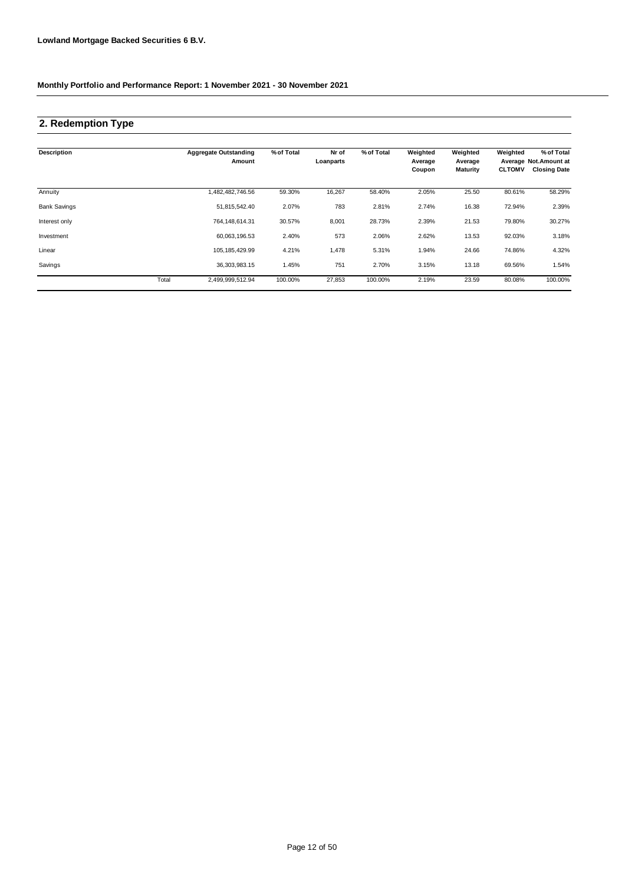## **2. Redemption Type**

| <b>Description</b>  |       | <b>Aggregate Outstanding</b><br>Amount | % of Total | Nr of<br>Loanparts | % of Total | Weighted<br>Average<br>Coupon | Weighted<br>Average<br><b>Maturity</b> | Weighted<br><b>CLTOMV</b> | % of Total<br>Average Not.Amount at<br><b>Closing Date</b> |
|---------------------|-------|----------------------------------------|------------|--------------------|------------|-------------------------------|----------------------------------------|---------------------------|------------------------------------------------------------|
| Annuity             |       | ,482,482,746.56                        | 59.30%     | 16,267             | 58.40%     | 2.05%                         | 25.50                                  | 80.61%                    | 58.29%                                                     |
| <b>Bank Savings</b> |       | 51,815,542.40                          | 2.07%      | 783                | 2.81%      | 2.74%                         | 16.38                                  | 72.94%                    | 2.39%                                                      |
| Interest only       |       | 764, 148, 614. 31                      | 30.57%     | 8,001              | 28.73%     | 2.39%                         | 21.53                                  | 79.80%                    | 30.27%                                                     |
| Investment          |       | 60,063,196.53                          | 2.40%      | 573                | 2.06%      | 2.62%                         | 13.53                                  | 92.03%                    | 3.18%                                                      |
| Linear              |       | 105, 185, 429.99                       | 4.21%      | 1,478              | 5.31%      | 1.94%                         | 24.66                                  | 74.86%                    | 4.32%                                                      |
| Savings             |       | 36.303.983.15                          | 1.45%      | 751                | 2.70%      | 3.15%                         | 13.18                                  | 69.56%                    | 1.54%                                                      |
|                     | Total | 2,499,999,512.94                       | 100.00%    | 27,853             | 100.00%    | 2.19%                         | 23.59                                  | 80.08%                    | 100.00%                                                    |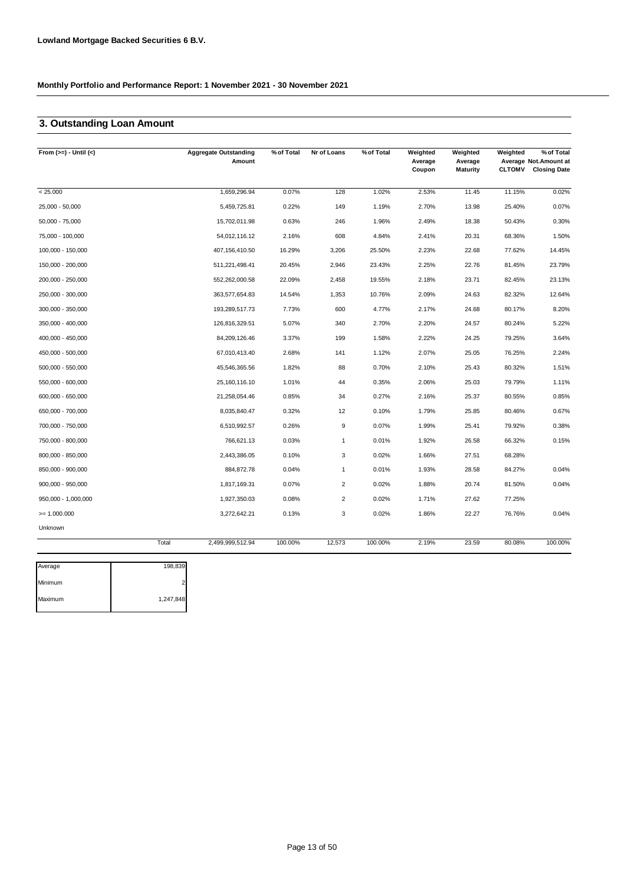### **3. Outstanding Loan Amount**

| From $(>=) -$ Until $(<)$ |       | <b>Aggregate Outstanding</b><br>Amount | % of Total | Nr of Loans      | % of Total | Weighted<br>Average<br>Coupon | Weighted<br>Average<br>Maturity | Weighted<br><b>CLTOMV</b> | % of Total<br>Average Not.Amount at<br><b>Closing Date</b> |
|---------------------------|-------|----------------------------------------|------------|------------------|------------|-------------------------------|---------------------------------|---------------------------|------------------------------------------------------------|
| < 25.000                  |       | 1,659,296.94                           | 0.07%      | 128              | 1.02%      | 2.53%                         | 11.45                           | 11.15%                    | 0.02%                                                      |
| 25,000 - 50,000           |       | 5,459,725.81                           | 0.22%      | 149              | 1.19%      | 2.70%                         | 13.98                           | 25.40%                    | 0.07%                                                      |
| $50,000 - 75,000$         |       | 15,702,011.98                          | 0.63%      | 246              | 1.96%      | 2.49%                         | 18.38                           | 50.43%                    | 0.30%                                                      |
| 75,000 - 100,000          |       | 54,012,116.12                          | 2.16%      | 608              | 4.84%      | 2.41%                         | 20.31                           | 68.36%                    | 1.50%                                                      |
| 100,000 - 150,000         |       | 407,156,410.50                         | 16.29%     | 3,206            | 25.50%     | 2.23%                         | 22.68                           | 77.62%                    | 14.45%                                                     |
| 150,000 - 200,000         |       | 511,221,498.41                         | 20.45%     | 2,946            | 23.43%     | 2.25%                         | 22.76                           | 81.45%                    | 23.79%                                                     |
| 200,000 - 250,000         |       | 552,262,000.58                         | 22.09%     | 2,458            | 19.55%     | 2.18%                         | 23.71                           | 82.45%                    | 23.13%                                                     |
| 250,000 - 300,000         |       | 363,577,654.83                         | 14.54%     | 1,353            | 10.76%     | 2.09%                         | 24.63                           | 82.32%                    | 12.64%                                                     |
| 300,000 - 350,000         |       | 193,289,517.73                         | 7.73%      | 600              | 4.77%      | 2.17%                         | 24.68                           | 80.17%                    | 8.20%                                                      |
| 350,000 - 400,000         |       | 126,816,329.51                         | 5.07%      | 340              | 2.70%      | 2.20%                         | 24.57                           | 80.24%                    | 5.22%                                                      |
| 400,000 - 450,000         |       | 84,209,126.46                          | 3.37%      | 199              | 1.58%      | 2.22%                         | 24.25                           | 79.25%                    | 3.64%                                                      |
| 450,000 - 500,000         |       | 67,010,413.40                          | 2.68%      | 141              | 1.12%      | 2.07%                         | 25.05                           | 76.25%                    | 2.24%                                                      |
| 500,000 - 550,000         |       | 45,546,365.56                          | 1.82%      | 88               | 0.70%      | 2.10%                         | 25.43                           | 80.32%                    | 1.51%                                                      |
| 550,000 - 600,000         |       | 25,160,116.10                          | 1.01%      | 44               | 0.35%      | 2.06%                         | 25.03                           | 79.79%                    | 1.11%                                                      |
| 600,000 - 650,000         |       | 21,258,054.46                          | 0.85%      | 34               | 0.27%      | 2.16%                         | 25.37                           | 80.55%                    | 0.85%                                                      |
| 650,000 - 700,000         |       | 8,035,840.47                           | 0.32%      | 12               | 0.10%      | 1.79%                         | 25.85                           | 80.46%                    | 0.67%                                                      |
| 700,000 - 750,000         |       | 6,510,992.57                           | 0.26%      | $\boldsymbol{9}$ | 0.07%      | 1.99%                         | 25.41                           | 79.92%                    | 0.38%                                                      |
| 750,000 - 800,000         |       | 766,621.13                             | 0.03%      | $\mathbf{1}$     | 0.01%      | 1.92%                         | 26.58                           | 66.32%                    | 0.15%                                                      |
| 800,000 - 850,000         |       | 2,443,386.05                           | 0.10%      | 3                | 0.02%      | 1.66%                         | 27.51                           | 68.28%                    |                                                            |
| 850,000 - 900,000         |       | 884, 872. 78                           | 0.04%      | $\mathbf{1}$     | 0.01%      | 1.93%                         | 28.58                           | 84.27%                    | 0.04%                                                      |
| $900,000 - 950,000$       |       | 1,817,169.31                           | 0.07%      | $\overline{2}$   | 0.02%      | 1.88%                         | 20.74                           | 81.50%                    | 0.04%                                                      |
| 950,000 - 1,000,000       |       | 1,927,350.03                           | 0.08%      | $\overline{2}$   | 0.02%      | 1.71%                         | 27.62                           | 77.25%                    |                                                            |
| $>= 1.000.000$            |       | 3,272,642.21                           | 0.13%      | 3                | 0.02%      | 1.86%                         | 22.27                           | 76.76%                    | 0.04%                                                      |
| Unknown                   |       |                                        |            |                  |            |                               |                                 |                           |                                                            |
|                           | Total | 2,499,999,512.94                       | 100.00%    | 12,573           | 100.00%    | 2.19%                         | 23.59                           | 80.08%                    | 100.00%                                                    |

| Average | 198,839   |
|---------|-----------|
| Minimum |           |
| Maximum | 1,247,848 |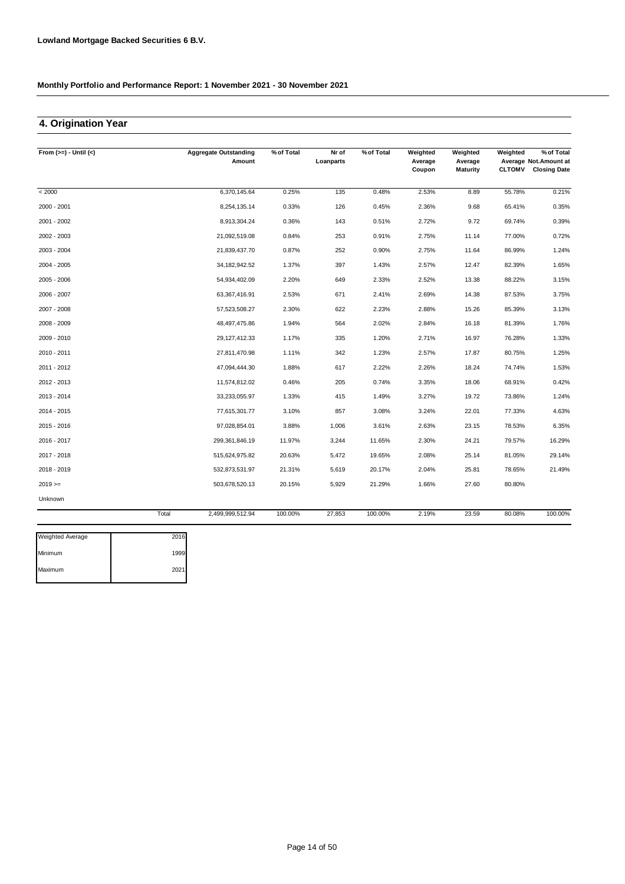### **4. Origination Year**

| From $(>=) -$ Until $(<)$ |       | <b>Aggregate Outstanding</b><br>Amount | % of Total | Nr of<br>Loanparts | % of Total | Weighted<br>Average | Weighted<br>Average | Weighted      | % of Total<br>Average Not. Amount at |
|---------------------------|-------|----------------------------------------|------------|--------------------|------------|---------------------|---------------------|---------------|--------------------------------------|
|                           |       |                                        |            |                    |            | Coupon              | <b>Maturity</b>     | <b>CLTOMV</b> | <b>Closing Date</b>                  |
| < 2000                    |       | 6,370,145.64                           | 0.25%      | 135                | 0.48%      | 2.53%               | 8.89                | 55.78%        | 0.21%                                |
| 2000 - 2001               |       | 8,254,135.14                           | 0.33%      | 126                | 0.45%      | 2.36%               | 9.68                | 65.41%        | 0.35%                                |
| 2001 - 2002               |       | 8,913,304.24                           | 0.36%      | 143                | 0.51%      | 2.72%               | 9.72                | 69.74%        | 0.39%                                |
| 2002 - 2003               |       | 21,092,519.08                          | 0.84%      | 253                | 0.91%      | 2.75%               | 11.14               | 77.00%        | 0.72%                                |
| 2003 - 2004               |       | 21,839,437.70                          | 0.87%      | 252                | 0.90%      | 2.75%               | 11.64               | 86.99%        | 1.24%                                |
| 2004 - 2005               |       | 34,182,942.52                          | 1.37%      | 397                | 1.43%      | 2.57%               | 12.47               | 82.39%        | 1.65%                                |
| 2005 - 2006               |       | 54,934,402.09                          | 2.20%      | 649                | 2.33%      | 2.52%               | 13.38               | 88.22%        | 3.15%                                |
| 2006 - 2007               |       | 63,367,416.91                          | 2.53%      | 671                | 2.41%      | 2.69%               | 14.38               | 87.53%        | 3.75%                                |
| 2007 - 2008               |       | 57,523,508.27                          | 2.30%      | 622                | 2.23%      | 2.88%               | 15.26               | 85.39%        | 3.13%                                |
| 2008 - 2009               |       | 48,497,475.86                          | 1.94%      | 564                | 2.02%      | 2.84%               | 16.18               | 81.39%        | 1.76%                                |
| 2009 - 2010               |       | 29,127,412.33                          | 1.17%      | 335                | 1.20%      | 2.71%               | 16.97               | 76.28%        | 1.33%                                |
| 2010 - 2011               |       | 27,811,470.98                          | 1.11%      | 342                | 1.23%      | 2.57%               | 17.87               | 80.75%        | 1.25%                                |
| 2011 - 2012               |       | 47,094,444.30                          | 1.88%      | 617                | 2.22%      | 2.26%               | 18.24               | 74.74%        | 1.53%                                |
| 2012 - 2013               |       | 11,574,812.02                          | 0.46%      | 205                | 0.74%      | 3.35%               | 18.06               | 68.91%        | 0.42%                                |
| 2013 - 2014               |       | 33,233,055.97                          | 1.33%      | 415                | 1.49%      | 3.27%               | 19.72               | 73.86%        | 1.24%                                |
| 2014 - 2015               |       | 77,615,301.77                          | 3.10%      | 857                | 3.08%      | 3.24%               | 22.01               | 77.33%        | 4.63%                                |
| 2015 - 2016               |       | 97,028,854.01                          | 3.88%      | 1,006              | 3.61%      | 2.63%               | 23.15               | 78.53%        | 6.35%                                |
| 2016 - 2017               |       | 299,361,846.19                         | 11.97%     | 3,244              | 11.65%     | 2.30%               | 24.21               | 79.57%        | 16.29%                               |
| 2017 - 2018               |       | 515,624,975.82                         | 20.63%     | 5,472              | 19.65%     | 2.08%               | 25.14               | 81.05%        | 29.14%                               |
| 2018 - 2019               |       | 532,873,531.97                         | 21.31%     | 5,619              | 20.17%     | 2.04%               | 25.81               | 78.65%        | 21.49%                               |
| $2019 =$                  |       | 503,678,520.13                         | 20.15%     | 5,929              | 21.29%     | 1.66%               | 27.60               | 80.80%        |                                      |
| Unknown                   |       |                                        |            |                    |            |                     |                     |               |                                      |
|                           | Total | 2.499.999.512.94                       | 100.00%    | 27.853             | 100.00%    | 2.19%               | 23.59               | 80.08%        | 100.00%                              |

| <b>Weighted Average</b> | 2016 |
|-------------------------|------|
| Minimum                 | 1999 |
| Maximum                 | 2021 |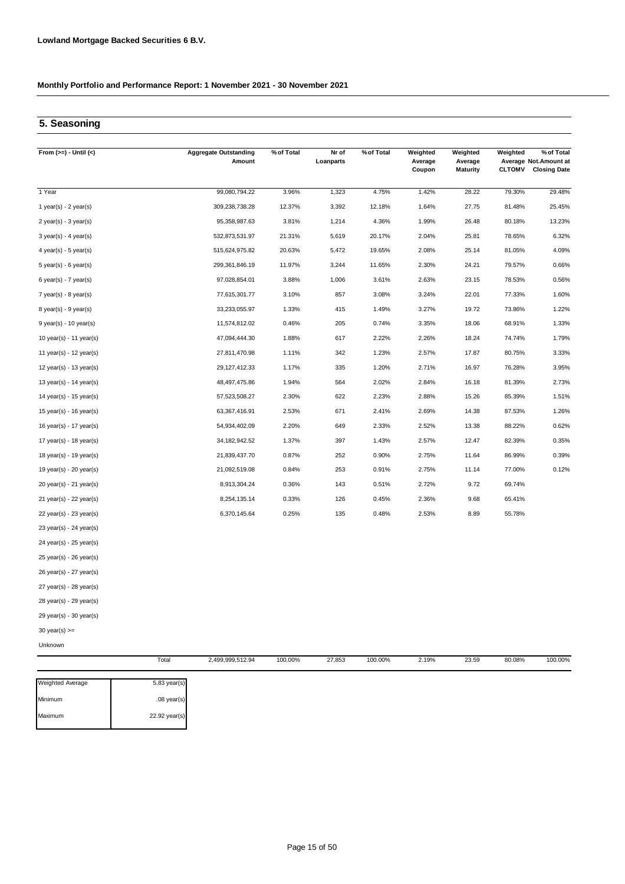### **5. Seasoning**

| From $(>=) -$ Until $(<)$ | <b>Aggregate Outstanding</b><br>Amount | % of Total | Nr of<br>Loanparts | % of Total | Weighted<br>Average<br>Coupon | Weighted<br>Average<br><b>Maturity</b> | Weighted<br><b>CLTOMV</b> | % of Total<br>Average Not.Amount at<br><b>Closing Date</b> |
|---------------------------|----------------------------------------|------------|--------------------|------------|-------------------------------|----------------------------------------|---------------------------|------------------------------------------------------------|
| 1 Year                    | 99,080,794.22                          | 3.96%      | 1,323              | 4.75%      | 1.42%                         | 28.22                                  | 79.30%                    | 29.48%                                                     |
| 1 year(s) - $2$ year(s)   | 309,238,738.28                         | 12.37%     | 3,392              | 12.18%     | 1.64%                         | 27.75                                  | 81.48%                    | 25.45%                                                     |
| $2$ year(s) - $3$ year(s) | 95,358,987.63                          | 3.81%      | 1,214              | 4.36%      | 1.99%                         | 26.48                                  | 80.18%                    | 13.23%                                                     |
| $3$ year(s) - 4 year(s)   | 532,873,531.97                         | 21.31%     | 5,619              | 20.17%     | 2.04%                         | 25.81                                  | 78.65%                    | 6.32%                                                      |
| $4$ year(s) - $5$ year(s) | 515,624,975.82                         | 20.63%     | 5,472              | 19.65%     | 2.08%                         | 25.14                                  | 81.05%                    | 4.09%                                                      |
| $5$ year(s) - 6 year(s)   | 299, 361, 846.19                       | 11.97%     | 3,244              | 11.65%     | 2.30%                         | 24.21                                  | 79.57%                    | 0.66%                                                      |
| $6$ year(s) - 7 year(s)   | 97,028,854.01                          | 3.88%      | 1,006              | 3.61%      | 2.63%                         | 23.15                                  | 78.53%                    | 0.56%                                                      |
| $7$ year(s) - 8 year(s)   | 77,615,301.77                          | 3.10%      | 857                | 3.08%      | 3.24%                         | 22.01                                  | 77.33%                    | 1.60%                                                      |
| $8$ year(s) - $9$ year(s) | 33,233,055.97                          | 1.33%      | 415                | 1.49%      | 3.27%                         | 19.72                                  | 73.86%                    | 1.22%                                                      |
| $9$ year(s) - 10 year(s)  | 11,574,812.02                          | 0.46%      | 205                | 0.74%      | 3.35%                         | 18.06                                  | 68.91%                    | 1.33%                                                      |
| 10 year(s) - 11 year(s)   | 47,094,444.30                          | 1.88%      | 617                | 2.22%      | 2.26%                         | 18.24                                  | 74.74%                    | 1.79%                                                      |
| 11 year(s) - $12$ year(s) | 27,811,470.98                          | 1.11%      | 342                | 1.23%      | 2.57%                         | 17.87                                  | 80.75%                    | 3.33%                                                      |
| 12 year(s) - 13 year(s)   | 29, 127, 412.33                        | 1.17%      | 335                | 1.20%      | 2.71%                         | 16.97                                  | 76.28%                    | 3.95%                                                      |
| 13 year(s) - 14 year(s)   | 48,497,475.86                          | 1.94%      | 564                | 2.02%      | 2.84%                         | 16.18                                  | 81.39%                    | 2.73%                                                      |
| 14 year(s) - $15$ year(s) | 57,523,508.27                          | 2.30%      | 622                | 2.23%      | 2.88%                         | 15.26                                  | 85.39%                    | 1.51%                                                      |
| 15 year(s) - 16 year(s)   | 63,367,416.91                          | 2.53%      | 671                | 2.41%      | 2.69%                         | 14.38                                  | 87.53%                    | 1.26%                                                      |
| 16 year(s) - 17 year(s)   | 54,934,402.09                          | 2.20%      | 649                | 2.33%      | 2.52%                         | 13.38                                  | 88.22%                    | 0.62%                                                      |
| 17 year(s) - 18 year(s)   | 34, 182, 942.52                        | 1.37%      | 397                | 1.43%      | 2.57%                         | 12.47                                  | 82.39%                    | 0.35%                                                      |
| 18 year(s) - 19 year(s)   | 21,839,437.70                          | 0.87%      | 252                | 0.90%      | 2.75%                         | 11.64                                  | 86.99%                    | 0.39%                                                      |
| 19 year(s) - 20 year(s)   | 21,092,519.08                          | 0.84%      | 253                | 0.91%      | 2.75%                         | 11.14                                  | 77.00%                    | 0.12%                                                      |
| 20 year(s) - 21 year(s)   | 8,913,304.24                           | 0.36%      | 143                | 0.51%      | 2.72%                         | 9.72                                   | 69.74%                    |                                                            |
| 21 year(s) - 22 year(s)   | 8,254,135.14                           | 0.33%      | 126                | 0.45%      | 2.36%                         | 9.68                                   | 65.41%                    |                                                            |
| 22 year(s) - 23 year(s)   | 6,370,145.64                           | 0.25%      | 135                | 0.48%      | 2.53%                         | 8.89                                   | 55.78%                    |                                                            |
| 23 year(s) - 24 year(s)   |                                        |            |                    |            |                               |                                        |                           |                                                            |
| 24 year(s) - 25 year(s)   |                                        |            |                    |            |                               |                                        |                           |                                                            |
| 25 year(s) - 26 year(s)   |                                        |            |                    |            |                               |                                        |                           |                                                            |
| 26 year(s) - 27 year(s)   |                                        |            |                    |            |                               |                                        |                           |                                                            |
| 27 year(s) - 28 year(s)   |                                        |            |                    |            |                               |                                        |                           |                                                            |
| 28 year(s) - 29 year(s)   |                                        |            |                    |            |                               |                                        |                           |                                                            |
| 29 year(s) - 30 year(s)   |                                        |            |                    |            |                               |                                        |                           |                                                            |
| 30 year(s) $>=$           |                                        |            |                    |            |                               |                                        |                           |                                                            |
| Unknown                   |                                        |            |                    |            |                               |                                        |                           |                                                            |

| <b>Weighted Average</b> | $5.83$ year(s) |
|-------------------------|----------------|
| Minimum                 | $.08$ year(s)  |
| Maximum                 | 22.92 year(s)  |

Total 2,499,999,512.94 100.00% 27,853 100.00% 2.19% 23.59

100.00% 27,853 2.19% 80.08% 100.00%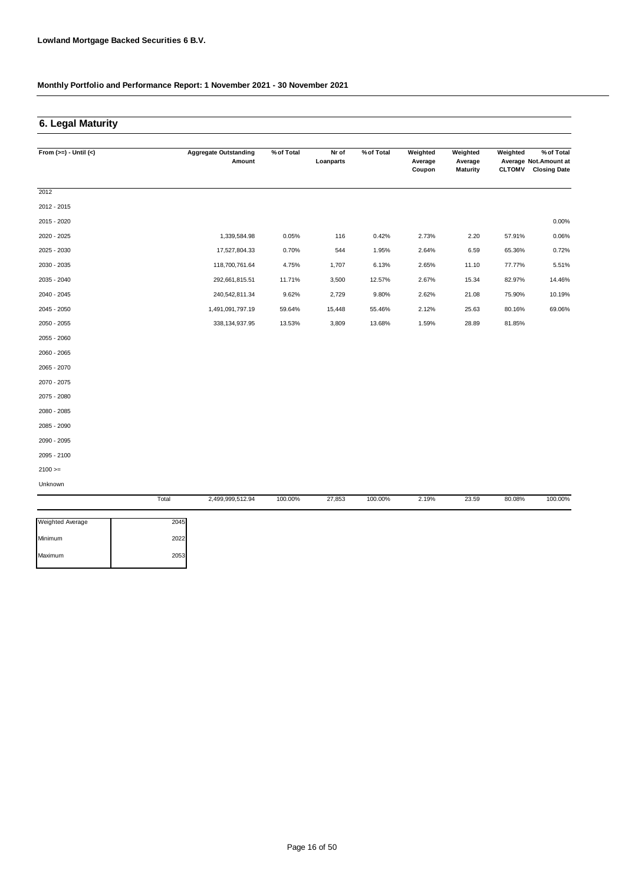## **6. Legal Maturity**

| From $(>=) -$ Until $(<)$ |       | <b>Aggregate Outstanding</b> | % of Total | Nr of     | % of Total | Weighted          | Weighted                   | Weighted      | % of Total                                    |
|---------------------------|-------|------------------------------|------------|-----------|------------|-------------------|----------------------------|---------------|-----------------------------------------------|
|                           |       | Amount                       |            | Loanparts |            | Average<br>Coupon | Average<br><b>Maturity</b> | <b>CLTOMV</b> | Average Not. Amount at<br><b>Closing Date</b> |
|                           |       |                              |            |           |            |                   |                            |               |                                               |
| 2012                      |       |                              |            |           |            |                   |                            |               |                                               |
| 2012 - 2015               |       |                              |            |           |            |                   |                            |               |                                               |
| 2015 - 2020               |       |                              |            |           |            |                   |                            |               | 0.00%                                         |
| 2020 - 2025               |       | 1,339,584.98                 | 0.05%      | 116       | 0.42%      | 2.73%             | 2.20                       | 57.91%        | 0.06%                                         |
| 2025 - 2030               |       | 17,527,804.33                | 0.70%      | 544       | 1.95%      | 2.64%             | 6.59                       | 65.36%        | 0.72%                                         |
| 2030 - 2035               |       | 118,700,761.64               | 4.75%      | 1,707     | 6.13%      | 2.65%             | 11.10                      | 77.77%        | 5.51%                                         |
| 2035 - 2040               |       | 292,661,815.51               | 11.71%     | 3,500     | 12.57%     | 2.67%             | 15.34                      | 82.97%        | 14.46%                                        |
| 2040 - 2045               |       | 240,542,811.34               | 9.62%      | 2,729     | 9.80%      | 2.62%             | 21.08                      | 75.90%        | 10.19%                                        |
| 2045 - 2050               |       | 1,491,091,797.19             | 59.64%     | 15,448    | 55.46%     | 2.12%             | 25.63                      | 80.16%        | 69.06%                                        |
| 2050 - 2055               |       | 338,134,937.95               | 13.53%     | 3,809     | 13.68%     | 1.59%             | 28.89                      | 81.85%        |                                               |
| 2055 - 2060               |       |                              |            |           |            |                   |                            |               |                                               |
| 2060 - 2065               |       |                              |            |           |            |                   |                            |               |                                               |
| 2065 - 2070               |       |                              |            |           |            |                   |                            |               |                                               |
| 2070 - 2075               |       |                              |            |           |            |                   |                            |               |                                               |
| 2075 - 2080               |       |                              |            |           |            |                   |                            |               |                                               |
| 2080 - 2085               |       |                              |            |           |            |                   |                            |               |                                               |
| 2085 - 2090               |       |                              |            |           |            |                   |                            |               |                                               |
| 2090 - 2095               |       |                              |            |           |            |                   |                            |               |                                               |
| 2095 - 2100               |       |                              |            |           |            |                   |                            |               |                                               |
| $2100 >=$                 |       |                              |            |           |            |                   |                            |               |                                               |
| Unknown                   |       |                              |            |           |            |                   |                            |               |                                               |
|                           | Total | 2,499,999,512.94             | 100.00%    | 27,853    | 100.00%    | 2.19%             | 23.59                      | 80.08%        | 100.00%                                       |

| <b>Weighted Average</b> | 2045 |
|-------------------------|------|
| Minimum                 | 2022 |
| Maximum                 | 2053 |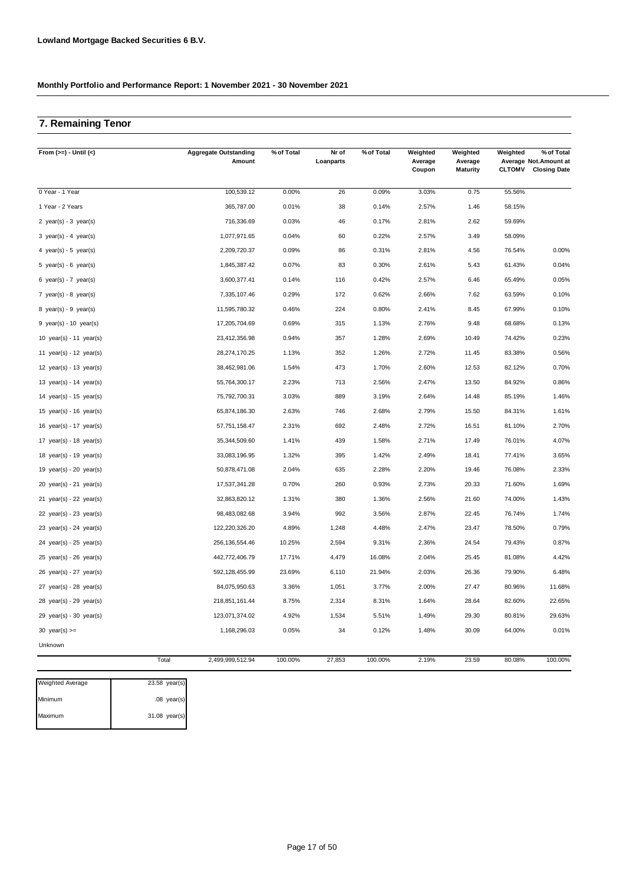### **7. Remaining Tenor**

| From $(>=) -$ Until $(<)$   | <b>Aggregate Outstanding</b><br>Amount | % of Total | Nr of<br>Loanparts | % of Total | Weighted<br>Average<br>Coupon | Weighted<br>Average<br><b>Maturity</b> | Weighted<br><b>CLTOMV</b> | % of Total<br>Average Not.Amount at<br><b>Closing Date</b> |
|-----------------------------|----------------------------------------|------------|--------------------|------------|-------------------------------|----------------------------------------|---------------------------|------------------------------------------------------------|
| 0 Year - 1 Year             | 100,539.12                             | 0.00%      | 26                 | 0.09%      | 3.03%                         | 0.75                                   | 55.56%                    |                                                            |
| 1 Year - 2 Years            | 365,787.00                             | 0.01%      | 38                 | 0.14%      | 2.57%                         | 1.46                                   | 58.15%                    |                                                            |
| 2 $year(s) - 3 year(s)$     | 716,336.69                             | 0.03%      | 46                 | 0.17%      | 2.81%                         | 2.62                                   | 59.69%                    |                                                            |
| 3 year(s) - 4 year(s)       | 1,077,971.65                           | 0.04%      | 60                 | 0.22%      | 2.57%                         | 3.49                                   | 58.09%                    |                                                            |
| 4 year(s) - 5 year(s)       | 2,209,720.37                           | 0.09%      | 86                 | 0.31%      | 2.81%                         | 4.56                                   | 76.54%                    | 0.00%                                                      |
| 5 year(s) - 6 year(s)       | 1,845,387.42                           | 0.07%      | 83                 | 0.30%      | 2.61%                         | 5.43                                   | 61.43%                    | 0.04%                                                      |
| 6 year(s) - 7 year(s)       | 3,600,377.41                           | 0.14%      | 116                | 0.42%      | 2.57%                         | 6.46                                   | 65.49%                    | 0.05%                                                      |
| 7 $year(s) - 8$ $year(s)$   | 7,335,107.46                           | 0.29%      | 172                | 0.62%      | 2.66%                         | 7.62                                   | 63.59%                    | 0.10%                                                      |
| 8 year(s) - $9$ year(s)     | 11,595,780.32                          | 0.46%      | 224                | 0.80%      | 2.41%                         | 8.45                                   | 67.99%                    | 0.10%                                                      |
| $9$ year(s) - 10 year(s)    | 17,205,704.69                          | 0.69%      | 315                | 1.13%      | 2.76%                         | 9.48                                   | 68.68%                    | 0.13%                                                      |
| 10 $year(s) - 11$ $year(s)$ | 23,412,356.98                          | 0.94%      | 357                | 1.28%      | 2.69%                         | 10.49                                  | 74.42%                    | 0.23%                                                      |
| 11 $year(s) - 12$ $year(s)$ | 28,274,170.25                          | 1.13%      | 352                | 1.26%      | 2.72%                         | 11.45                                  | 83.38%                    | 0.56%                                                      |
| 12 year(s) - 13 year(s)     | 38,462,981.06                          | 1.54%      | 473                | 1.70%      | 2.60%                         | 12.53                                  | 82.12%                    | 0.70%                                                      |
| 13 year(s) - 14 year(s)     | 55,764,300.17                          | 2.23%      | 713                | 2.56%      | 2.47%                         | 13.50                                  | 84.92%                    | 0.86%                                                      |
| 14 year(s) - 15 year(s)     | 75,792,700.31                          | 3.03%      | 889                | 3.19%      | 2.64%                         | 14.48                                  | 85.19%                    | 1.46%                                                      |
| 15 year(s) - 16 year(s)     | 65,874,186.30                          | 2.63%      | 746                | 2.68%      | 2.79%                         | 15.50                                  | 84.31%                    | 1.61%                                                      |
| 16 year(s) - 17 year(s)     | 57,751,158.47                          | 2.31%      | 692                | 2.48%      | 2.72%                         | 16.51                                  | 81.10%                    | 2.70%                                                      |
| 17 year(s) - 18 year(s)     | 35,344,509.60                          | 1.41%      | 439                | 1.58%      | 2.71%                         | 17.49                                  | 76.01%                    | 4.07%                                                      |
| 18 $year(s) - 19$ $year(s)$ | 33,083,196.95                          | 1.32%      | 395                | 1.42%      | 2.49%                         | 18.41                                  | 77.41%                    | 3.65%                                                      |
| 19 year(s) - 20 year(s)     | 50,878,471.08                          | 2.04%      | 635                | 2.28%      | 2.20%                         | 19.46                                  | 76.08%                    | 2.33%                                                      |
| 20 $year(s) - 21$ $year(s)$ | 17,537,341.28                          | 0.70%      | 260                | 0.93%      | 2.73%                         | 20.33                                  | 71.60%                    | 1.69%                                                      |
| 21 $year(s) - 22$ $year(s)$ | 32,863,820.12                          | 1.31%      | 380                | 1.36%      | 2.56%                         | 21.60                                  | 74.00%                    | 1.43%                                                      |
| 22 $year(s) - 23$ $year(s)$ | 98,483,082.68                          | 3.94%      | 992                | 3.56%      | 2.87%                         | 22.45                                  | 76.74%                    | 1.74%                                                      |
| 23 year(s) - 24 year(s)     | 122,220,326.20                         | 4.89%      | 1,248              | 4.48%      | 2.47%                         | 23.47                                  | 78.50%                    | 0.79%                                                      |
| $24$ year(s) - $25$ year(s) | 256, 136, 554. 46                      | 10.25%     | 2,594              | 9.31%      | 2.36%                         | 24.54                                  | 79.43%                    | 0.87%                                                      |
| $25$ year(s) - $26$ year(s) | 442,772,406.79                         | 17.71%     | 4,479              | 16.08%     | 2.04%                         | 25.45                                  | 81.08%                    | 4.42%                                                      |
| $26$ year(s) - $27$ year(s) | 592,128,455.99                         | 23.69%     | 6,110              | 21.94%     | 2.03%                         | 26.36                                  | 79.90%                    | 6.48%                                                      |
| 27 year(s) - 28 year(s)     | 84,075,950.63                          | 3.36%      | 1,051              | 3.77%      | 2.00%                         | 27.47                                  | 80.96%                    | 11.68%                                                     |
| 28 year(s) - 29 year(s)     | 218,851,161.44                         | 8.75%      | 2,314              | 8.31%      | 1.64%                         | 28.64                                  | 82.60%                    | 22.65%                                                     |
| 29 $year(s) - 30$ $year(s)$ | 123,071,374.02                         | 4.92%      | 1,534              | 5.51%      | 1.49%                         | 29.30                                  | 80.81%                    | 29.63%                                                     |
| 30 year(s) $>=$             | 1,168,296.03                           | 0.05%      | 34                 | 0.12%      | 1.48%                         | 30.09                                  | 64.00%                    | 0.01%                                                      |
| Unknown                     |                                        |            |                    |            |                               |                                        |                           |                                                            |
|                             | Total<br>2,499,999,512.94              | 100.00%    | 27,853             | 100.00%    | 2.19%                         | 23.59                                  | 80.08%                    | 100.00%                                                    |

| <b>Weighted Average</b> | $23.58$ year(s) |
|-------------------------|-----------------|
| Minimum                 | $.08$ year(s)   |
| Maximum                 | $31.08$ year(s) |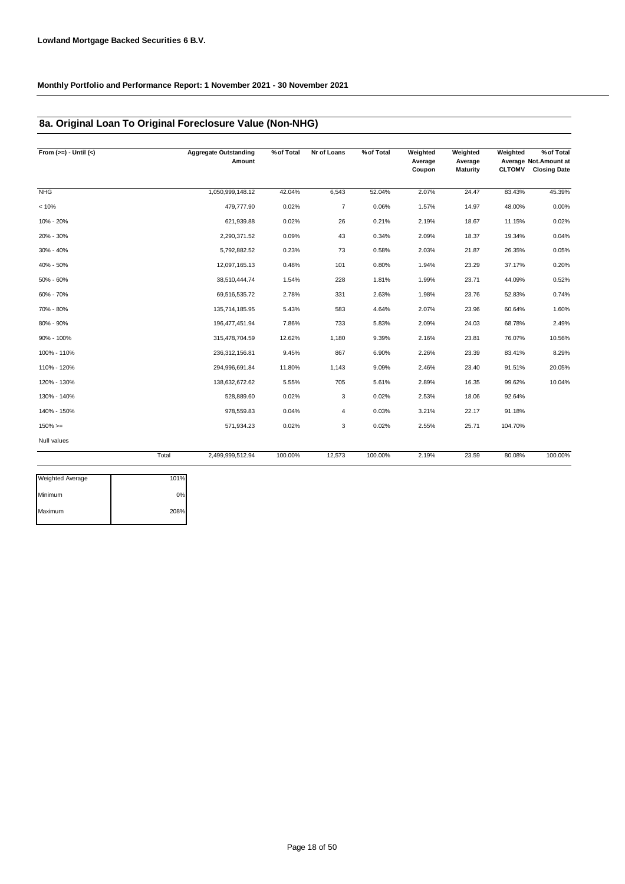### **8a. Original Loan To Original Foreclosure Value (Non-NHG)**

| From $(>=) -$ Until $(<)$ |       | <b>Aggregate Outstanding</b><br>Amount | % of Total | Nr of Loans    | % of Total | Weighted<br>Average<br>Coupon | Weighted<br>Average<br><b>Maturity</b> | Weighted<br><b>CLTOMV</b> | % of Total<br>Average Not. Amount at<br><b>Closing Date</b> |
|---------------------------|-------|----------------------------------------|------------|----------------|------------|-------------------------------|----------------------------------------|---------------------------|-------------------------------------------------------------|
| <b>NHG</b>                |       | 1,050,999,148.12                       | 42.04%     | 6,543          | 52.04%     | 2.07%                         | 24.47                                  | 83.43%                    | 45.39%                                                      |
| < 10%                     |       | 479,777.90                             | 0.02%      | $\overline{7}$ | 0.06%      | 1.57%                         | 14.97                                  | 48.00%                    | 0.00%                                                       |
| 10% - 20%                 |       | 621,939.88                             | 0.02%      | 26             | 0.21%      | 2.19%                         | 18.67                                  | 11.15%                    | 0.02%                                                       |
| 20% - 30%                 |       | 2,290,371.52                           | 0.09%      | 43             | 0.34%      | 2.09%                         | 18.37                                  | 19.34%                    | 0.04%                                                       |
| 30% - 40%                 |       | 5,792,882.52                           | 0.23%      | 73             | 0.58%      | 2.03%                         | 21.87                                  | 26.35%                    | 0.05%                                                       |
| 40% - 50%                 |       | 12,097,165.13                          | 0.48%      | 101            | 0.80%      | 1.94%                         | 23.29                                  | 37.17%                    | 0.20%                                                       |
| 50% - 60%                 |       | 38,510,444.74                          | 1.54%      | 228            | 1.81%      | 1.99%                         | 23.71                                  | 44.09%                    | 0.52%                                                       |
| 60% - 70%                 |       | 69,516,535.72                          | 2.78%      | 331            | 2.63%      | 1.98%                         | 23.76                                  | 52.83%                    | 0.74%                                                       |
| 70% - 80%                 |       | 135,714,185.95                         | 5.43%      | 583            | 4.64%      | 2.07%                         | 23.96                                  | 60.64%                    | 1.60%                                                       |
| 80% - 90%                 |       | 196,477,451.94                         | 7.86%      | 733            | 5.83%      | 2.09%                         | 24.03                                  | 68.78%                    | 2.49%                                                       |
| 90% - 100%                |       | 315,478,704.59                         | 12.62%     | 1,180          | 9.39%      | 2.16%                         | 23.81                                  | 76.07%                    | 10.56%                                                      |
| 100% - 110%               |       | 236, 312, 156.81                       | 9.45%      | 867            | 6.90%      | 2.26%                         | 23.39                                  | 83.41%                    | 8.29%                                                       |
| 110% - 120%               |       | 294,996,691.84                         | 11.80%     | 1,143          | 9.09%      | 2.46%                         | 23.40                                  | 91.51%                    | 20.05%                                                      |
| 120% - 130%               |       | 138,632,672.62                         | 5.55%      | 705            | 5.61%      | 2.89%                         | 16.35                                  | 99.62%                    | 10.04%                                                      |
| 130% - 140%               |       | 528,889.60                             | 0.02%      | 3              | 0.02%      | 2.53%                         | 18.06                                  | 92.64%                    |                                                             |
| 140% - 150%               |       | 978,559.83                             | 0.04%      | 4              | 0.03%      | 3.21%                         | 22.17                                  | 91.18%                    |                                                             |
| $150\%>=$                 |       | 571,934.23                             | 0.02%      | 3              | 0.02%      | 2.55%                         | 25.71                                  | 104.70%                   |                                                             |
| Null values               |       |                                        |            |                |            |                               |                                        |                           |                                                             |
|                           | Total | 2,499,999,512.94                       | 100.00%    | 12,573         | 100.00%    | 2.19%                         | 23.59                                  | 80.08%                    | 100.00%                                                     |

| <b>Weighted Average</b> | 101%  |
|-------------------------|-------|
| Minimum                 | $0\%$ |
| Maximum                 | 208%  |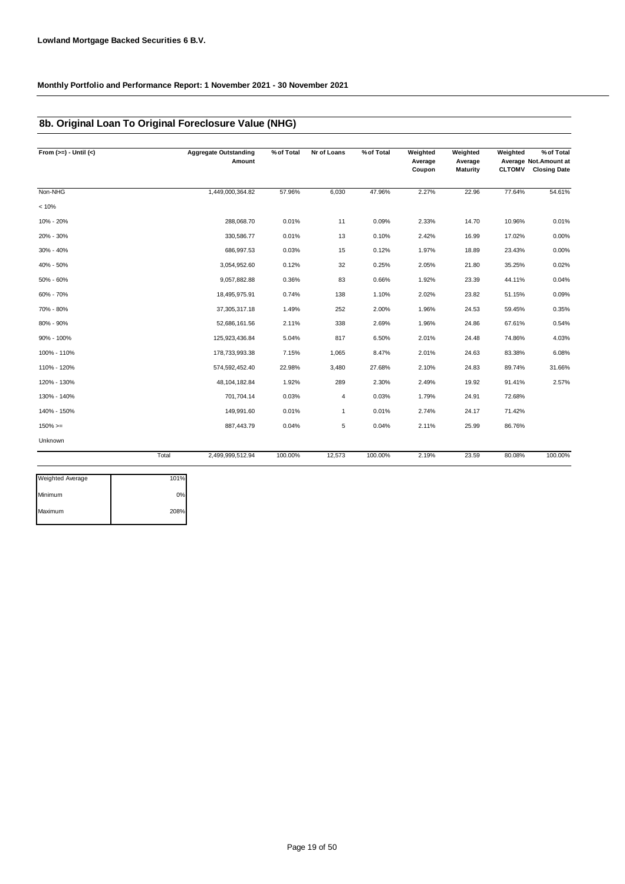### **8b. Original Loan To Original Foreclosure Value (NHG)**

| From $(>=) -$ Until $(<)$ |       | <b>Aggregate Outstanding</b><br>Amount | % of Total | Nr of Loans | % of Total | Weighted<br>Average<br>Coupon | Weighted<br>Average<br><b>Maturity</b> | Weighted<br><b>CLTOMV</b> | % of Total<br>Average Not. Amount at<br><b>Closing Date</b> |
|---------------------------|-------|----------------------------------------|------------|-------------|------------|-------------------------------|----------------------------------------|---------------------------|-------------------------------------------------------------|
| Non-NHG                   |       | 1,449,000,364.82                       | 57.96%     | 6,030       | 47.96%     | 2.27%                         | 22.96                                  | 77.64%                    | 54.61%                                                      |
| < 10%                     |       |                                        |            |             |            |                               |                                        |                           |                                                             |
| 10% - 20%                 |       | 288,068.70                             | 0.01%      | 11          | 0.09%      | 2.33%                         | 14.70                                  | 10.96%                    | 0.01%                                                       |
| 20% - 30%                 |       | 330,586.77                             | 0.01%      | 13          | 0.10%      | 2.42%                         | 16.99                                  | 17.02%                    | 0.00%                                                       |
| 30% - 40%                 |       | 686,997.53                             | 0.03%      | 15          | 0.12%      | 1.97%                         | 18.89                                  | 23.43%                    | 0.00%                                                       |
| 40% - 50%                 |       | 3,054,952.60                           | 0.12%      | 32          | 0.25%      | 2.05%                         | 21.80                                  | 35.25%                    | 0.02%                                                       |
| 50% - 60%                 |       | 9,057,882.88                           | 0.36%      | 83          | 0.66%      | 1.92%                         | 23.39                                  | 44.11%                    | 0.04%                                                       |
| 60% - 70%                 |       | 18,495,975.91                          | 0.74%      | 138         | 1.10%      | 2.02%                         | 23.82                                  | 51.15%                    | 0.09%                                                       |
| 70% - 80%                 |       | 37,305,317.18                          | 1.49%      | 252         | 2.00%      | 1.96%                         | 24.53                                  | 59.45%                    | 0.35%                                                       |
| 80% - 90%                 |       | 52,686,161.56                          | 2.11%      | 338         | 2.69%      | 1.96%                         | 24.86                                  | 67.61%                    | 0.54%                                                       |
| 90% - 100%                |       | 125,923,436.84                         | 5.04%      | 817         | 6.50%      | 2.01%                         | 24.48                                  | 74.86%                    | 4.03%                                                       |
| 100% - 110%               |       | 178,733,993.38                         | 7.15%      | 1,065       | 8.47%      | 2.01%                         | 24.63                                  | 83.38%                    | 6.08%                                                       |
| 110% - 120%               |       | 574,592,452.40                         | 22.98%     | 3,480       | 27.68%     | 2.10%                         | 24.83                                  | 89.74%                    | 31.66%                                                      |
| 120% - 130%               |       | 48, 104, 182.84                        | 1.92%      | 289         | 2.30%      | 2.49%                         | 19.92                                  | 91.41%                    | 2.57%                                                       |
| 130% - 140%               |       | 701,704.14                             | 0.03%      | 4           | 0.03%      | 1.79%                         | 24.91                                  | 72.68%                    |                                                             |
| 140% - 150%               |       | 149,991.60                             | 0.01%      | 1           | 0.01%      | 2.74%                         | 24.17                                  | 71.42%                    |                                                             |
| $150\%>=$                 |       | 887,443.79                             | 0.04%      | 5           | 0.04%      | 2.11%                         | 25.99                                  | 86.76%                    |                                                             |
| Unknown                   |       |                                        |            |             |            |                               |                                        |                           |                                                             |
|                           | Total | 2,499,999,512.94                       | 100.00%    | 12,573      | 100.00%    | 2.19%                         | 23.59                                  | 80.08%                    | 100.00%                                                     |

| <b>Weighted Average</b> | 101% |
|-------------------------|------|
| Minimum                 | 0%   |
| Maximum                 | 208% |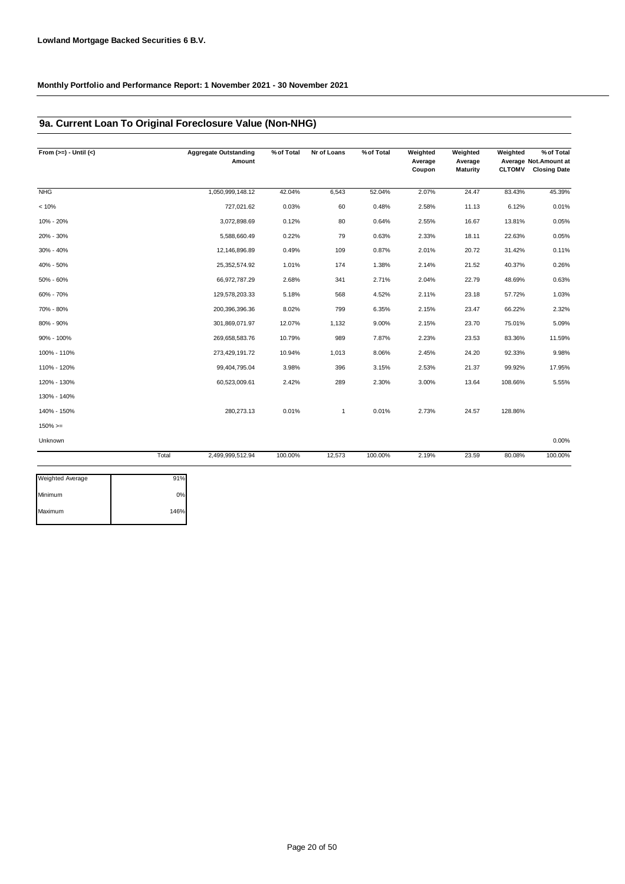### **9a. Current Loan To Original Foreclosure Value (Non-NHG)**

| From $(>=) -$ Until $(<)$ |       | <b>Aggregate Outstanding</b><br>Amount | % of Total | Nr of Loans | % of Total | Weighted<br>Average<br>Coupon | Weighted<br>Average<br><b>Maturity</b> | Weighted<br><b>CLTOMV</b> | % of Total<br>Average Not.Amount at<br><b>Closing Date</b> |
|---------------------------|-------|----------------------------------------|------------|-------------|------------|-------------------------------|----------------------------------------|---------------------------|------------------------------------------------------------|
| <b>NHG</b>                |       | 1,050,999,148.12                       | 42.04%     | 6,543       | 52.04%     | 2.07%                         | 24.47                                  | 83.43%                    | 45.39%                                                     |
| < 10%                     |       | 727,021.62                             | 0.03%      | 60          | 0.48%      | 2.58%                         | 11.13                                  | 6.12%                     | 0.01%                                                      |
| 10% - 20%                 |       | 3,072,898.69                           | 0.12%      | 80          | 0.64%      | 2.55%                         | 16.67                                  | 13.81%                    | 0.05%                                                      |
| 20% - 30%                 |       | 5,588,660.49                           | 0.22%      | 79          | 0.63%      | 2.33%                         | 18.11                                  | 22.63%                    | 0.05%                                                      |
| 30% - 40%                 |       | 12,146,896.89                          | 0.49%      | 109         | 0.87%      | 2.01%                         | 20.72                                  | 31.42%                    | 0.11%                                                      |
| 40% - 50%                 |       | 25,352,574.92                          | 1.01%      | 174         | 1.38%      | 2.14%                         | 21.52                                  | 40.37%                    | 0.26%                                                      |
| 50% - 60%                 |       | 66,972,787.29                          | 2.68%      | 341         | 2.71%      | 2.04%                         | 22.79                                  | 48.69%                    | 0.63%                                                      |
| 60% - 70%                 |       | 129,578,203.33                         | 5.18%      | 568         | 4.52%      | 2.11%                         | 23.18                                  | 57.72%                    | 1.03%                                                      |
| 70% - 80%                 |       | 200,396,396.36                         | 8.02%      | 799         | 6.35%      | 2.15%                         | 23.47                                  | 66.22%                    | 2.32%                                                      |
| 80% - 90%                 |       | 301,869,071.97                         | 12.07%     | 1,132       | 9.00%      | 2.15%                         | 23.70                                  | 75.01%                    | 5.09%                                                      |
| 90% - 100%                |       | 269,658,583.76                         | 10.79%     | 989         | 7.87%      | 2.23%                         | 23.53                                  | 83.36%                    | 11.59%                                                     |
| 100% - 110%               |       | 273,429,191.72                         | 10.94%     | 1,013       | 8.06%      | 2.45%                         | 24.20                                  | 92.33%                    | 9.98%                                                      |
| 110% - 120%               |       | 99,404,795.04                          | 3.98%      | 396         | 3.15%      | 2.53%                         | 21.37                                  | 99.92%                    | 17.95%                                                     |
| 120% - 130%               |       | 60,523,009.61                          | 2.42%      | 289         | 2.30%      | 3.00%                         | 13.64                                  | 108.66%                   | 5.55%                                                      |
| 130% - 140%               |       |                                        |            |             |            |                               |                                        |                           |                                                            |
| 140% - 150%               |       | 280, 273. 13                           | 0.01%      | 1           | 0.01%      | 2.73%                         | 24.57                                  | 128.86%                   |                                                            |
| $150\%>=$                 |       |                                        |            |             |            |                               |                                        |                           |                                                            |
| Unknown                   |       |                                        |            |             |            |                               |                                        |                           | 0.00%                                                      |
|                           | Total | 2,499,999,512.94                       | 100.00%    | 12,573      | 100.00%    | 2.19%                         | 23.59                                  | 80.08%                    | 100.00%                                                    |

| 0%   |
|------|
| 146% |
|      |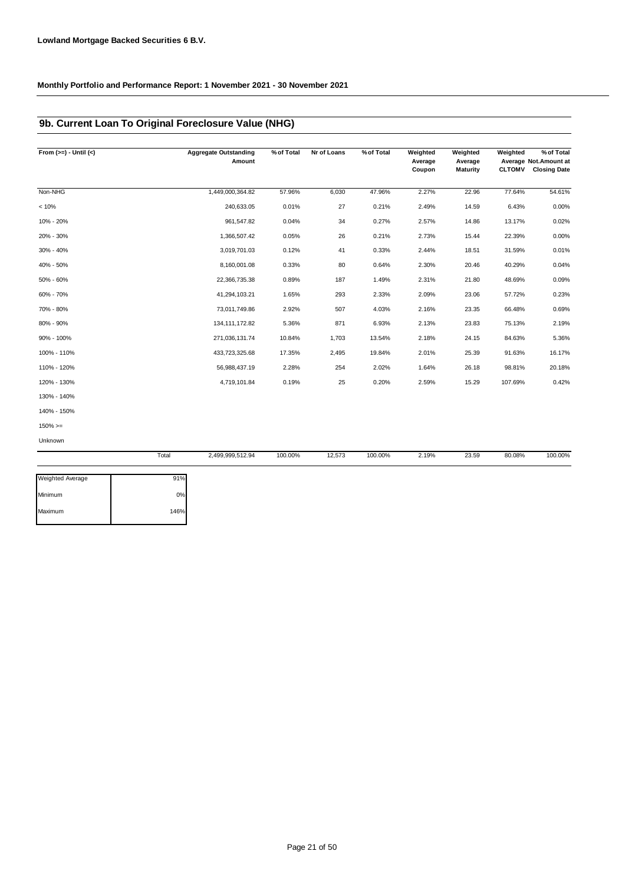### **9b. Current Loan To Original Foreclosure Value (NHG)**

| From $(>=) -$ Until $(<)$ |       | <b>Aggregate Outstanding</b><br>Amount | % of Total | Nr of Loans | % of Total | Weighted<br>Average<br>Coupon | Weighted<br>Average<br><b>Maturity</b> | Weighted<br><b>CLTOMV</b> | % of Total<br>Average Not.Amount at<br><b>Closing Date</b> |
|---------------------------|-------|----------------------------------------|------------|-------------|------------|-------------------------------|----------------------------------------|---------------------------|------------------------------------------------------------|
|                           |       |                                        |            |             |            |                               |                                        |                           |                                                            |
| Non-NHG                   |       | 1,449,000,364.82                       | 57.96%     | 6,030       | 47.96%     | 2.27%                         | 22.96                                  | 77.64%                    | 54.61%                                                     |
| < 10%                     |       | 240,633.05                             | 0.01%      | 27          | 0.21%      | 2.49%                         | 14.59                                  | 6.43%                     | 0.00%                                                      |
| 10% - 20%                 |       | 961,547.82                             | 0.04%      | 34          | 0.27%      | 2.57%                         | 14.86                                  | 13.17%                    | 0.02%                                                      |
| 20% - 30%                 |       | 1,366,507.42                           | 0.05%      | 26          | 0.21%      | 2.73%                         | 15.44                                  | 22.39%                    | 0.00%                                                      |
| 30% - 40%                 |       | 3,019,701.03                           | 0.12%      | 41          | 0.33%      | 2.44%                         | 18.51                                  | 31.59%                    | 0.01%                                                      |
| 40% - 50%                 |       | 8,160,001.08                           | 0.33%      | 80          | 0.64%      | 2.30%                         | 20.46                                  | 40.29%                    | 0.04%                                                      |
| 50% - 60%                 |       | 22,366,735.38                          | 0.89%      | 187         | 1.49%      | 2.31%                         | 21.80                                  | 48.69%                    | 0.09%                                                      |
| 60% - 70%                 |       | 41,294,103.21                          | 1.65%      | 293         | 2.33%      | 2.09%                         | 23.06                                  | 57.72%                    | 0.23%                                                      |
| 70% - 80%                 |       | 73,011,749.86                          | 2.92%      | 507         | 4.03%      | 2.16%                         | 23.35                                  | 66.48%                    | 0.69%                                                      |
| 80% - 90%                 |       | 134, 111, 172.82                       | 5.36%      | 871         | 6.93%      | 2.13%                         | 23.83                                  | 75.13%                    | 2.19%                                                      |
| 90% - 100%                |       | 271,036,131.74                         | 10.84%     | 1,703       | 13.54%     | 2.18%                         | 24.15                                  | 84.63%                    | 5.36%                                                      |
| 100% - 110%               |       | 433,723,325.68                         | 17.35%     | 2,495       | 19.84%     | 2.01%                         | 25.39                                  | 91.63%                    | 16.17%                                                     |
| 110% - 120%               |       | 56,988,437.19                          | 2.28%      | 254         | 2.02%      | 1.64%                         | 26.18                                  | 98.81%                    | 20.18%                                                     |
| 120% - 130%               |       | 4,719,101.84                           | 0.19%      | 25          | 0.20%      | 2.59%                         | 15.29                                  | 107.69%                   | 0.42%                                                      |
| 130% - 140%               |       |                                        |            |             |            |                               |                                        |                           |                                                            |
| 140% - 150%               |       |                                        |            |             |            |                               |                                        |                           |                                                            |
| $150\%>=$                 |       |                                        |            |             |            |                               |                                        |                           |                                                            |
| Unknown                   |       |                                        |            |             |            |                               |                                        |                           |                                                            |
|                           | Total | 2,499,999,512.94                       | 100.00%    | 12,573      | 100.00%    | 2.19%                         | 23.59                                  | 80.08%                    | 100.00%                                                    |

| <b>Weighted Average</b> | 91%  |
|-------------------------|------|
|                         |      |
| Minimum                 | 0%   |
|                         |      |
| Maximum                 | 146% |
|                         |      |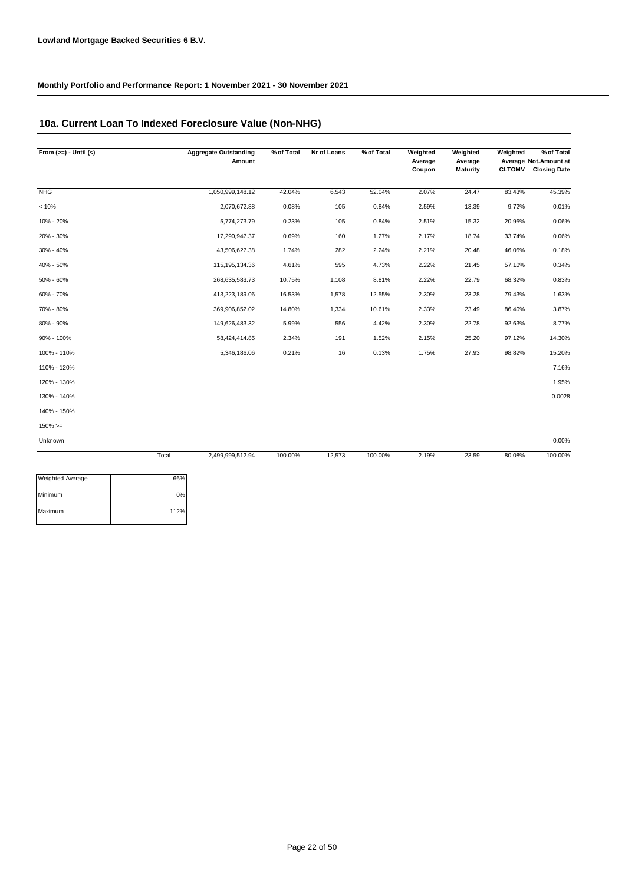## **10a. Current Loan To Indexed Foreclosure Value (Non-NHG)**

| From $(>=) -$ Until $(<)$ |       | <b>Aggregate Outstanding</b><br>Amount | % of Total | Nr of Loans | % of Total | Weighted<br>Average<br>Coupon | Weighted<br>Average<br><b>Maturity</b> | Weighted | % of Total<br>Average Not.Amount at<br>CLTOMV Closing Date |
|---------------------------|-------|----------------------------------------|------------|-------------|------------|-------------------------------|----------------------------------------|----------|------------------------------------------------------------|
| <b>NHG</b>                |       | 1,050,999,148.12                       | 42.04%     | 6,543       | 52.04%     | 2.07%                         | 24.47                                  | 83.43%   | 45.39%                                                     |
| < 10%                     |       | 2,070,672.88                           | 0.08%      | 105         | 0.84%      | 2.59%                         | 13.39                                  | 9.72%    | 0.01%                                                      |
| 10% - 20%                 |       | 5,774,273.79                           | 0.23%      | 105         | 0.84%      | 2.51%                         | 15.32                                  | 20.95%   | 0.06%                                                      |
| 20% - 30%                 |       | 17,290,947.37                          | 0.69%      | 160         | 1.27%      | 2.17%                         | 18.74                                  | 33.74%   | 0.06%                                                      |
| 30% - 40%                 |       | 43,506,627.38                          | 1.74%      | 282         | 2.24%      | 2.21%                         | 20.48                                  | 46.05%   | 0.18%                                                      |
| 40% - 50%                 |       | 115, 195, 134.36                       | 4.61%      | 595         | 4.73%      | 2.22%                         | 21.45                                  | 57.10%   | 0.34%                                                      |
| 50% - 60%                 |       | 268,635,583.73                         | 10.75%     | 1,108       | 8.81%      | 2.22%                         | 22.79                                  | 68.32%   | 0.83%                                                      |
| 60% - 70%                 |       | 413,223,189.06                         | 16.53%     | 1,578       | 12.55%     | 2.30%                         | 23.28                                  | 79.43%   | 1.63%                                                      |
| 70% - 80%                 |       | 369,906,852.02                         | 14.80%     | 1,334       | 10.61%     | 2.33%                         | 23.49                                  | 86.40%   | 3.87%                                                      |
| 80% - 90%                 |       | 149,626,483.32                         | 5.99%      | 556         | 4.42%      | 2.30%                         | 22.78                                  | 92.63%   | 8.77%                                                      |
| 90% - 100%                |       | 58,424,414.85                          | 2.34%      | 191         | 1.52%      | 2.15%                         | 25.20                                  | 97.12%   | 14.30%                                                     |
| 100% - 110%               |       | 5,346,186.06                           | 0.21%      | 16          | 0.13%      | 1.75%                         | 27.93                                  | 98.82%   | 15.20%                                                     |
| 110% - 120%               |       |                                        |            |             |            |                               |                                        |          | 7.16%                                                      |
| 120% - 130%               |       |                                        |            |             |            |                               |                                        |          | 1.95%                                                      |
| 130% - 140%               |       |                                        |            |             |            |                               |                                        |          | 0.0028                                                     |
| 140% - 150%               |       |                                        |            |             |            |                               |                                        |          |                                                            |
| $150\% > =$               |       |                                        |            |             |            |                               |                                        |          |                                                            |
| Unknown                   |       |                                        |            |             |            |                               |                                        |          | 0.00%                                                      |
|                           | Total | 2,499,999,512.94                       | 100.00%    | 12,573      | 100.00%    | 2.19%                         | 23.59                                  | 80.08%   | 100.00%                                                    |

| 66%  |
|------|
| 0%   |
| 112% |
|      |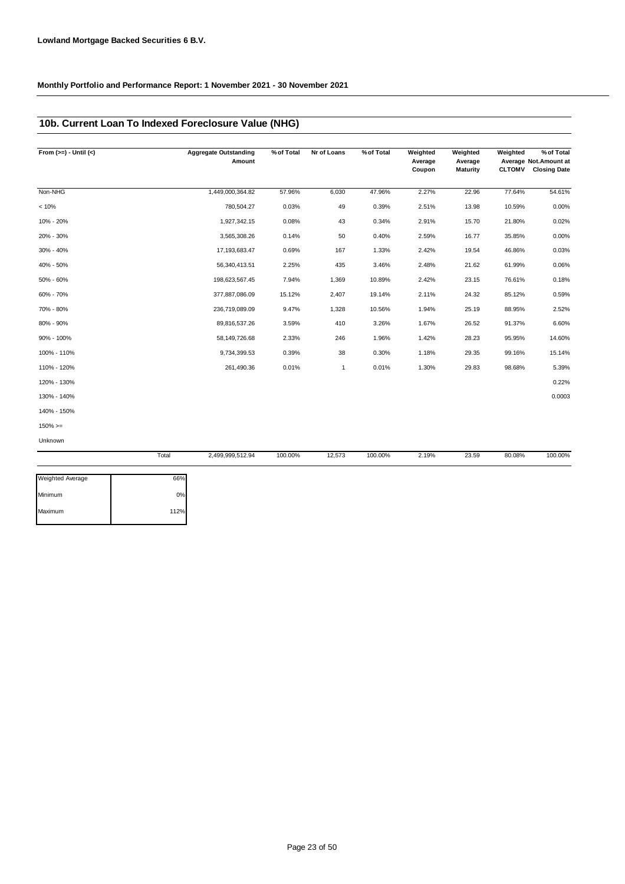### **10b. Current Loan To Indexed Foreclosure Value (NHG)**

| From $(>=) -$ Until $(<)$ |       | <b>Aggregate Outstanding</b><br>Amount | % of Total | Nr of Loans  | % of Total | Weighted<br>Average<br>Coupon | Weighted<br>Average<br><b>Maturity</b> | Weighted<br><b>CLTOMV</b> | % of Total<br>Average Not.Amount at<br><b>Closing Date</b> |
|---------------------------|-------|----------------------------------------|------------|--------------|------------|-------------------------------|----------------------------------------|---------------------------|------------------------------------------------------------|
| Non-NHG                   |       | 1,449,000,364.82                       | 57.96%     | 6,030        | 47.96%     | 2.27%                         | 22.96                                  | 77.64%                    | 54.61%                                                     |
| < 10%                     |       | 780,504.27                             | 0.03%      | 49           | 0.39%      | 2.51%                         | 13.98                                  | 10.59%                    | 0.00%                                                      |
| 10% - 20%                 |       | 1,927,342.15                           | 0.08%      | 43           | 0.34%      | 2.91%                         | 15.70                                  | 21.80%                    | 0.02%                                                      |
| 20% - 30%                 |       | 3,565,308.26                           | 0.14%      | 50           | 0.40%      | 2.59%                         | 16.77                                  | 35.85%                    | 0.00%                                                      |
| 30% - 40%                 |       | 17,193,683.47                          | 0.69%      | 167          | 1.33%      | 2.42%                         | 19.54                                  | 46.86%                    | 0.03%                                                      |
| 40% - 50%                 |       | 56,340,413.51                          | 2.25%      | 435          | 3.46%      | 2.48%                         | 21.62                                  | 61.99%                    | 0.06%                                                      |
| 50% - 60%                 |       | 198,623,567.45                         | 7.94%      | 1,369        | 10.89%     | 2.42%                         | 23.15                                  | 76.61%                    | 0.18%                                                      |
| 60% - 70%                 |       | 377,887,086.09                         | 15.12%     | 2,407        | 19.14%     | 2.11%                         | 24.32                                  | 85.12%                    | 0.59%                                                      |
| 70% - 80%                 |       | 236,719,089.09                         | 9.47%      | 1,328        | 10.56%     | 1.94%                         | 25.19                                  | 88.95%                    | 2.52%                                                      |
| 80% - 90%                 |       | 89,816,537.26                          | 3.59%      | 410          | 3.26%      | 1.67%                         | 26.52                                  | 91.37%                    | 6.60%                                                      |
| 90% - 100%                |       | 58,149,726.68                          | 2.33%      | 246          | 1.96%      | 1.42%                         | 28.23                                  | 95.95%                    | 14.60%                                                     |
| 100% - 110%               |       | 9,734,399.53                           | 0.39%      | 38           | 0.30%      | 1.18%                         | 29.35                                  | 99.16%                    | 15.14%                                                     |
| 110% - 120%               |       | 261,490.36                             | 0.01%      | $\mathbf{1}$ | 0.01%      | 1.30%                         | 29.83                                  | 98.68%                    | 5.39%                                                      |
| 120% - 130%               |       |                                        |            |              |            |                               |                                        |                           | 0.22%                                                      |
| 130% - 140%               |       |                                        |            |              |            |                               |                                        |                           | 0.0003                                                     |
| 140% - 150%               |       |                                        |            |              |            |                               |                                        |                           |                                                            |
| $150\%>=$                 |       |                                        |            |              |            |                               |                                        |                           |                                                            |
| Unknown                   |       |                                        |            |              |            |                               |                                        |                           |                                                            |
|                           | Total | 2,499,999,512.94                       | 100.00%    | 12,573       | 100.00%    | 2.19%                         | 23.59                                  | 80.08%                    | 100.00%                                                    |

| <b>Weighted Average</b> | 66%  |
|-------------------------|------|
| Minimum                 | 0%   |
| Maximum                 | 112% |
|                         |      |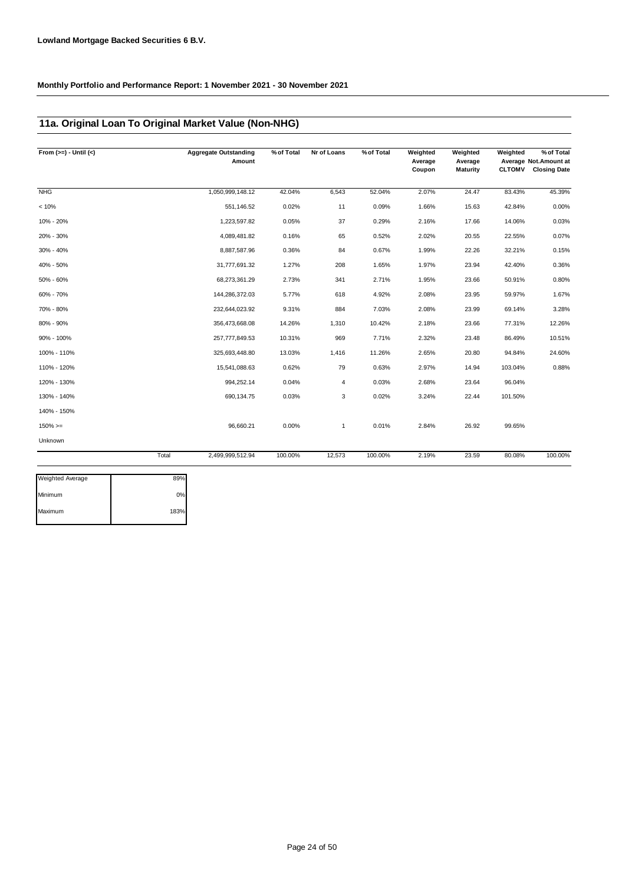### **11a. Original Loan To Original Market Value (Non-NHG)**

| From $(>=) -$ Until $(<)$ | <b>Aggregate Outstanding</b><br>Amount | % of Total | Nr of Loans | % of Total | Weighted<br>Average<br>Coupon | Weighted<br>Average<br><b>Maturity</b> | Weighted<br><b>CLTOMV</b> | % of Total<br>Average Not. Amount at<br><b>Closing Date</b> |
|---------------------------|----------------------------------------|------------|-------------|------------|-------------------------------|----------------------------------------|---------------------------|-------------------------------------------------------------|
| <b>NHG</b>                | 1,050,999,148.12                       | 42.04%     | 6,543       | 52.04%     | 2.07%                         | 24.47                                  | 83.43%                    | 45.39%                                                      |
| < 10%                     | 551,146.52                             | 0.02%      | 11          | 0.09%      | 1.66%                         | 15.63                                  | 42.84%                    | 0.00%                                                       |
| 10% - 20%                 | 1,223,597.82                           | 0.05%      | 37          | 0.29%      | 2.16%                         | 17.66                                  | 14.06%                    | 0.03%                                                       |
| 20% - 30%                 | 4,089,481.82                           | 0.16%      | 65          | 0.52%      | 2.02%                         | 20.55                                  | 22.55%                    | 0.07%                                                       |
| 30% - 40%                 | 8,887,587.96                           | 0.36%      | 84          | 0.67%      | 1.99%                         | 22.26                                  | 32.21%                    | 0.15%                                                       |
| 40% - 50%                 | 31,777,691.32                          | 1.27%      | 208         | 1.65%      | 1.97%                         | 23.94                                  | 42.40%                    | 0.36%                                                       |
| 50% - 60%                 | 68,273,361.29                          | 2.73%      | 341         | 2.71%      | 1.95%                         | 23.66                                  | 50.91%                    | 0.80%                                                       |
| 60% - 70%                 | 144,286,372.03                         | 5.77%      | 618         | 4.92%      | 2.08%                         | 23.95                                  | 59.97%                    | 1.67%                                                       |
| 70% - 80%                 | 232,644,023.92                         | 9.31%      | 884         | 7.03%      | 2.08%                         | 23.99                                  | 69.14%                    | 3.28%                                                       |
| 80% - 90%                 | 356,473,668.08                         | 14.26%     | 1,310       | 10.42%     | 2.18%                         | 23.66                                  | 77.31%                    | 12.26%                                                      |
| 90% - 100%                | 257,777,849.53                         | 10.31%     | 969         | 7.71%      | 2.32%                         | 23.48                                  | 86.49%                    | 10.51%                                                      |
| 100% - 110%               | 325,693,448.80                         | 13.03%     | 1,416       | 11.26%     | 2.65%                         | 20.80                                  | 94.84%                    | 24.60%                                                      |
| 110% - 120%               | 15,541,088.63                          | 0.62%      | 79          | 0.63%      | 2.97%                         | 14.94                                  | 103.04%                   | 0.88%                                                       |
| 120% - 130%               | 994,252.14                             | 0.04%      | 4           | 0.03%      | 2.68%                         | 23.64                                  | 96.04%                    |                                                             |
| 130% - 140%               | 690,134.75                             | 0.03%      | 3           | 0.02%      | 3.24%                         | 22.44                                  | 101.50%                   |                                                             |
| 140% - 150%               |                                        |            |             |            |                               |                                        |                           |                                                             |
| $150\%>=$                 | 96,660.21                              | 0.00%      | 1           | 0.01%      | 2.84%                         | 26.92                                  | 99.65%                    |                                                             |
| Unknown                   |                                        |            |             |            |                               |                                        |                           |                                                             |
|                           | Total<br>2,499,999,512.94              | 100.00%    | 12,573      | 100.00%    | 2.19%                         | 23.59                                  | 80.08%                    | 100.00%                                                     |

| Weighted Average | 89%  |
|------------------|------|
| Minimum          | 0%   |
| Maximum          | 183% |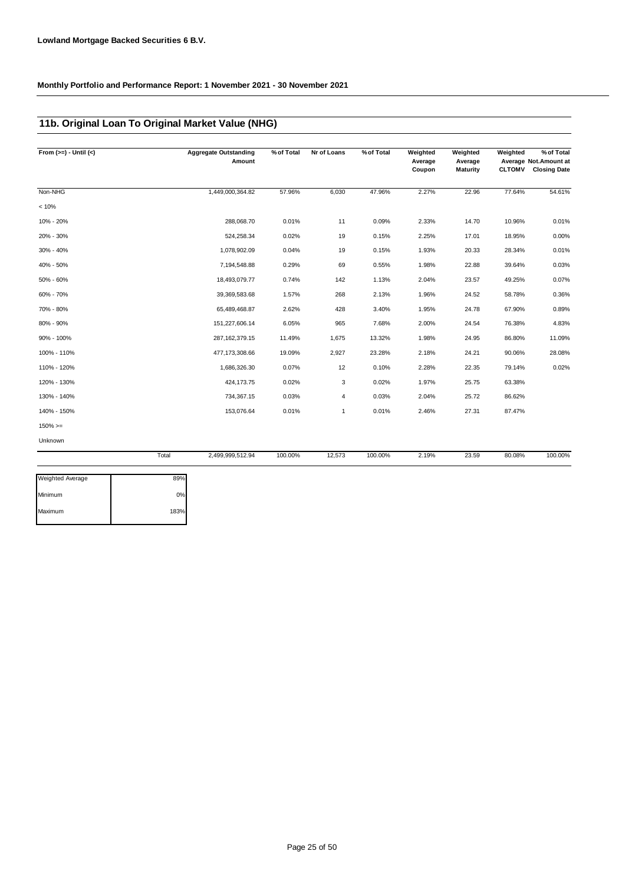## **11b. Original Loan To Original Market Value (NHG)**

| From $(>=) -$ Until $(<)$ |       | <b>Aggregate Outstanding</b><br>Amount | % of Total | Nr of Loans  | % of Total | Weighted<br>Average<br>Coupon | Weighted<br>Average<br><b>Maturity</b> | Weighted<br><b>CLTOMV</b> | % of Total<br>Average Not. Amount at<br><b>Closing Date</b> |
|---------------------------|-------|----------------------------------------|------------|--------------|------------|-------------------------------|----------------------------------------|---------------------------|-------------------------------------------------------------|
| Non-NHG                   |       | 1,449,000,364.82                       | 57.96%     | 6,030        | 47.96%     | 2.27%                         | 22.96                                  | 77.64%                    | 54.61%                                                      |
| < 10%                     |       |                                        |            |              |            |                               |                                        |                           |                                                             |
| 10% - 20%                 |       | 288,068.70                             | 0.01%      | 11           | 0.09%      | 2.33%                         | 14.70                                  | 10.96%                    | 0.01%                                                       |
| 20% - 30%                 |       | 524,258.34                             | 0.02%      | 19           | 0.15%      | 2.25%                         | 17.01                                  | 18.95%                    | 0.00%                                                       |
| 30% - 40%                 |       | 1,078,902.09                           | 0.04%      | 19           | 0.15%      | 1.93%                         | 20.33                                  | 28.34%                    | 0.01%                                                       |
| 40% - 50%                 |       | 7,194,548.88                           | 0.29%      | 69           | 0.55%      | 1.98%                         | 22.88                                  | 39.64%                    | 0.03%                                                       |
| 50% - 60%                 |       | 18,493,079.77                          | 0.74%      | 142          | 1.13%      | 2.04%                         | 23.57                                  | 49.25%                    | 0.07%                                                       |
| 60% - 70%                 |       | 39,369,583.68                          | 1.57%      | 268          | 2.13%      | 1.96%                         | 24.52                                  | 58.78%                    | 0.36%                                                       |
| 70% - 80%                 |       | 65,489,468.87                          | 2.62%      | 428          | 3.40%      | 1.95%                         | 24.78                                  | 67.90%                    | 0.89%                                                       |
| 80% - 90%                 |       | 151,227,606.14                         | 6.05%      | 965          | 7.68%      | 2.00%                         | 24.54                                  | 76.38%                    | 4.83%                                                       |
| 90% - 100%                |       | 287, 162, 379. 15                      | 11.49%     | 1,675        | 13.32%     | 1.98%                         | 24.95                                  | 86.80%                    | 11.09%                                                      |
| 100% - 110%               |       | 477, 173, 308.66                       | 19.09%     | 2,927        | 23.28%     | 2.18%                         | 24.21                                  | 90.06%                    | 28.08%                                                      |
| 110% - 120%               |       | 1,686,326.30                           | 0.07%      | 12           | 0.10%      | 2.28%                         | 22.35                                  | 79.14%                    | 0.02%                                                       |
| 120% - 130%               |       | 424,173.75                             | 0.02%      | 3            | 0.02%      | 1.97%                         | 25.75                                  | 63.38%                    |                                                             |
| 130% - 140%               |       | 734,367.15                             | 0.03%      | 4            | 0.03%      | 2.04%                         | 25.72                                  | 86.62%                    |                                                             |
| 140% - 150%               |       | 153,076.64                             | 0.01%      | $\mathbf{1}$ | 0.01%      | 2.46%                         | 27.31                                  | 87.47%                    |                                                             |
| $150\%>=$                 |       |                                        |            |              |            |                               |                                        |                           |                                                             |
| Unknown                   |       |                                        |            |              |            |                               |                                        |                           |                                                             |
|                           | Total | 2,499,999,512.94                       | 100.00%    | 12,573       | 100.00%    | 2.19%                         | 23.59                                  | 80.08%                    | 100.00%                                                     |
| Weighted Average          | 89%   |                                        |            |              |            |                               |                                        |                           |                                                             |

| <b>Weighted Average</b> | 89%  |
|-------------------------|------|
| Minimum                 | 0%   |
| Maximum                 | 183% |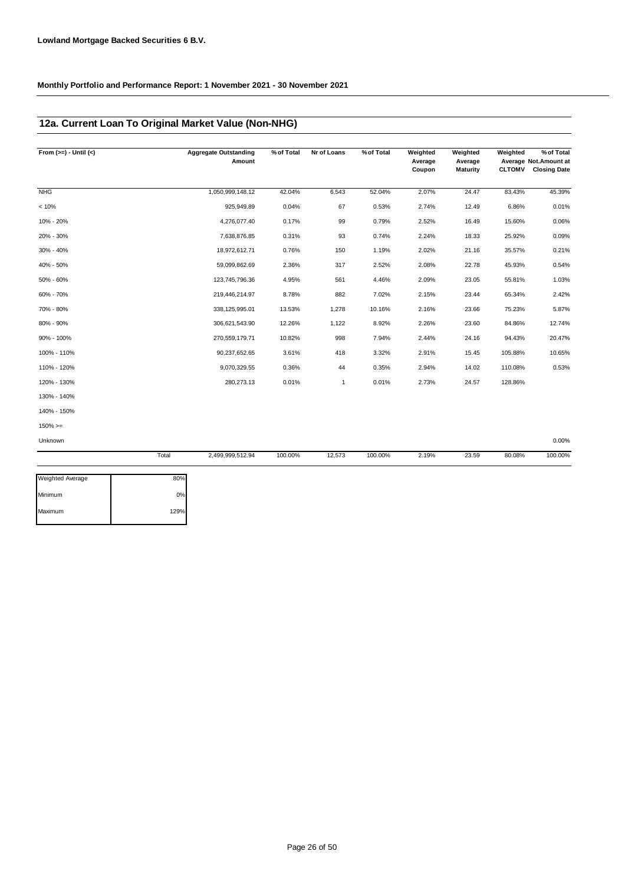## **12a. Current Loan To Original Market Value (Non-NHG)**

| From $(>=) -$ Until $(<)$ | <b>Aggregate Outstanding</b><br>Amount | % of Total | Nr of Loans | % of Total | Weighted<br>Average<br>Coupon | Weighted<br>Average<br><b>Maturity</b> | Weighted<br><b>CLTOMV</b> | % of Total<br>Average Not. Amount at<br><b>Closing Date</b> |
|---------------------------|----------------------------------------|------------|-------------|------------|-------------------------------|----------------------------------------|---------------------------|-------------------------------------------------------------|
| <b>NHG</b>                | 1,050,999,148.12                       | 42.04%     | 6,543       | 52.04%     | 2.07%                         | 24.47                                  | 83.43%                    | 45.39%                                                      |
| < 10%                     | 925,949.89                             | 0.04%      | 67          | 0.53%      | 2.74%                         | 12.49                                  | 6.86%                     | 0.01%                                                       |
| 10% - 20%                 | 4,276,077.40                           | 0.17%      | 99          | 0.79%      | 2.52%                         | 16.49                                  | 15.60%                    | 0.06%                                                       |
| 20% - 30%                 | 7,638,876.85                           | 0.31%      | 93          | 0.74%      | 2.24%                         | 18.33                                  | 25.92%                    | 0.09%                                                       |
| 30% - 40%                 | 18,972,612.71                          | 0.76%      | 150         | 1.19%      | 2.02%                         | 21.16                                  | 35.57%                    | 0.21%                                                       |
| 40% - 50%                 | 59,099,862.69                          | 2.36%      | 317         | 2.52%      | 2.08%                         | 22.78                                  | 45.93%                    | 0.54%                                                       |
| 50% - 60%                 | 123,745,796.36                         | 4.95%      | 561         | 4.46%      | 2.09%                         | 23.05                                  | 55.81%                    | 1.03%                                                       |
| 60% - 70%                 | 219,446,214.97                         | 8.78%      | 882         | 7.02%      | 2.15%                         | 23.44                                  | 65.34%                    | 2.42%                                                       |
| 70% - 80%                 | 338, 125, 995.01                       | 13.53%     | 1,278       | 10.16%     | 2.16%                         | 23.66                                  | 75.23%                    | 5.87%                                                       |
| 80% - 90%                 | 306,621,543.90                         | 12.26%     | 1,122       | 8.92%      | 2.26%                         | 23.60                                  | 84.86%                    | 12.74%                                                      |
| 90% - 100%                | 270,559,179.71                         | 10.82%     | 998         | 7.94%      | 2.44%                         | 24.16                                  | 94.43%                    | 20.47%                                                      |
| 100% - 110%               | 90,237,652.65                          | 3.61%      | 418         | 3.32%      | 2.91%                         | 15.45                                  | 105.88%                   | 10.65%                                                      |
| 110% - 120%               | 9,070,329.55                           | 0.36%      | 44          | 0.35%      | 2.94%                         | 14.02                                  | 110.08%                   | 0.53%                                                       |
| 120% - 130%               | 280, 273. 13                           | 0.01%      | 1           | 0.01%      | 2.73%                         | 24.57                                  | 128.86%                   |                                                             |
| 130% - 140%               |                                        |            |             |            |                               |                                        |                           |                                                             |
| 140% - 150%               |                                        |            |             |            |                               |                                        |                           |                                                             |
| $150\%>=$                 |                                        |            |             |            |                               |                                        |                           |                                                             |
| Unknown                   |                                        |            |             |            |                               |                                        |                           | 0.00%                                                       |
|                           | Total<br>2,499,999,512.94              | 100.00%    | 12,573      | 100.00%    | 2.19%                         | 23.59                                  | 80.08%                    | 100.00%                                                     |

| 80%  |
|------|
| 0%   |
| 129% |
|      |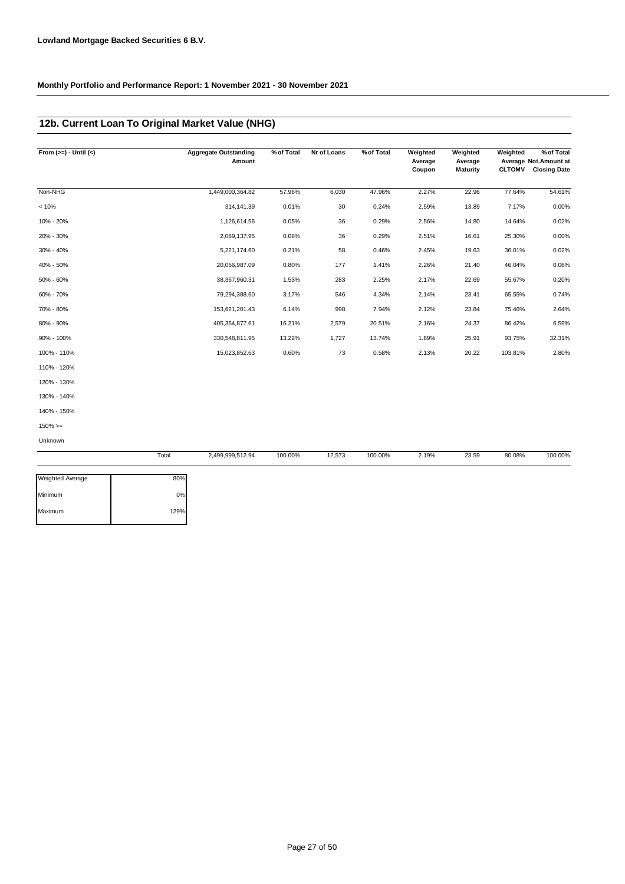### **12b. Current Loan To Original Market Value (NHG)**

| From $(>=) -$ Until $(<)$ |       | <b>Aggregate Outstanding</b><br>Amount | % of Total | Nr of Loans | % of Total | Weighted<br>Average<br>Coupon | Weighted<br>Average<br><b>Maturity</b> | Weighted<br><b>CLTOMV</b> | % of Total<br>Average Not.Amount at<br><b>Closing Date</b> |
|---------------------------|-------|----------------------------------------|------------|-------------|------------|-------------------------------|----------------------------------------|---------------------------|------------------------------------------------------------|
| Non-NHG                   |       | 1,449,000,364.82                       | 57.96%     | 6,030       | 47.96%     | 2.27%                         | 22.96                                  | 77.64%                    | 54.61%                                                     |
| < 10%                     |       | 314, 141.39                            | 0.01%      | 30          | 0.24%      | 2.59%                         | 13.89                                  | 7.17%                     | 0.00%                                                      |
| 10% - 20%                 |       | 1,126,614.56                           | 0.05%      | 36          | 0.29%      | 2.56%                         | 14.80                                  | 14.64%                    | 0.02%                                                      |
| 20% - 30%                 |       | 2,069,137.95                           | 0.08%      | 36          | 0.29%      | 2.51%                         | 16.61                                  | 25.30%                    | 0.00%                                                      |
| 30% - 40%                 |       | 5,221,174.60                           | 0.21%      | 58          | 0.46%      | 2.45%                         | 19.63                                  | 36.01%                    | 0.02%                                                      |
| 40% - 50%                 |       | 20,056,987.09                          | 0.80%      | 177         | 1.41%      | 2.26%                         | 21.40                                  | 46.04%                    | 0.06%                                                      |
| 50% - 60%                 |       | 38,367,960.31                          | 1.53%      | 283         | 2.25%      | 2.17%                         | 22.69                                  | 55.67%                    | 0.20%                                                      |
| 60% - 70%                 |       | 79,294,388.60                          | 3.17%      | 546         | 4.34%      | 2.14%                         | 23.41                                  | 65.55%                    | 0.74%                                                      |
| 70% - 80%                 |       | 153,621,201.43                         | 6.14%      | 998         | 7.94%      | 2.12%                         | 23.84                                  | 75.46%                    | 2.64%                                                      |
| 80% - 90%                 |       | 405,354,877.61                         | 16.21%     | 2,579       | 20.51%     | 2.16%                         | 24.37                                  | 86.42%                    | 6.59%                                                      |
| 90% - 100%                |       | 330,548,811.95                         | 13.22%     | 1,727       | 13.74%     | 1.89%                         | 25.91                                  | 93.75%                    | 32.31%                                                     |
| 100% - 110%               |       | 15,023,852.63                          | 0.60%      | 73          | 0.58%      | 2.13%                         | 20.22                                  | 103.81%                   | 2.80%                                                      |
| 110% - 120%               |       |                                        |            |             |            |                               |                                        |                           |                                                            |
| 120% - 130%               |       |                                        |            |             |            |                               |                                        |                           |                                                            |
| 130% - 140%               |       |                                        |            |             |            |                               |                                        |                           |                                                            |
| 140% - 150%               |       |                                        |            |             |            |                               |                                        |                           |                                                            |
| $150\% > =$               |       |                                        |            |             |            |                               |                                        |                           |                                                            |
| Unknown                   |       |                                        |            |             |            |                               |                                        |                           |                                                            |
|                           | Total | 2,499,999,512.94                       | 100.00%    | 12,573      | 100.00%    | 2.19%                         | 23.59                                  | 80.08%                    | 100.00%                                                    |

| 80%  |
|------|
| 0%   |
| 129% |
|      |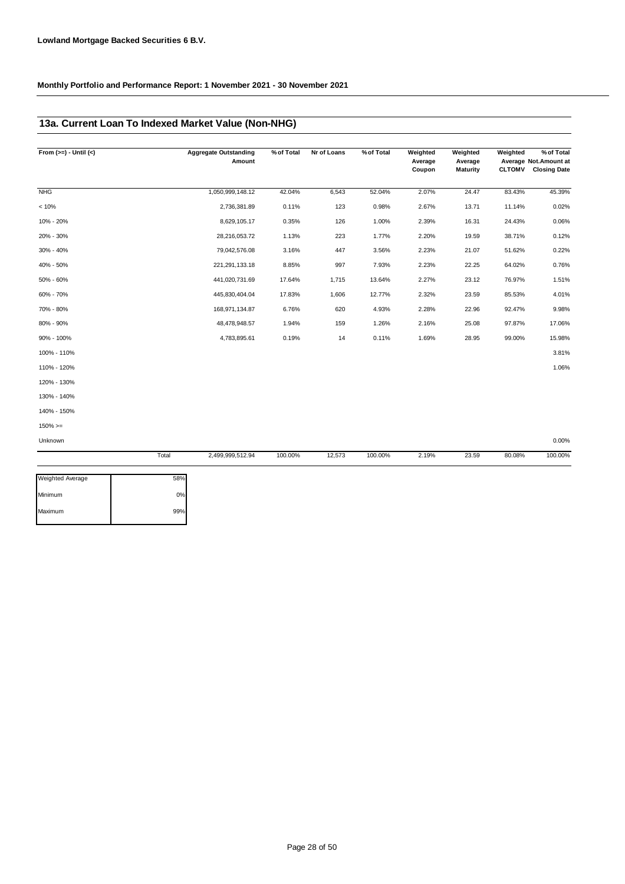### **13a. Current Loan To Indexed Market Value (Non-NHG)**

| From $(>=) -$ Until $(<)$ | <b>Aggregate Outstanding</b><br>Amount | % of Total | Nr of Loans | % of Total | Weighted<br>Average<br>Coupon | Weighted<br>Average<br><b>Maturity</b> | Weighted | % of Total<br>Average Not.Amount at<br><b>CLTOMV</b> Closing Date |
|---------------------------|----------------------------------------|------------|-------------|------------|-------------------------------|----------------------------------------|----------|-------------------------------------------------------------------|
| <b>NHG</b>                | 1,050,999,148.12                       | 42.04%     | 6,543       | 52.04%     | 2.07%                         | 24.47                                  | 83.43%   | 45.39%                                                            |
| < 10%                     | 2,736,381.89                           | 0.11%      | 123         | 0.98%      | 2.67%                         | 13.71                                  | 11.14%   | 0.02%                                                             |
| 10% - 20%                 | 8,629,105.17                           | 0.35%      | 126         | 1.00%      | 2.39%                         | 16.31                                  | 24.43%   | 0.06%                                                             |
| 20% - 30%                 | 28,216,053.72                          | 1.13%      | 223         | 1.77%      | 2.20%                         | 19.59                                  | 38.71%   | 0.12%                                                             |
| 30% - 40%                 | 79,042,576.08                          | 3.16%      | 447         | 3.56%      | 2.23%                         | 21.07                                  | 51.62%   | 0.22%                                                             |
| 40% - 50%                 | 221, 291, 133. 18                      | 8.85%      | 997         | 7.93%      | 2.23%                         | 22.25                                  | 64.02%   | 0.76%                                                             |
| 50% - 60%                 | 441,020,731.69                         | 17.64%     | 1,715       | 13.64%     | 2.27%                         | 23.12                                  | 76.97%   | 1.51%                                                             |
| 60% - 70%                 | 445,830,404.04                         | 17.83%     | 1,606       | 12.77%     | 2.32%                         | 23.59                                  | 85.53%   | 4.01%                                                             |
| 70% - 80%                 | 168,971,134.87                         | 6.76%      | 620         | 4.93%      | 2.28%                         | 22.96                                  | 92.47%   | 9.98%                                                             |
| 80% - 90%                 | 48,478,948.57                          | 1.94%      | 159         | 1.26%      | 2.16%                         | 25.08                                  | 97.87%   | 17.06%                                                            |
| 90% - 100%                | 4,783,895.61                           | 0.19%      | 14          | 0.11%      | 1.69%                         | 28.95                                  | 99.00%   | 15.98%                                                            |
| 100% - 110%               |                                        |            |             |            |                               |                                        |          | 3.81%                                                             |
| 110% - 120%               |                                        |            |             |            |                               |                                        |          | 1.06%                                                             |
| 120% - 130%               |                                        |            |             |            |                               |                                        |          |                                                                   |
| 130% - 140%               |                                        |            |             |            |                               |                                        |          |                                                                   |
| 140% - 150%               |                                        |            |             |            |                               |                                        |          |                                                                   |
| $150\%>=$                 |                                        |            |             |            |                               |                                        |          |                                                                   |
| Unknown                   |                                        |            |             |            |                               |                                        |          | 0.00%                                                             |
|                           | Total<br>2,499,999,512.94              | 100.00%    | 12,573      | 100.00%    | 2.19%                         | 23.59                                  | 80.08%   | 100.00%                                                           |

| 58% |
|-----|
| 0%  |
| 99% |
|     |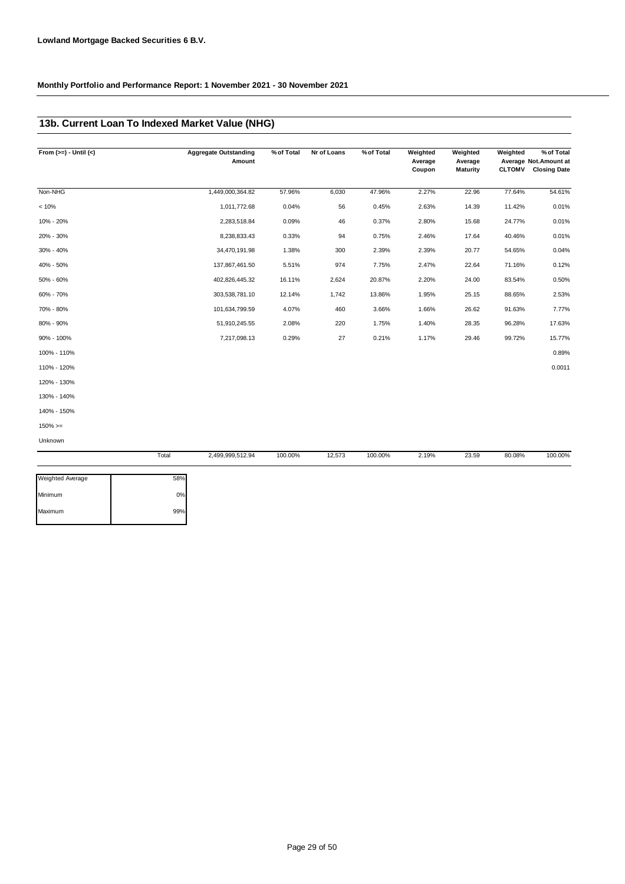## **13b. Current Loan To Indexed Market Value (NHG)**

| From $(>=) -$ Until $(<)$ |       | <b>Aggregate Outstanding</b><br>Amount | % of Total | Nr of Loans | % of Total | Weighted<br>Average<br>Coupon | Weighted<br>Average<br><b>Maturity</b> | Weighted<br><b>CLTOMV</b> | % of Total<br>Average Not.Amount at<br><b>Closing Date</b> |
|---------------------------|-------|----------------------------------------|------------|-------------|------------|-------------------------------|----------------------------------------|---------------------------|------------------------------------------------------------|
| Non-NHG                   |       | 1,449,000,364.82                       | 57.96%     | 6,030       | 47.96%     | 2.27%                         | 22.96                                  | 77.64%                    | 54.61%                                                     |
| < 10%                     |       | 1,011,772.68                           | 0.04%      | 56          | 0.45%      | 2.63%                         | 14.39                                  | 11.42%                    | 0.01%                                                      |
| 10% - 20%                 |       | 2,283,518.84                           | 0.09%      | 46          | 0.37%      | 2.80%                         | 15.68                                  | 24.77%                    | 0.01%                                                      |
| 20% - 30%                 |       | 8,238,833.43                           | 0.33%      | 94          | 0.75%      | 2.46%                         | 17.64                                  | 40.46%                    | 0.01%                                                      |
| 30% - 40%                 |       | 34,470,191.98                          | 1.38%      | 300         | 2.39%      | 2.39%                         | 20.77                                  | 54.65%                    | 0.04%                                                      |
| 40% - 50%                 |       | 137,867,461.50                         | 5.51%      | 974         | 7.75%      | 2.47%                         | 22.64                                  | 71.16%                    | 0.12%                                                      |
| 50% - 60%                 |       | 402,826,445.32                         | 16.11%     | 2,624       | 20.87%     | 2.20%                         | 24.00                                  | 83.54%                    | 0.50%                                                      |
| 60% - 70%                 |       | 303,538,781.10                         | 12.14%     | 1,742       | 13.86%     | 1.95%                         | 25.15                                  | 88.65%                    | 2.53%                                                      |
| 70% - 80%                 |       | 101,634,799.59                         | 4.07%      | 460         | 3.66%      | 1.66%                         | 26.62                                  | 91.63%                    | 7.77%                                                      |
| 80% - 90%                 |       | 51,910,245.55                          | 2.08%      | 220         | 1.75%      | 1.40%                         | 28.35                                  | 96.28%                    | 17.63%                                                     |
| 90% - 100%                |       | 7,217,098.13                           | 0.29%      | 27          | 0.21%      | 1.17%                         | 29.46                                  | 99.72%                    | 15.77%                                                     |
| 100% - 110%               |       |                                        |            |             |            |                               |                                        |                           | 0.89%                                                      |
| 110% - 120%               |       |                                        |            |             |            |                               |                                        |                           | 0.0011                                                     |
| 120% - 130%               |       |                                        |            |             |            |                               |                                        |                           |                                                            |
| 130% - 140%               |       |                                        |            |             |            |                               |                                        |                           |                                                            |
| 140% - 150%               |       |                                        |            |             |            |                               |                                        |                           |                                                            |
| $150\%>=$                 |       |                                        |            |             |            |                               |                                        |                           |                                                            |
| Unknown                   |       |                                        |            |             |            |                               |                                        |                           |                                                            |
|                           | Total | 2.499.999.512.94                       | 100.00%    | 12,573      | 100.00%    | 2.19%                         | 23.59                                  | 80.08%                    | 100.00%                                                    |

| <b>Weighted Average</b> | 58% |
|-------------------------|-----|
| Minimum                 | 0%  |
| Maximum                 | 99% |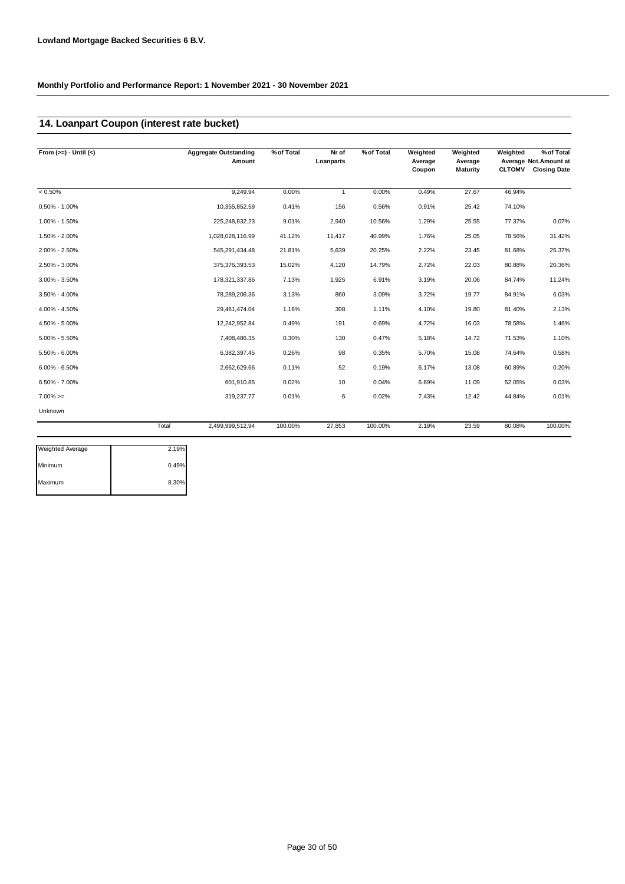## **14. Loanpart Coupon (interest rate bucket)**

| From $(>=) -$ Until $(<)$ | <b>Aggregate Outstanding</b> | % of Total<br>Amount  | Nr of<br>Loanparts | % of Total | Weighted<br>Average<br>Coupon | Weighted<br>Average<br><b>Maturity</b> | Weighted<br><b>CLTOMV</b> | % of Total<br>Average Not. Amount at<br><b>Closing Date</b> |
|---------------------------|------------------------------|-----------------------|--------------------|------------|-------------------------------|----------------------------------------|---------------------------|-------------------------------------------------------------|
| $< 0.50\%$                |                              | 9,249.94<br>0.00%     | 1                  | 0.00%      | 0.49%                         | 27.67                                  | 46.94%                    |                                                             |
| $0.50\% - 1.00\%$         | 10,355,852.59                | 0.41%                 | 156                | 0.56%      | 0.91%                         | 25.42                                  | 74.10%                    |                                                             |
| 1.00% - 1.50%             | 225,248,832.23               | 9.01%                 | 2,940              | 10.56%     | 1.29%                         | 25.55                                  | 77.37%                    | 0.07%                                                       |
| 1.50% - 2.00%             | 1,028,028,116.99             | 41.12%                | 11,417             | 40.99%     | 1.76%                         | 25.05                                  | 78.56%                    | 31.42%                                                      |
| $2.00\% - 2.50\%$         | 545,291,434.48               | 21.81%                | 5,639              | 20.25%     | 2.22%                         | 23.45                                  | 81.68%                    | 25.37%                                                      |
| 2.50% - 3.00%             | 375,376,393.53               | 15.02%                | 4,120              | 14.79%     | 2.72%                         | 22.03                                  | 80.88%                    | 20.36%                                                      |
| 3.00% - 3.50%             | 178,321,337.86               | 7.13%                 | 1,925              | 6.91%      | 3.19%                         | 20.06                                  | 84.74%                    | 11.24%                                                      |
| 3.50% - 4.00%             | 78,289,206.36                | 3.13%                 | 860                | 3.09%      | 3.72%                         | 19.77                                  | 84.91%                    | 6.03%                                                       |
| 4.00% - 4.50%             | 29,461,474.04                | 1.18%                 | 308                | 1.11%      | 4.10%                         | 19.80                                  | 81.40%                    | 2.13%                                                       |
| 4.50% - 5.00%             | 12,242,952.84                | 0.49%                 | 191                | 0.69%      | 4.72%                         | 16.03                                  | 78.58%                    | 1.46%                                                       |
| $5.00\% - 5.50\%$         |                              | 7,408,486.35<br>0.30% | 130                | 0.47%      | 5.18%                         | 14.72                                  | 71.53%                    | 1.10%                                                       |
| 5.50% - 6.00%             |                              | 0.26%<br>6,382,397.45 | 98                 | 0.35%      | 5.70%                         | 15.08                                  | 74.64%                    | 0.58%                                                       |
| $6.00\% - 6.50\%$         |                              | 0.11%<br>2,662,629.66 | 52                 | 0.19%      | 6.17%                         | 13.08                                  | 60.89%                    | 0.20%                                                       |
| $6.50\% - 7.00\%$         |                              | 601,910.85<br>0.02%   | 10                 | 0.04%      | 6.69%                         | 11.09                                  | 52.05%                    | 0.03%                                                       |
| $7.00\%>=$                |                              | 319,237.77<br>0.01%   | 6                  | 0.02%      | 7.43%                         | 12.42                                  | 44.84%                    | 0.01%                                                       |
| Unknown                   |                              |                       |                    |            |                               |                                        |                           |                                                             |
|                           | Total<br>2,499,999,512.94    | 100.00%               | 27,853             | 100.00%    | 2.19%                         | 23.59                                  | 80.08%                    | 100.00%                                                     |

| <b>Weighted Average</b> | 2.19% |
|-------------------------|-------|
| Minimum                 | 0.49% |
| Maximum                 | 8.30% |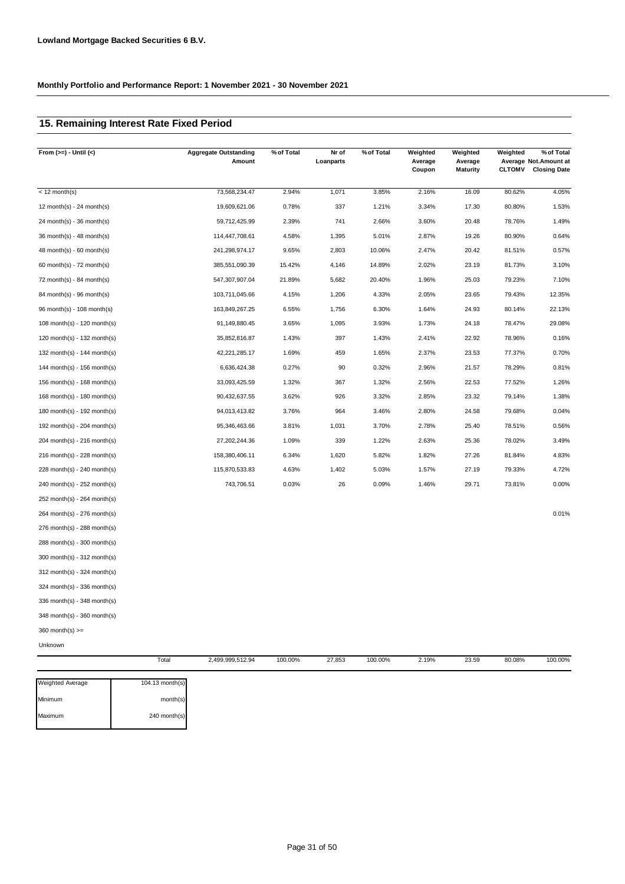### **15. Remaining Interest Rate Fixed Period**

| From $(>=) -$ Until $($     | <b>Aggregate Outstanding</b> | % of Total<br>Amount | Nr of<br>Loanparts | % of Total | Weighted<br>Average<br>Coupon | Weighted<br>Average<br><b>Maturity</b> | Weighted<br><b>CLTOMV</b> | % of Total<br>Average Not.Amount at<br><b>Closing Date</b> |
|-----------------------------|------------------------------|----------------------|--------------------|------------|-------------------------------|----------------------------------------|---------------------------|------------------------------------------------------------|
|                             |                              |                      |                    |            |                               |                                        |                           |                                                            |
| $<$ 12 month(s)             | 73,568,234.47                | 2.94%                | 1,071              | 3.85%      | 2.16%                         | 16.09                                  | 80.62%                    | 4.05%                                                      |
| 12 month(s) - 24 month(s)   | 19,609,621.06                | 0.78%                | 337                | 1.21%      | 3.34%                         | 17.30                                  | 80.80%                    | 1.53%                                                      |
| 24 month(s) - 36 month(s)   | 59,712,425.99                | 2.39%                | 741                | 2.66%      | 3.60%                         | 20.48                                  | 78.76%                    | 1.49%                                                      |
| 36 month(s) - 48 month(s)   | 114,447,708.61               | 4.58%                | 1,395              | 5.01%      | 2.87%                         | 19.26                                  | 80.90%                    | 0.64%                                                      |
| $48$ month(s) - 60 month(s) | 241,298,974.17               | 9.65%                | 2,803              | 10.06%     | 2.47%                         | 20.42                                  | 81.51%                    | 0.57%                                                      |
| 60 month(s) - $72$ month(s) | 385,551,090.39               | 15.42%               | 4,146              | 14.89%     | 2.02%                         | 23.19                                  | 81.73%                    | 3.10%                                                      |
| 72 month(s) - 84 month(s)   | 547,307,907.04               | 21.89%               | 5,682              | 20.40%     | 1.96%                         | 25.03                                  | 79.23%                    | 7.10%                                                      |
| 84 month(s) - 96 month(s)   | 103,711,045.66               | 4.15%                | 1,206              | 4.33%      | 2.05%                         | 23.65                                  | 79.43%                    | 12.35%                                                     |
| 96 month(s) - 108 month(s)  | 163,849,267.25               | 6.55%                | 1,756              | 6.30%      | 1.64%                         | 24.93                                  | 80.14%                    | 22.13%                                                     |
| 108 month(s) - 120 month(s) | 91,149,880.45                | 3.65%                | 1,095              | 3.93%      | 1.73%                         | 24.18                                  | 78.47%                    | 29.08%                                                     |
| 120 month(s) - 132 month(s) | 35,852,816.87                | 1.43%                | 397                | 1.43%      | 2.41%                         | 22.92                                  | 78.96%                    | 0.16%                                                      |
| 132 month(s) - 144 month(s) | 42,221,285.17                | 1.69%                | 459                | 1.65%      | 2.37%                         | 23.53                                  | 77.37%                    | 0.70%                                                      |
| 144 month(s) - 156 month(s) | 6,636,424.38                 | 0.27%                | 90                 | 0.32%      | 2.96%                         | 21.57                                  | 78.29%                    | 0.81%                                                      |
| 156 month(s) - 168 month(s) | 33,093,425.59                | 1.32%                | 367                | 1.32%      | 2.56%                         | 22.53                                  | 77.52%                    | 1.26%                                                      |
| 168 month(s) - 180 month(s) | 90,432,637.55                | 3.62%                | 926                | 3.32%      | 2.85%                         | 23.32                                  | 79.14%                    | 1.38%                                                      |
| 180 month(s) - 192 month(s) | 94,013,413.82                | 3.76%                | 964                | 3.46%      | 2.80%                         | 24.58                                  | 79.68%                    | 0.04%                                                      |
| 192 month(s) - 204 month(s) | 95,346,463.66                | 3.81%                | 1,031              | 3.70%      | 2.78%                         | 25.40                                  | 78.51%                    | 0.56%                                                      |
| 204 month(s) - 216 month(s) | 27,202,244.36                | 1.09%                | 339                | 1.22%      | 2.63%                         | 25.36                                  | 78.02%                    | 3.49%                                                      |
| 216 month(s) - 228 month(s) | 158,380,406.11               | 6.34%                | 1,620              | 5.82%      | 1.82%                         | 27.26                                  | 81.84%                    | 4.83%                                                      |
| 228 month(s) - 240 month(s) | 115,870,533.83               | 4.63%                | 1,402              | 5.03%      | 1.57%                         | 27.19                                  | 79.33%                    | 4.72%                                                      |
| 240 month(s) - 252 month(s) | 743,706.51                   | 0.03%                | 26                 | 0.09%      | 1.46%                         | 29.71                                  | 73.81%                    | 0.00%                                                      |
| 252 month(s) - 264 month(s) |                              |                      |                    |            |                               |                                        |                           |                                                            |
| 264 month(s) - 276 month(s) |                              |                      |                    |            |                               |                                        |                           | 0.01%                                                      |
| 276 month(s) - 288 month(s) |                              |                      |                    |            |                               |                                        |                           |                                                            |
| 288 month(s) - 300 month(s) |                              |                      |                    |            |                               |                                        |                           |                                                            |
| 300 month(s) - 312 month(s) |                              |                      |                    |            |                               |                                        |                           |                                                            |
| 312 month(s) - 324 month(s) |                              |                      |                    |            |                               |                                        |                           |                                                            |
| 324 month(s) - 336 month(s) |                              |                      |                    |            |                               |                                        |                           |                                                            |
| 336 month(s) - 348 month(s) |                              |                      |                    |            |                               |                                        |                           |                                                            |
| 348 month(s) - 360 month(s) |                              |                      |                    |            |                               |                                        |                           |                                                            |
| $360$ month(s) $>=$         |                              |                      |                    |            |                               |                                        |                           |                                                            |
| Unknown                     |                              |                      |                    |            |                               |                                        |                           |                                                            |
|                             | Total<br>2,499,999,512.94    | 100.00%              | 27,853             | 100.00%    | 2.19%                         | 23.59                                  | 80.08%                    | 100.00%                                                    |

| <b>Weighted Average</b> | 104.13 month(s) |
|-------------------------|-----------------|
| Minimum                 | month(s)        |
| Maximum                 | $240$ month(s)  |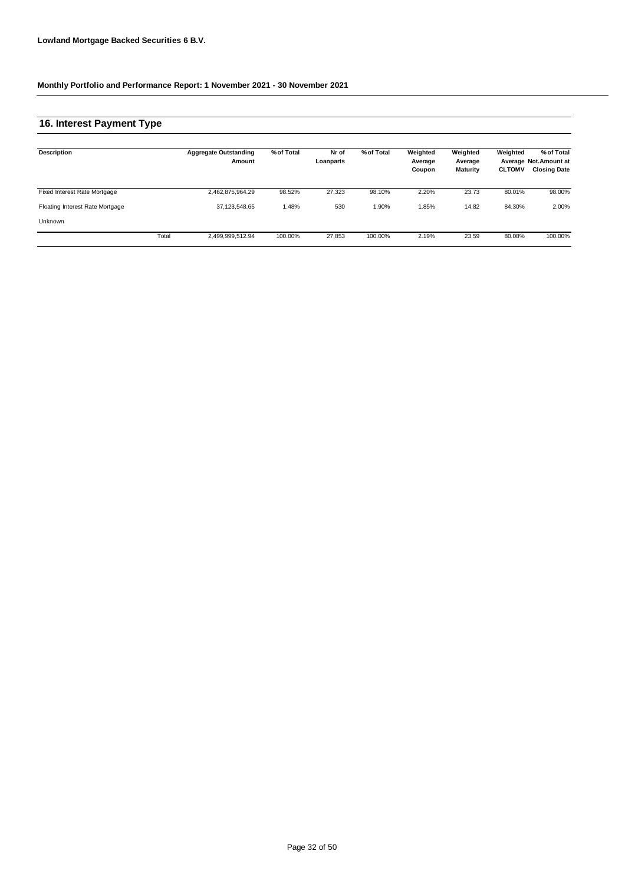## **16. Interest Payment Type**

| Description                     |       | <b>Aggregate Outstanding</b><br>Amount | % of Total | Nr of<br>Loanparts | % of Total | Weighted<br>Average<br>Coupon | Weighted<br>Average<br><b>Maturity</b> | Weighted<br><b>CLTOMV</b> | % of Total<br>Average Not.Amount at<br><b>Closing Date</b> |
|---------------------------------|-------|----------------------------------------|------------|--------------------|------------|-------------------------------|----------------------------------------|---------------------------|------------------------------------------------------------|
| Fixed Interest Rate Mortgage    |       | 2,462,875,964.29                       | 98.52%     | 27.323             | 98.10%     | 2.20%                         | 23.73                                  | 80.01%                    | 98.00%                                                     |
| Floating Interest Rate Mortgage |       | 37, 123, 548.65                        | 1.48%      | 530                | 1.90%      | 1.85%                         | 14.82                                  | 84.30%                    | 2.00%                                                      |
| Unknown                         |       |                                        |            |                    |            |                               |                                        |                           |                                                            |
|                                 | Total | 2,499,999,512.94                       | 100.00%    | 27,853             | 100.00%    | 2.19%                         | 23.59                                  | 80.08%                    | 100.00%                                                    |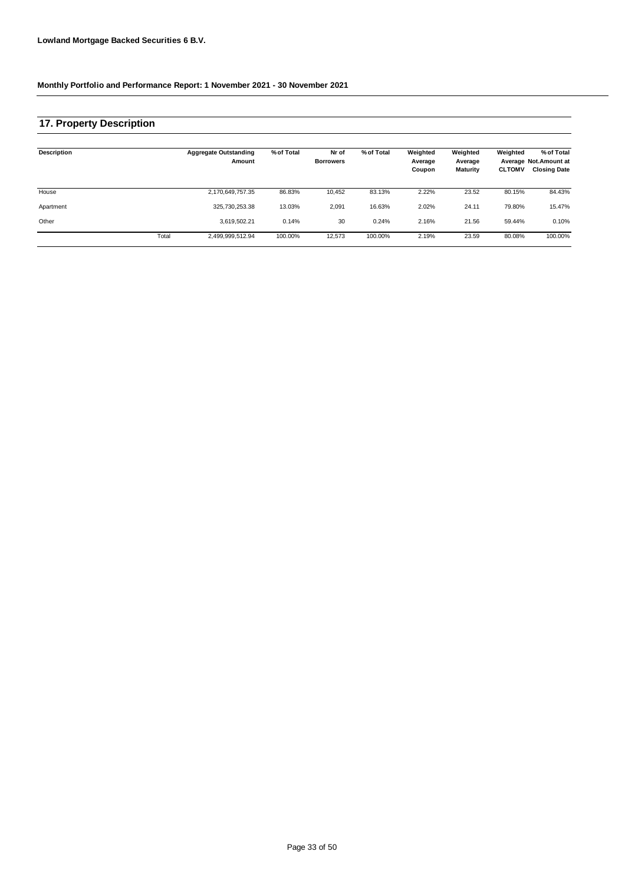### **17. Property Description**

| Description |       | <b>Aggregate Outstanding</b><br>Amount | % of Total | Nr of<br><b>Borrowers</b> | % of Total | Weighted<br>Average<br>Coupon | Weighted<br>Average<br>Maturity | Weighted<br><b>CLTOMV</b> | % of Total<br>Average Not.Amount at<br><b>Closing Date</b> |
|-------------|-------|----------------------------------------|------------|---------------------------|------------|-------------------------------|---------------------------------|---------------------------|------------------------------------------------------------|
| House       |       | 2,170,649,757.35                       | 86.83%     | 10,452                    | 83.13%     | 2.22%                         | 23.52                           | 80.15%                    | 84.43%                                                     |
| Apartment   |       | 325,730,253.38                         | 13.03%     | 2,091                     | 16.63%     | 2.02%                         | 24.11                           | 79.80%                    | 15.47%                                                     |
| Other       |       | 3,619,502.21                           | 0.14%      | 30                        | 0.24%      | 2.16%                         | 21.56                           | 59.44%                    | 0.10%                                                      |
|             | Total | 2,499,999,512.94                       | 100.00%    | 12,573                    | 100.00%    | 2.19%                         | 23.59                           | 80.08%                    | 100.00%                                                    |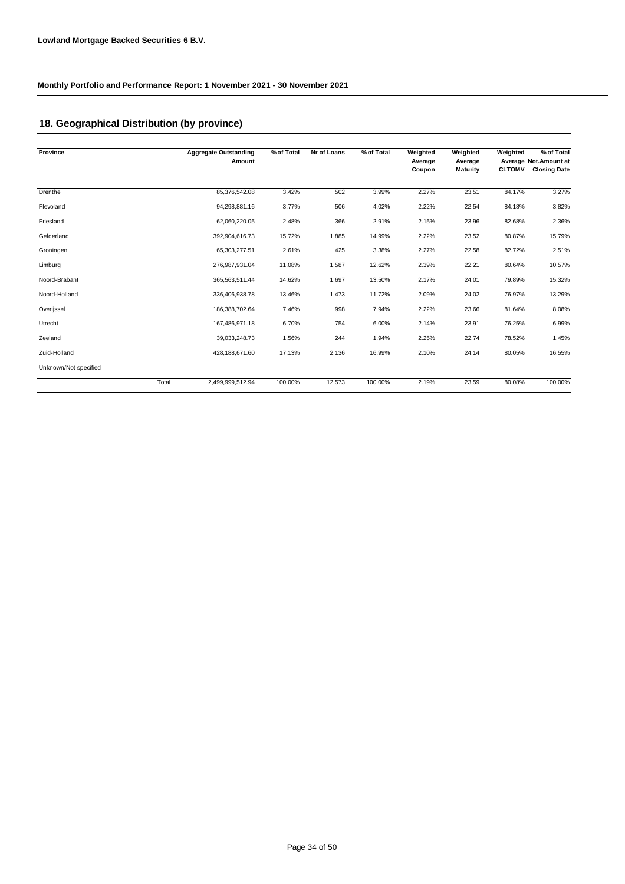## **18. Geographical Distribution (by province)**

| Province              |       | <b>Aggregate Outstanding</b><br>Amount | % of Total | Nr of Loans | % of Total | Weighted<br>Average<br>Coupon | Weighted<br>Average<br>Maturity | Weighted<br><b>CLTOMV</b> | % of Total<br>Average Not.Amount at<br><b>Closing Date</b> |
|-----------------------|-------|----------------------------------------|------------|-------------|------------|-------------------------------|---------------------------------|---------------------------|------------------------------------------------------------|
|                       |       |                                        |            |             |            |                               |                                 |                           |                                                            |
| Drenthe               |       | 85,376,542.08                          | 3.42%      | 502         | 3.99%      | 2.27%                         | 23.51                           | 84.17%                    | 3.27%                                                      |
| Flevoland             |       | 94,298,881.16                          | 3.77%      | 506         | 4.02%      | 2.22%                         | 22.54                           | 84.18%                    | 3.82%                                                      |
| Friesland             |       | 62,060,220.05                          | 2.48%      | 366         | 2.91%      | 2.15%                         | 23.96                           | 82.68%                    | 2.36%                                                      |
| Gelderland            |       | 392,904,616.73                         | 15.72%     | 1,885       | 14.99%     | 2.22%                         | 23.52                           | 80.87%                    | 15.79%                                                     |
| Groningen             |       | 65,303,277.51                          | 2.61%      | 425         | 3.38%      | 2.27%                         | 22.58                           | 82.72%                    | 2.51%                                                      |
| Limburg               |       | 276,987,931.04                         | 11.08%     | 1,587       | 12.62%     | 2.39%                         | 22.21                           | 80.64%                    | 10.57%                                                     |
| Noord-Brabant         |       | 365,563,511.44                         | 14.62%     | 1,697       | 13.50%     | 2.17%                         | 24.01                           | 79.89%                    | 15.32%                                                     |
| Noord-Holland         |       | 336,406,938.78                         | 13.46%     | 1,473       | 11.72%     | 2.09%                         | 24.02                           | 76.97%                    | 13.29%                                                     |
| Overijssel            |       | 186,388,702.64                         | 7.46%      | 998         | 7.94%      | 2.22%                         | 23.66                           | 81.64%                    | 8.08%                                                      |
| Utrecht               |       | 167,486,971.18                         | 6.70%      | 754         | 6.00%      | 2.14%                         | 23.91                           | 76.25%                    | 6.99%                                                      |
| Zeeland               |       | 39,033,248.73                          | 1.56%      | 244         | 1.94%      | 2.25%                         | 22.74                           | 78.52%                    | 1.45%                                                      |
| Zuid-Holland          |       | 428,188,671.60                         | 17.13%     | 2,136       | 16.99%     | 2.10%                         | 24.14                           | 80.05%                    | 16.55%                                                     |
| Unknown/Not specified |       |                                        |            |             |            |                               |                                 |                           |                                                            |
|                       | Total | 2,499,999,512.94                       | 100.00%    | 12,573      | 100.00%    | 2.19%                         | 23.59                           | 80.08%                    | 100.00%                                                    |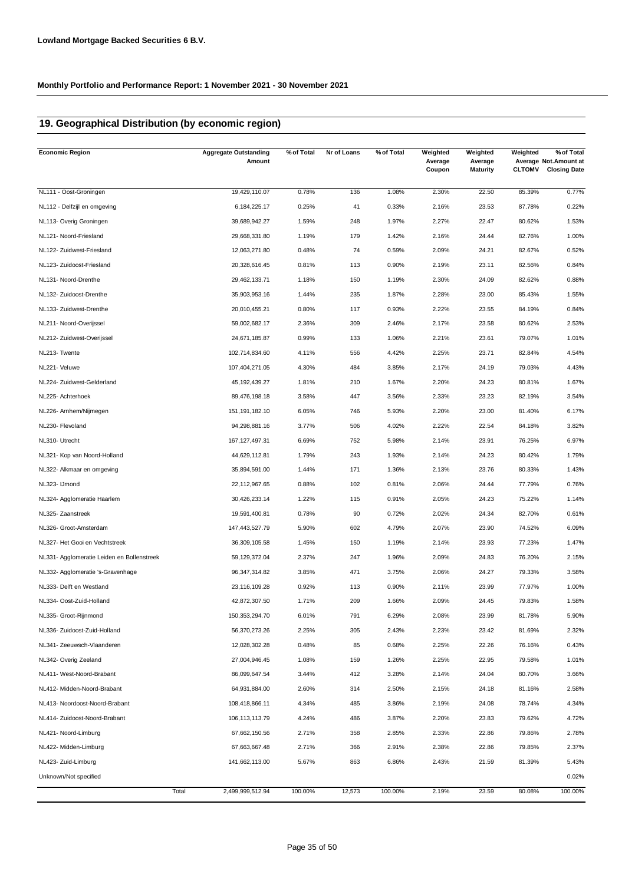## **19. Geographical Distribution (by economic region)**

| <b>Economic Region</b>                     |       | <b>Aggregate Outstanding</b><br>Amount | % of Total | Nr of Loans | % of Total | Weighted<br>Average<br>Coupon | Weighted<br>Average<br><b>Maturity</b> | Weighted<br><b>CLTOMV</b> | % of Total<br>Average Not. Amount at<br><b>Closing Date</b> |
|--------------------------------------------|-------|----------------------------------------|------------|-------------|------------|-------------------------------|----------------------------------------|---------------------------|-------------------------------------------------------------|
| NL111 - Oost-Groningen                     |       | 19,429,110.07                          | 0.78%      | 136         | 1.08%      | 2.30%                         | 22.50                                  | 85.39%                    | 0.77%                                                       |
| NL112 - Delfzijl en omgeving               |       | 6, 184, 225. 17                        | 0.25%      | 41          | 0.33%      | 2.16%                         | 23.53                                  | 87.78%                    | 0.22%                                                       |
| NL113- Overig Groningen                    |       | 39,689,942.27                          | 1.59%      | 248         | 1.97%      | 2.27%                         | 22.47                                  | 80.62%                    | 1.53%                                                       |
| NL121- Noord-Friesland                     |       | 29,668,331.80                          | 1.19%      | 179         | 1.42%      | 2.16%                         | 24.44                                  | 82.76%                    | 1.00%                                                       |
| NL122- Zuidwest-Friesland                  |       | 12,063,271.80                          | 0.48%      | 74          | 0.59%      | 2.09%                         | 24.21                                  | 82.67%                    | 0.52%                                                       |
| NL123- Zuidoost-Friesland                  |       | 20,328,616.45                          | 0.81%      | 113         | 0.90%      | 2.19%                         | 23.11                                  | 82.56%                    | 0.84%                                                       |
| NL131- Noord-Drenthe                       |       | 29,462,133.71                          | 1.18%      | 150         | 1.19%      | 2.30%                         | 24.09                                  | 82.62%                    | 0.88%                                                       |
| NL132- Zuidoost-Drenthe                    |       | 35,903,953.16                          | 1.44%      | 235         | 1.87%      | 2.28%                         | 23.00                                  | 85.43%                    | 1.55%                                                       |
| NL133- Zuidwest-Drenthe                    |       | 20,010,455.21                          | 0.80%      | 117         | 0.93%      | 2.22%                         | 23.55                                  | 84.19%                    | 0.84%                                                       |
| NL211- Noord-Overijssel                    |       | 59,002,682.17                          | 2.36%      | 309         | 2.46%      | 2.17%                         | 23.58                                  | 80.62%                    | 2.53%                                                       |
| NL212- Zuidwest-Overijssel                 |       | 24,671,185.87                          | 0.99%      | 133         | 1.06%      | 2.21%                         | 23.61                                  | 79.07%                    | 1.01%                                                       |
| NL213- Twente                              |       | 102,714,834.60                         | 4.11%      | 556         | 4.42%      | 2.25%                         | 23.71                                  | 82.84%                    | 4.54%                                                       |
| NL221- Veluwe                              |       | 107,404,271.05                         | 4.30%      | 484         | 3.85%      | 2.17%                         | 24.19                                  | 79.03%                    | 4.43%                                                       |
| NL224- Zuidwest-Gelderland                 |       | 45, 192, 439. 27                       | 1.81%      | 210         | 1.67%      | 2.20%                         | 24.23                                  | 80.81%                    | 1.67%                                                       |
| NL225- Achterhoek                          |       | 89,476,198.18                          | 3.58%      | 447         | 3.56%      | 2.33%                         | 23.23                                  | 82.19%                    | 3.54%                                                       |
| NL226- Arnhem/Nijmegen                     |       | 151, 191, 182. 10                      | 6.05%      | 746         | 5.93%      | 2.20%                         | 23.00                                  | 81.40%                    | 6.17%                                                       |
| NL230- Flevoland                           |       | 94,298,881.16                          | 3.77%      | 506         | 4.02%      | 2.22%                         | 22.54                                  | 84.18%                    | 3.82%                                                       |
| NL310- Utrecht                             |       | 167, 127, 497.31                       | 6.69%      | 752         | 5.98%      | 2.14%                         | 23.91                                  | 76.25%                    | 6.97%                                                       |
| NL321- Kop van Noord-Holland               |       | 44,629,112.81                          | 1.79%      | 243         | 1.93%      | 2.14%                         | 24.23                                  | 80.42%                    | 1.79%                                                       |
| NL322- Alkmaar en omgeving                 |       | 35,894,591.00                          | 1.44%      | 171         | 1.36%      | 2.13%                         | 23.76                                  | 80.33%                    | 1.43%                                                       |
| NL323- IJmond                              |       | 22,112,967.65                          | 0.88%      | 102         | 0.81%      | 2.06%                         | 24.44                                  | 77.79%                    | 0.76%                                                       |
| NL324- Agglomeratie Haarlem                |       | 30,426,233.14                          | 1.22%      | 115         | 0.91%      | 2.05%                         | 24.23                                  | 75.22%                    | 1.14%                                                       |
| NL325- Zaanstreek                          |       | 19,591,400.81                          | 0.78%      | 90          | 0.72%      | 2.02%                         | 24.34                                  | 82.70%                    | 0.61%                                                       |
| NL326- Groot-Amsterdam                     |       | 147,443,527.79                         | 5.90%      | 602         | 4.79%      | 2.07%                         | 23.90                                  | 74.52%                    | 6.09%                                                       |
| NL327- Het Gooi en Vechtstreek             |       | 36,309,105.58                          | 1.45%      | 150         | 1.19%      | 2.14%                         | 23.93                                  | 77.23%                    | 1.47%                                                       |
| NL331- Agglomeratie Leiden en Bollenstreek |       | 59, 129, 372.04                        | 2.37%      | 247         | 1.96%      | 2.09%                         | 24.83                                  | 76.20%                    | 2.15%                                                       |
| NL332- Agglomeratie 's-Gravenhage          |       | 96,347,314.82                          | 3.85%      | 471         | 3.75%      | 2.06%                         | 24.27                                  | 79.33%                    | 3.58%                                                       |
| NL333- Delft en Westland                   |       | 23,116,109.28                          | 0.92%      | 113         | 0.90%      | 2.11%                         | 23.99                                  | 77.97%                    | 1.00%                                                       |
| NL334- Oost-Zuid-Holland                   |       | 42,872,307.50                          | 1.71%      | 209         | 1.66%      | 2.09%                         | 24.45                                  | 79.83%                    | 1.58%                                                       |
| NL335- Groot-Rijnmond                      |       | 150, 353, 294. 70                      | 6.01%      | 791         | 6.29%      | 2.08%                         | 23.99                                  | 81.78%                    | 5.90%                                                       |
| NL336- Zuidoost-Zuid-Holland               |       | 56,370,273.26                          | 2.25%      | 305         | 2.43%      | 2.23%                         | 23.42                                  | 81.69%                    | 2.32%                                                       |
| NL341- Zeeuwsch-Vlaanderen                 |       | 12,028,302.28                          | 0.48%      | 85          | 0.68%      | 2.25%                         | 22.26                                  | 76.16%                    | 0.43%                                                       |
| NL342- Overig Zeeland                      |       | 27,004,946.45                          | 1.08%      | 159         | 1.26%      | 2.25%                         | 22.95                                  | 79.58%                    | 1.01%                                                       |
| NL411- West-Noord-Brabant                  |       | 86,099,647.54                          | 3.44%      | 412         | 3.28%      | 2.14%                         | 24.04                                  | 80.70%                    | 3.66%                                                       |
| NL412- Midden-Noord-Brabant                |       | 64,931,884.00                          | 2.60%      | 314         | 2.50%      | 2.15%                         | 24.18                                  | 81.16%                    | 2.58%                                                       |
| NL413- Noordoost-Noord-Brabant             |       | 108,418,866.11                         | 4.34%      | 485         | 3.86%      | 2.19%                         | 24.08                                  | 78.74%                    | 4.34%                                                       |
| NL414- Zuidoost-Noord-Brabant              |       | 106, 113, 113.79                       | 4.24%      | 486         | 3.87%      | 2.20%                         | 23.83                                  | 79.62%                    | 4.72%                                                       |
| NL421- Noord-Limburg                       |       | 67,662,150.56                          | 2.71%      | 358         | 2.85%      | 2.33%                         | 22.86                                  | 79.86%                    | 2.78%                                                       |
| NL422- Midden-Limburg                      |       | 67,663,667.48                          | 2.71%      | 366         | 2.91%      | 2.38%                         | 22.86                                  | 79.85%                    | 2.37%                                                       |
| NL423- Zuid-Limburg                        |       | 141,662,113.00                         | 5.67%      | 863         | 6.86%      | 2.43%                         | 21.59                                  | 81.39%                    | 5.43%                                                       |
| Unknown/Not specified                      |       |                                        |            |             |            |                               |                                        |                           | 0.02%                                                       |
|                                            | Total | 2,499,999,512.94                       | 100.00%    | 12,573      | 100.00%    | 2.19%                         | 23.59                                  | 80.08%                    | 100.00%                                                     |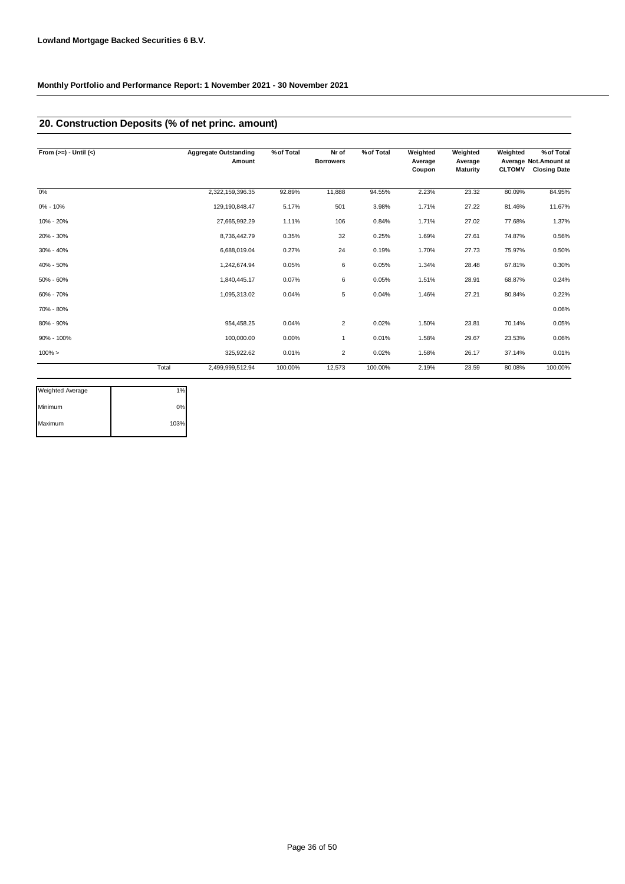## **20. Construction Deposits (% of net princ. amount)**

| From $(>=) -$ Until $(<)$ |       | <b>Aggregate Outstanding</b><br>Amount | % of Total | Nr of<br><b>Borrowers</b> | % of Total | Weighted<br>Average | Weighted<br>Average | Weighted      | % of Total<br>Average Not Amount at |
|---------------------------|-------|----------------------------------------|------------|---------------------------|------------|---------------------|---------------------|---------------|-------------------------------------|
|                           |       |                                        |            |                           |            | Coupon              | <b>Maturity</b>     | <b>CLTOMV</b> | <b>Closing Date</b>                 |
| 0%                        |       | 2,322,159,396.35                       | 92.89%     | 11,888                    | 94.55%     | 2.23%               | 23.32               | 80.09%        | 84.95%                              |
| $0\% - 10\%$              |       | 129,190,848.47                         | 5.17%      | 501                       | 3.98%      | 1.71%               | 27.22               | 81.46%        | 11.67%                              |
| 10% - 20%                 |       | 27,665,992.29                          | 1.11%      | 106                       | 0.84%      | 1.71%               | 27.02               | 77.68%        | 1.37%                               |
| 20% - 30%                 |       | 8,736,442.79                           | 0.35%      | 32                        | 0.25%      | 1.69%               | 27.61               | 74.87%        | 0.56%                               |
| $30\% - 40\%$             |       | 6,688,019.04                           | 0.27%      | 24                        | 0.19%      | 1.70%               | 27.73               | 75.97%        | 0.50%                               |
| 40% - 50%                 |       | 1,242,674.94                           | 0.05%      | 6                         | 0.05%      | 1.34%               | 28.48               | 67.81%        | 0.30%                               |
| 50% - 60%                 |       | 1,840,445.17                           | 0.07%      | 6                         | 0.05%      | 1.51%               | 28.91               | 68.87%        | 0.24%                               |
| 60% - 70%                 |       | 1,095,313.02                           | 0.04%      | 5                         | 0.04%      | 1.46%               | 27.21               | 80.84%        | 0.22%                               |
| 70% - 80%                 |       |                                        |            |                           |            |                     |                     |               | 0.06%                               |
| 80% - 90%                 |       | 954,458.25                             | 0.04%      | 2                         | 0.02%      | 1.50%               | 23.81               | 70.14%        | 0.05%                               |
| 90% - 100%                |       | 100,000.00                             | 0.00%      | 1                         | 0.01%      | 1.58%               | 29.67               | 23.53%        | 0.06%                               |
| $100\% >$                 |       | 325,922.62                             | 0.01%      | 2                         | 0.02%      | 1.58%               | 26.17               | 37.14%        | 0.01%                               |
|                           | Total | 2,499,999,512.94                       | 100.00%    | 12,573                    | 100.00%    | 2.19%               | 23.59               | 80.08%        | 100.00%                             |

| Weighted Average | 1%   |
|------------------|------|
| Minimum          | 0%   |
| Maximum          | 103% |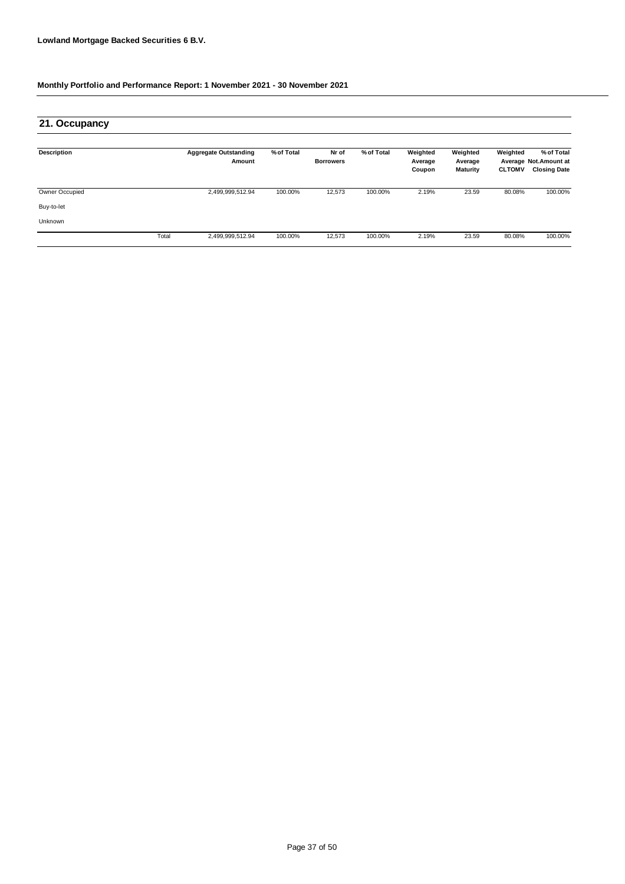| 21. Occupancy      |       |                                        |            |                           |            |                               |                                        |                           |                                                             |
|--------------------|-------|----------------------------------------|------------|---------------------------|------------|-------------------------------|----------------------------------------|---------------------------|-------------------------------------------------------------|
| <b>Description</b> |       | <b>Aggregate Outstanding</b><br>Amount | % of Total | Nr of<br><b>Borrowers</b> | % of Total | Weighted<br>Average<br>Coupon | Weighted<br>Average<br><b>Maturity</b> | Weighted<br><b>CLTOMV</b> | % of Total<br>Average Not. Amount at<br><b>Closing Date</b> |
| Owner Occupied     |       | 2,499,999,512.94                       | 100.00%    | 12,573                    | 100.00%    | 2.19%                         | 23.59                                  | 80.08%                    | 100.00%                                                     |
| Buy-to-let         |       |                                        |            |                           |            |                               |                                        |                           |                                                             |
| Unknown            |       |                                        |            |                           |            |                               |                                        |                           |                                                             |
|                    | Total | 2,499,999,512.94                       | 100.00%    | 12,573                    | 100.00%    | 2.19%                         | 23.59                                  | 80.08%                    | 100.00%                                                     |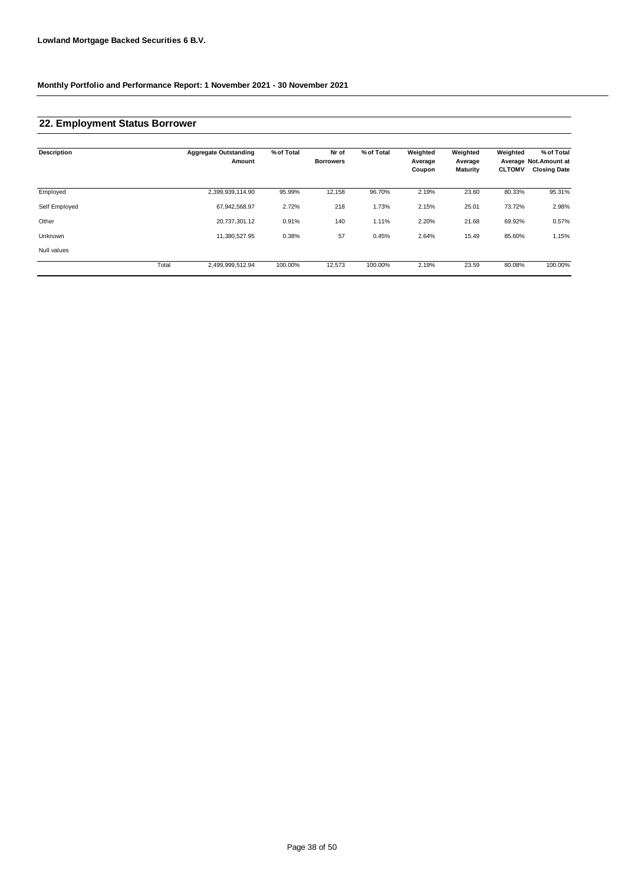### **22. Employment Status Borrower**

| <b>Description</b> |       | <b>Aggregate Outstanding</b><br>Amount | % of Total | Nr of<br><b>Borrowers</b> | % of Total | Weighted<br>Average<br>Coupon | Weighted<br>Average<br><b>Maturity</b> | Weighted<br><b>CLTOMV</b> | % of Total<br>Average Not.Amount at<br><b>Closing Date</b> |
|--------------------|-------|----------------------------------------|------------|---------------------------|------------|-------------------------------|----------------------------------------|---------------------------|------------------------------------------------------------|
| Employed           |       | 2,399,939,114.90                       | 95.99%     | 12,158                    | 96.70%     | 2.19%                         | 23.60                                  | 80.33%                    | 95.31%                                                     |
| Self Employed      |       | 67,942,568.97                          | 2.72%      | 218                       | 1.73%      | 2.15%                         | 25.01                                  | 73.72%                    | 2.98%                                                      |
| Other              |       | 20,737,301.12                          | 0.91%      | 140                       | 1.11%      | 2.20%                         | 21.68                                  | 69.92%                    | 0.57%                                                      |
| Unknown            |       | 11,380,527.95                          | 0.38%      | 57                        | 0.45%      | 2.64%                         | 15.49                                  | 85.60%                    | 1.15%                                                      |
| Null values        |       |                                        |            |                           |            |                               |                                        |                           |                                                            |
|                    | Total | 2,499,999,512.94                       | 100.00%    | 12,573                    | 100.00%    | 2.19%                         | 23.59                                  | 80.08%                    | 100.00%                                                    |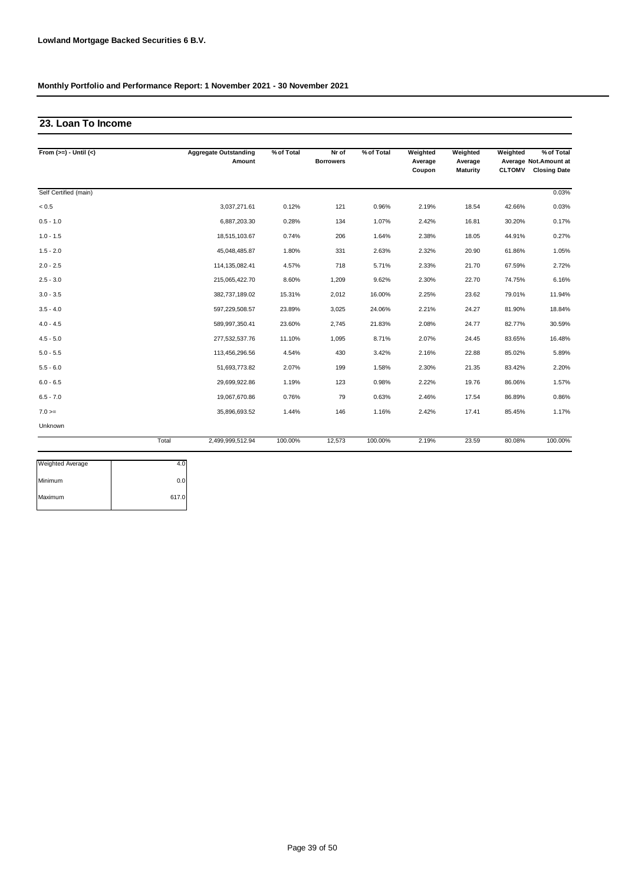### **23. Loan To Income**

| From $(>=) -$ Until $(<)$ |       | <b>Aggregate Outstanding</b><br>Amount | % of Total | Nr of<br><b>Borrowers</b> | % of Total | Weighted<br>Average<br>Coupon | Weighted<br>Average<br><b>Maturity</b> | Weighted<br><b>CLTOMV</b> | % of Total<br>Average Not.Amount at<br><b>Closing Date</b> |
|---------------------------|-------|----------------------------------------|------------|---------------------------|------------|-------------------------------|----------------------------------------|---------------------------|------------------------------------------------------------|
| Self Certified (main)     |       |                                        |            |                           |            |                               |                                        |                           | 0.03%                                                      |
| < 0.5                     |       | 3,037,271.61                           | 0.12%      | 121                       | 0.96%      | 2.19%                         | 18.54                                  | 42.66%                    | 0.03%                                                      |
| $0.5 - 1.0$               |       | 6,887,203.30                           | 0.28%      | 134                       | 1.07%      | 2.42%                         | 16.81                                  | 30.20%                    | 0.17%                                                      |
| $1.0 - 1.5$               |       | 18,515,103.67                          | 0.74%      | 206                       | 1.64%      | 2.38%                         | 18.05                                  | 44.91%                    | 0.27%                                                      |
| $1.5 - 2.0$               |       | 45,048,485.87                          | 1.80%      | 331                       | 2.63%      | 2.32%                         | 20.90                                  | 61.86%                    | 1.05%                                                      |
| $2.0 - 2.5$               |       | 114,135,082.41                         | 4.57%      | 718                       | 5.71%      | 2.33%                         | 21.70                                  | 67.59%                    | 2.72%                                                      |
| $2.5 - 3.0$               |       | 215,065,422.70                         | 8.60%      | 1,209                     | 9.62%      | 2.30%                         | 22.70                                  | 74.75%                    | 6.16%                                                      |
| $3.0 - 3.5$               |       | 382,737,189.02                         | 15.31%     | 2,012                     | 16.00%     | 2.25%                         | 23.62                                  | 79.01%                    | 11.94%                                                     |
| $3.5 - 4.0$               |       | 597,229,508.57                         | 23.89%     | 3,025                     | 24.06%     | 2.21%                         | 24.27                                  | 81.90%                    | 18.84%                                                     |
| $4.0 - 4.5$               |       | 589,997,350.41                         | 23.60%     | 2,745                     | 21.83%     | 2.08%                         | 24.77                                  | 82.77%                    | 30.59%                                                     |
| $4.5 - 5.0$               |       | 277,532,537.76                         | 11.10%     | 1,095                     | 8.71%      | 2.07%                         | 24.45                                  | 83.65%                    | 16.48%                                                     |
| $5.0 - 5.5$               |       | 113,456,296.56                         | 4.54%      | 430                       | 3.42%      | 2.16%                         | 22.88                                  | 85.02%                    | 5.89%                                                      |
| $5.5 - 6.0$               |       | 51,693,773.82                          | 2.07%      | 199                       | 1.58%      | 2.30%                         | 21.35                                  | 83.42%                    | 2.20%                                                      |
| $6.0 - 6.5$               |       | 29,699,922.86                          | 1.19%      | 123                       | 0.98%      | 2.22%                         | 19.76                                  | 86.06%                    | 1.57%                                                      |
| $6.5 - 7.0$               |       | 19,067,670.86                          | 0.76%      | 79                        | 0.63%      | 2.46%                         | 17.54                                  | 86.89%                    | 0.86%                                                      |
| $7.0 =$                   |       | 35,896,693.52                          | 1.44%      | 146                       | 1.16%      | 2.42%                         | 17.41                                  | 85.45%                    | 1.17%                                                      |
| Unknown                   |       |                                        |            |                           |            |                               |                                        |                           |                                                            |
|                           | Total | 2,499,999,512.94                       | 100.00%    | 12,573                    | 100.00%    | 2.19%                         | 23.59                                  | 80.08%                    | 100.00%                                                    |

| Weighted Average |       |
|------------------|-------|
| Minimum          | 0.0   |
| Maximum          | 617.0 |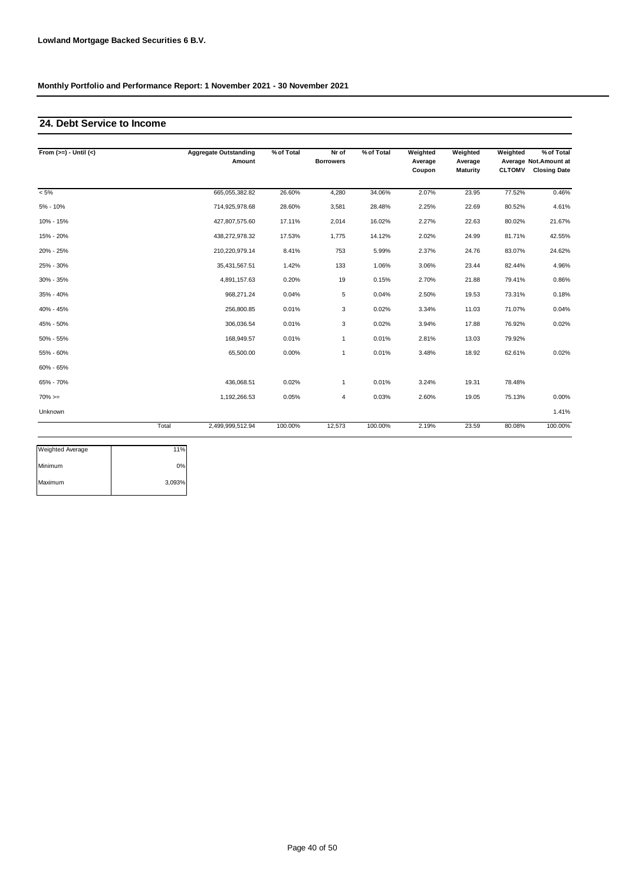### **24. Debt Service to Income**

| From $(>=) -$ Until $(<)$ |       | <b>Aggregate Outstanding</b><br>Amount | % of Total | Nr of<br><b>Borrowers</b> | % of Total | Weighted<br>Average<br>Coupon | Weighted<br>Average<br><b>Maturity</b> | Weighted<br><b>CLTOMV</b> | % of Total<br>Average Not.Amount at<br><b>Closing Date</b> |
|---------------------------|-------|----------------------------------------|------------|---------------------------|------------|-------------------------------|----------------------------------------|---------------------------|------------------------------------------------------------|
| $< 5\%$                   |       | 665,055,382.82                         | 26.60%     | 4,280                     | 34.06%     | 2.07%                         | 23.95                                  | 77.52%                    | 0.46%                                                      |
| 5% - 10%                  |       | 714,925,978.68                         | 28.60%     | 3,581                     | 28.48%     | 2.25%                         | 22.69                                  | 80.52%                    | 4.61%                                                      |
| 10% - 15%                 |       | 427,807,575.60                         | 17.11%     | 2,014                     | 16.02%     | 2.27%                         | 22.63                                  | 80.02%                    | 21.67%                                                     |
| 15% - 20%                 |       | 438,272,978.32                         | 17.53%     | 1.775                     | 14.12%     | 2.02%                         | 24.99                                  | 81.71%                    | 42.55%                                                     |
| 20% - 25%                 |       | 210,220,979.14                         | 8.41%      | 753                       | 5.99%      | 2.37%                         | 24.76                                  | 83.07%                    | 24.62%                                                     |
| 25% - 30%                 |       | 35,431,567.51                          | 1.42%      | 133                       | 1.06%      | 3.06%                         | 23.44                                  | 82.44%                    | 4.96%                                                      |
| 30% - 35%                 |       | 4,891,157.63                           | 0.20%      | 19                        | 0.15%      | 2.70%                         | 21.88                                  | 79.41%                    | 0.86%                                                      |
| 35% - 40%                 |       | 968,271.24                             | 0.04%      | 5                         | 0.04%      | 2.50%                         | 19.53                                  | 73.31%                    | 0.18%                                                      |
| 40% - 45%                 |       | 256,800.85                             | 0.01%      | 3                         | 0.02%      | 3.34%                         | 11.03                                  | 71.07%                    | 0.04%                                                      |
| 45% - 50%                 |       | 306,036.54                             | 0.01%      | 3                         | 0.02%      | 3.94%                         | 17.88                                  | 76.92%                    | 0.02%                                                      |
| 50% - 55%                 |       | 168,949.57                             | 0.01%      | $\mathbf{1}$              | 0.01%      | 2.81%                         | 13.03                                  | 79.92%                    |                                                            |
| 55% - 60%                 |       | 65,500.00                              | 0.00%      | $\mathbf{1}$              | 0.01%      | 3.48%                         | 18.92                                  | 62.61%                    | 0.02%                                                      |
| 60% - 65%                 |       |                                        |            |                           |            |                               |                                        |                           |                                                            |
| 65% - 70%                 |       | 436,068.51                             | 0.02%      | $\mathbf{1}$              | 0.01%      | 3.24%                         | 19.31                                  | 78.48%                    |                                                            |
| $70\%>=$                  |       | 1,192,266.53                           | 0.05%      | $\overline{4}$            | 0.03%      | 2.60%                         | 19.05                                  | 75.13%                    | 0.00%                                                      |
| Unknown                   |       |                                        |            |                           |            |                               |                                        |                           | 1.41%                                                      |
|                           | Total | 2,499,999,512.94                       | 100.00%    | 12,573                    | 100.00%    | 2.19%                         | 23.59                                  | 80.08%                    | 100.00%                                                    |

| <b>Weighted Average</b> | 11%    |
|-------------------------|--------|
| Minimum                 | 0%     |
| Maximum                 | 3,093% |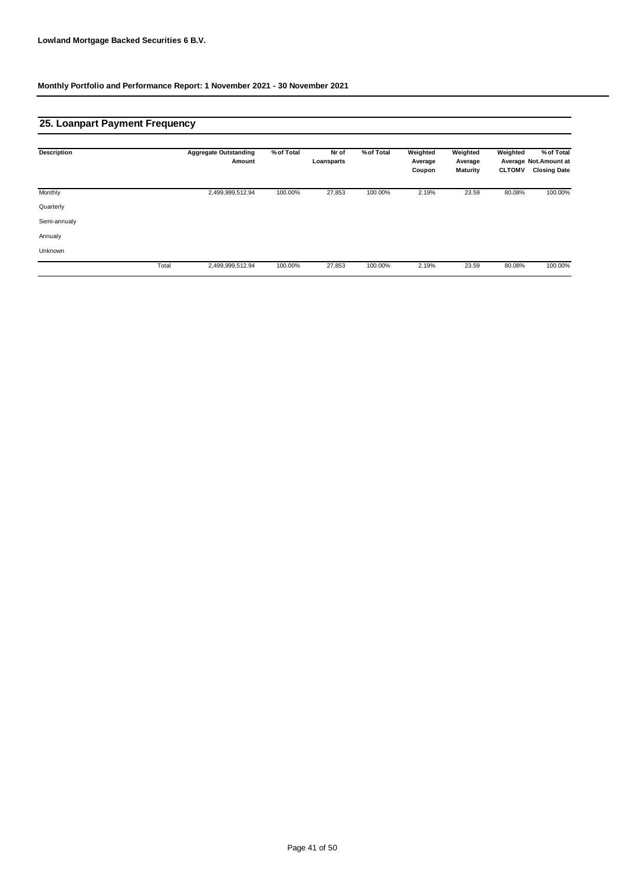## **25. Loanpart Payment Frequency**

| <b>Description</b> |       | <b>Aggregate Outstanding</b><br>Amount | % of Total | Nr of<br>Loansparts | % of Total | Weighted<br>Average<br>Coupon | Weighted<br>Average<br>Maturity | Weighted<br><b>CLTOMV</b> | % of Total<br>Average Not. Amount at<br><b>Closing Date</b> |
|--------------------|-------|----------------------------------------|------------|---------------------|------------|-------------------------------|---------------------------------|---------------------------|-------------------------------------------------------------|
| Monthly            |       | 2,499,999,512.94                       | 100.00%    | 27,853              | 100.00%    | 2.19%                         | 23.59                           | 80.08%                    | 100.00%                                                     |
| Quarterly          |       |                                        |            |                     |            |                               |                                 |                           |                                                             |
| Semi-annualy       |       |                                        |            |                     |            |                               |                                 |                           |                                                             |
| Annualy            |       |                                        |            |                     |            |                               |                                 |                           |                                                             |
| Unknown            |       |                                        |            |                     |            |                               |                                 |                           |                                                             |
|                    | Total | 2,499,999,512.94                       | 100.00%    | 27,853              | 100.00%    | 2.19%                         | 23.59                           | 80.08%                    | 100.00%                                                     |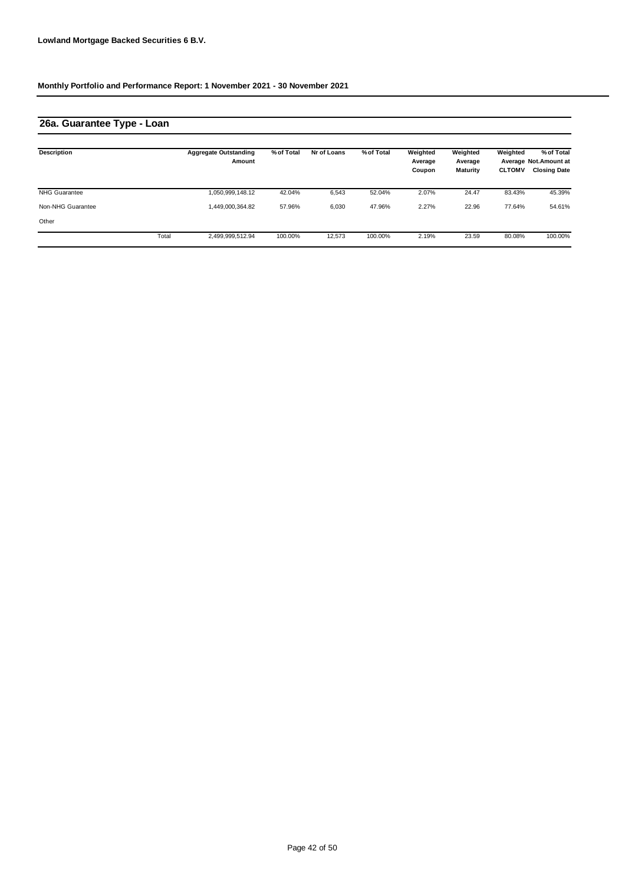## **26a. Guarantee Type - Loan**

| <b>Description</b>   |       | <b>Aggregate Outstanding</b><br>Amount | % of Total | Nr of Loans | % of Total | Weighted<br>Average<br>Coupon | Weighted<br>Average<br><b>Maturity</b> | Weighted<br><b>CLTOMV</b> | % of Total<br>Average Not. Amount at<br><b>Closing Date</b> |
|----------------------|-------|----------------------------------------|------------|-------------|------------|-------------------------------|----------------------------------------|---------------------------|-------------------------------------------------------------|
| <b>NHG Guarantee</b> |       | 1,050,999,148.12                       | 42.04%     | 6,543       | 52.04%     | 2.07%                         | 24.47                                  | 83.43%                    | 45.39%                                                      |
| Non-NHG Guarantee    |       | 1,449,000,364.82                       | 57.96%     | 6,030       | 47.96%     | 2.27%                         | 22.96                                  | 77.64%                    | 54.61%                                                      |
| Other                |       |                                        |            |             |            |                               |                                        |                           |                                                             |
|                      | Total | 2,499,999,512.94                       | 100.00%    | 12,573      | 100.00%    | 2.19%                         | 23.59                                  | 80.08%                    | 100.00%                                                     |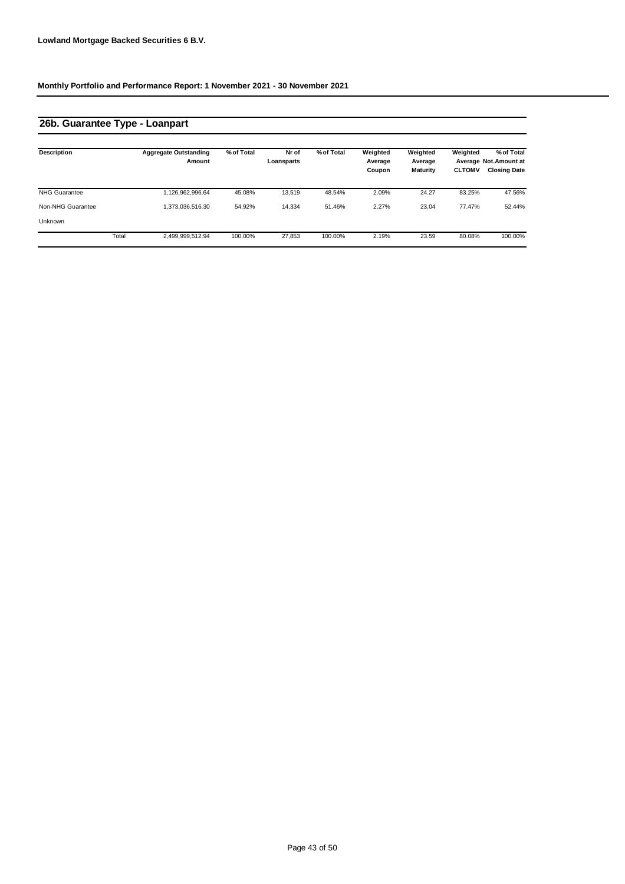# **26b. Guarantee Type - Loanpart**

| <b>Description</b>   |       | <b>Aggregate Outstanding</b><br>Amount | % of Total | Nr of<br>Loansparts | % of Total | Weighted<br>Average | Weighted<br>Average | Weighted      | % of Total<br>Average Not.Amount at |
|----------------------|-------|----------------------------------------|------------|---------------------|------------|---------------------|---------------------|---------------|-------------------------------------|
|                      |       |                                        |            |                     |            | Coupon              | Maturity            | <b>CLTOMV</b> | <b>Closing Date</b>                 |
| <b>NHG Guarantee</b> |       | 1,126,962,996.64                       | 45.08%     | 13.519              | 48.54%     | 2.09%               | 24.27               | 83.25%        | 47.56%                              |
| Non-NHG Guarantee    |       | 1,373,036,516.30                       | 54.92%     | 14.334              | 51.46%     | 2.27%               | 23.04               | 77.47%        | 52.44%                              |
| Unknown              |       |                                        |            |                     |            |                     |                     |               |                                     |
|                      | Total | 2,499,999,512.94                       | 100.00%    | 27.853              | 100.00%    | 2.19%               | 23.59               | 80.08%        | 100.00%                             |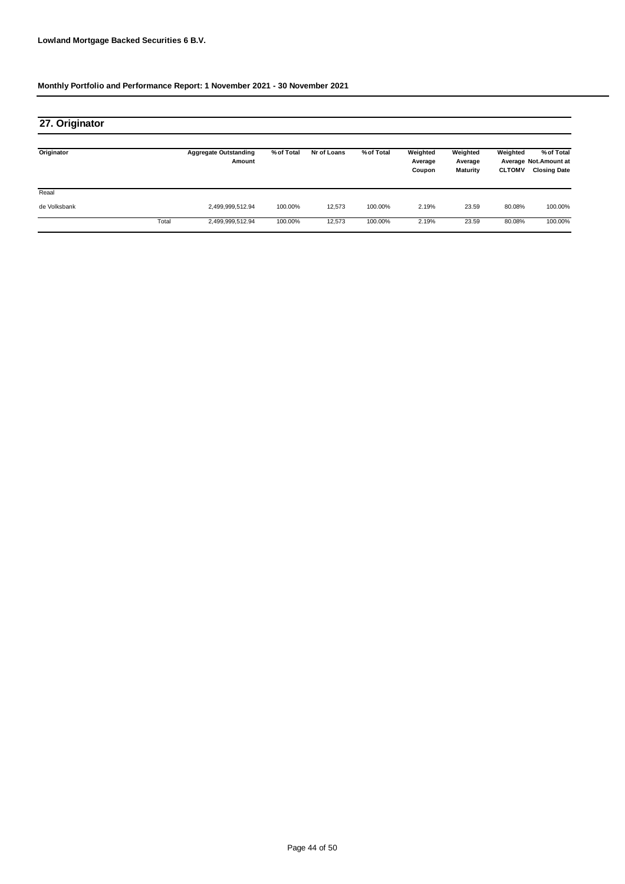| 27. Originator |       |                                        |            |             |            |                               |                                        |                           |                                                            |
|----------------|-------|----------------------------------------|------------|-------------|------------|-------------------------------|----------------------------------------|---------------------------|------------------------------------------------------------|
| Originator     |       | <b>Aggregate Outstanding</b><br>Amount | % of Total | Nr of Loans | % of Total | Weighted<br>Average<br>Coupon | Weighted<br>Average<br><b>Maturity</b> | Weighted<br><b>CLTOMV</b> | % of Total<br>Average Not Amount at<br><b>Closing Date</b> |
| Reaal          |       |                                        |            |             |            |                               |                                        |                           |                                                            |
| de Volksbank   |       | 2,499,999,512.94                       | 100.00%    | 12,573      | 100.00%    | 2.19%                         | 23.59                                  | 80.08%                    | 100.00%                                                    |
|                | Total | 2,499,999,512.94                       | 100.00%    | 12,573      | 100.00%    | 2.19%                         | 23.59                                  | 80.08%                    | 100.00%                                                    |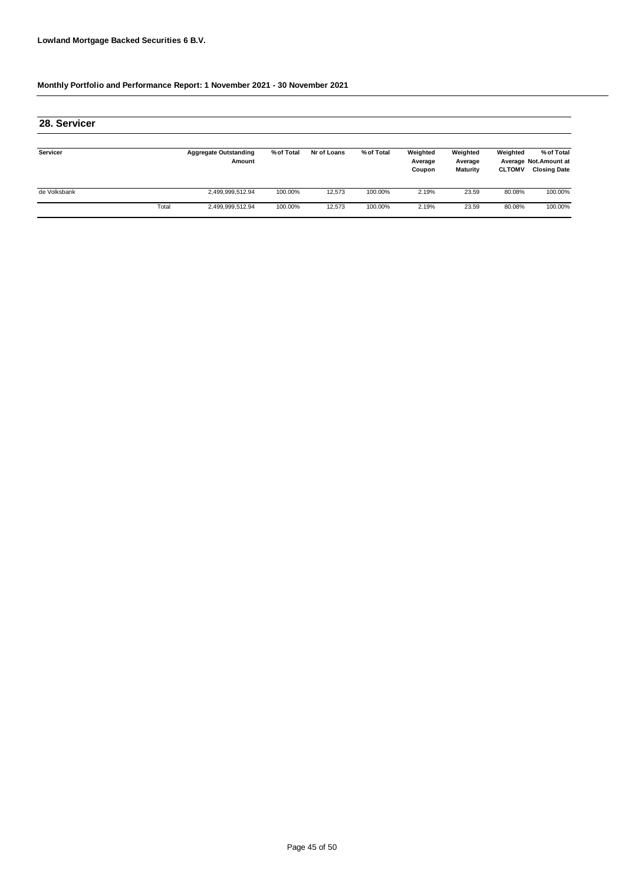| 28. Servicer |       |                                        |            |             |            |                               |                                        |                           |                                                            |
|--------------|-------|----------------------------------------|------------|-------------|------------|-------------------------------|----------------------------------------|---------------------------|------------------------------------------------------------|
| Servicer     |       | <b>Aggregate Outstanding</b><br>Amount | % of Total | Nr of Loans | % of Total | Weighted<br>Average<br>Coupon | Weighted<br>Average<br><b>Maturity</b> | Weighted<br><b>CLTOMV</b> | % of Total<br>Average Not.Amount at<br><b>Closing Date</b> |
| de Volksbank |       | 2,499,999,512.94                       | 100.00%    | 12.573      | 100.00%    | 2.19%                         | 23.59                                  | 80.08%                    | 100.00%                                                    |
|              | Total | 2,499,999,512.94                       | 100.00%    | 12,573      | 100.00%    | 2.19%                         | 23.59                                  | 80.08%                    | 100.00%                                                    |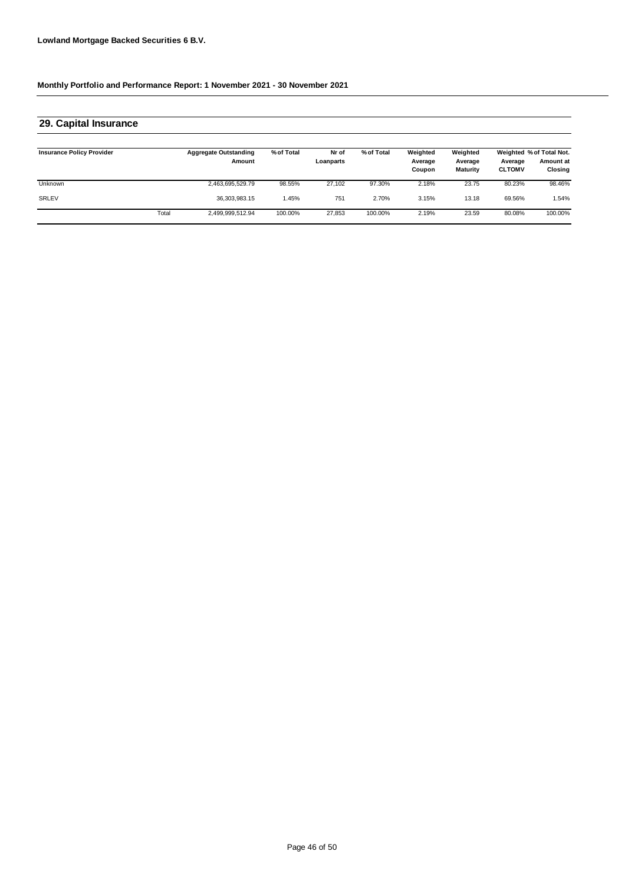### **29. Capital Insurance**

| <b>Insurance Policy Provider</b> |       | <b>Aggregate Outstanding</b><br>Amount | % of Total | Nr of<br>Loanparts | % of Total | Weighted<br>Average<br>Coupon | Weighted<br>Average<br><b>Maturity</b> | Average<br><b>CLTOMV</b> | Weighted % of Total Not.<br>Amount at<br>Closing |
|----------------------------------|-------|----------------------------------------|------------|--------------------|------------|-------------------------------|----------------------------------------|--------------------------|--------------------------------------------------|
| <b>Unknown</b>                   |       | 2,463,695,529.79                       | 98.55%     | 27.102             | 97.30%     | 2.18%                         | 23.75                                  | 80.23%                   | 98.46%                                           |
| <b>SRLEV</b>                     |       | 36, 303, 983. 15                       | .45%       | 751                | 2.70%      | 3.15%                         | 13.18                                  | 69.56%                   | .54%                                             |
|                                  | Total | 2,499,999,512.94                       | 100.00%    | 27,853             | 100.00%    | 2.19%                         | 23.59                                  | 80.08%                   | 100.00%                                          |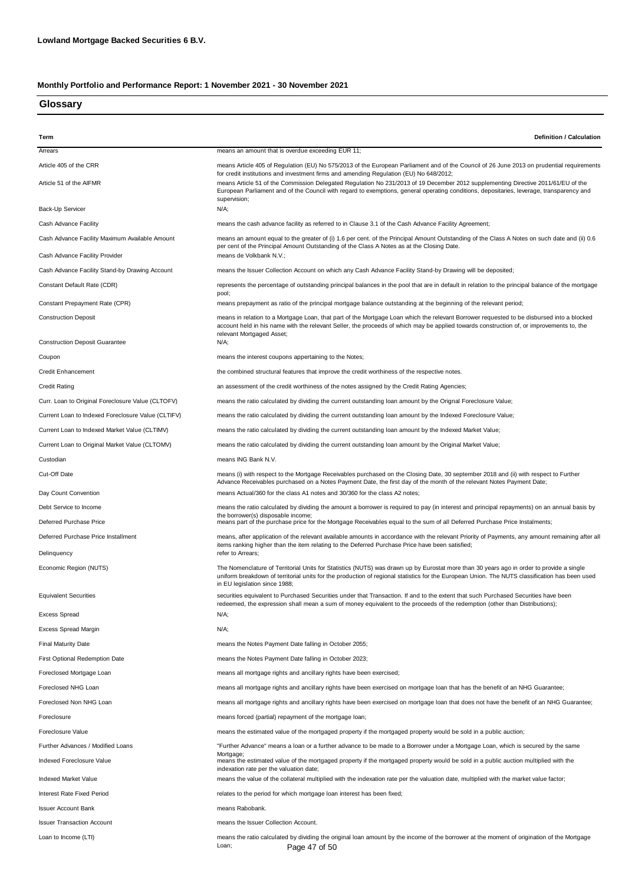### **Glossary**

| Term                                               | Definition / Calculation                                                                                                                                                                                                                                                                                                                                                                |
|----------------------------------------------------|-----------------------------------------------------------------------------------------------------------------------------------------------------------------------------------------------------------------------------------------------------------------------------------------------------------------------------------------------------------------------------------------|
| Arrears                                            | means an amount that is overdue exceeding EUR 11;                                                                                                                                                                                                                                                                                                                                       |
| Article 405 of the CRR                             | means Article 405 of Regulation (EU) No 575/2013 of the European Parliament and of the Council of 26 June 2013 on prudential requirements                                                                                                                                                                                                                                               |
| Article 51 of the AIFMR                            | for credit institutions and investment firms and amending Regulation (EU) No 648/2012;<br>means Article 51 of the Commission Delegated Regulation No 231/2013 of 19 December 2012 supplementing Directive 2011/61/EU of the<br>European Parliament and of the Council with regard to exemptions, general operating conditions, depositaries, leverage, transparency and<br>supervision; |
| Back-Up Servicer                                   | N/A;                                                                                                                                                                                                                                                                                                                                                                                    |
| Cash Advance Facility                              | means the cash advance facility as referred to in Clause 3.1 of the Cash Advance Facility Agreement;                                                                                                                                                                                                                                                                                    |
| Cash Advance Facility Maximum Available Amount     | means an amount equal to the greater of (i) 1.6 per cent. of the Principal Amount Outstanding of the Class A Notes on such date and (ii) 0.6<br>per cent of the Principal Amount Outstanding of the Class A Notes as at the Closing Date.                                                                                                                                               |
| Cash Advance Facility Provider                     | means de Volkbank N.V.;                                                                                                                                                                                                                                                                                                                                                                 |
| Cash Advance Facility Stand-by Drawing Account     | means the Issuer Collection Account on which any Cash Advance Facility Stand-by Drawing will be deposited;                                                                                                                                                                                                                                                                              |
| Constant Default Rate (CDR)                        | represents the percentage of outstanding principal balances in the pool that are in default in relation to the principal balance of the mortgage<br>pool;                                                                                                                                                                                                                               |
| Constant Prepayment Rate (CPR)                     | means prepayment as ratio of the principal mortgage balance outstanding at the beginning of the relevant period;                                                                                                                                                                                                                                                                        |
| <b>Construction Deposit</b>                        | means in relation to a Mortgage Loan, that part of the Mortgage Loan which the relevant Borrower requested to be disbursed into a blocked<br>account held in his name with the relevant Seller, the proceeds of which may be applied towards construction of, or improvements to, the<br>relevant Mortgaged Asset;                                                                      |
| <b>Construction Deposit Guarantee</b>              | N/A;                                                                                                                                                                                                                                                                                                                                                                                    |
| Coupon                                             | means the interest coupons appertaining to the Notes;                                                                                                                                                                                                                                                                                                                                   |
| <b>Credit Enhancement</b>                          | the combined structural features that improve the credit worthiness of the respective notes.                                                                                                                                                                                                                                                                                            |
| <b>Credit Rating</b>                               | an assessment of the credit worthiness of the notes assigned by the Credit Rating Agencies;                                                                                                                                                                                                                                                                                             |
| Curr. Loan to Original Foreclosure Value (CLTOFV)  | means the ratio calculated by dividing the current outstanding loan amount by the Orignal Foreclosure Value;                                                                                                                                                                                                                                                                            |
| Current Loan to Indexed Foreclosure Value (CLTIFV) | means the ratio calculated by dividing the current outstanding loan amount by the Indexed Foreclosure Value;                                                                                                                                                                                                                                                                            |
| Current Loan to Indexed Market Value (CLTIMV)      | means the ratio calculated by dividing the current outstanding loan amount by the Indexed Market Value;                                                                                                                                                                                                                                                                                 |
| Current Loan to Original Market Value (CLTOMV)     | means the ratio calculated by dividing the current outstanding loan amount by the Original Market Value;                                                                                                                                                                                                                                                                                |
| Custodian                                          | means ING Bank N.V.                                                                                                                                                                                                                                                                                                                                                                     |
| Cut-Off Date                                       | means (i) with respect to the Mortgage Receivables purchased on the Closing Date, 30 september 2018 and (ii) with respect to Further<br>Advance Receivables purchased on a Notes Payment Date, the first day of the month of the relevant Notes Payment Date;                                                                                                                           |
| Day Count Convention                               | means Actual/360 for the class A1 notes and 30/360 for the class A2 notes;                                                                                                                                                                                                                                                                                                              |
| Debt Service to Income                             | means the ratio calculated by dividing the amount a borrower is required to pay (in interest and principal repayments) on an annual basis by<br>the borrower(s) disposable income;                                                                                                                                                                                                      |
| Deferred Purchase Price                            | means part of the purchase price for the Mortgage Receivables equal to the sum of all Deferred Purchase Price Instalments;                                                                                                                                                                                                                                                              |
| Deferred Purchase Price Installment                | means, after application of the relevant available amounts in accordance with the relevant Priority of Payments, any amount remaining after all<br>items ranking higher than the item relating to the Deferred Purchase Price have been satisfied;                                                                                                                                      |
| Delinquency                                        | refer to Arrears;                                                                                                                                                                                                                                                                                                                                                                       |
| Economic Region (NUTS)                             | The Nomenclature of Territorial Units for Statistics (NUTS) was drawn up by Eurostat more than 30 years ago in order to provide a single<br>uniform breakdown of territorial units for the production of regional statistics for the European Union. The NUTS classification has been used<br>in EU legislation since 1988;                                                             |
| <b>Equivalent Securities</b>                       | securities equivalent to Purchased Securities under that Transaction. If and to the extent that such Purchased Securities have been<br>redeemed, the expression shall mean a sum of money equivalent to the proceeds of the redemption (other than Distributions);                                                                                                                      |
| Excess Spread                                      | N/A;                                                                                                                                                                                                                                                                                                                                                                                    |
| Excess Spread Margin                               | N/A;                                                                                                                                                                                                                                                                                                                                                                                    |
| <b>Final Maturity Date</b>                         | means the Notes Payment Date falling in October 2055;                                                                                                                                                                                                                                                                                                                                   |
| <b>First Optional Redemption Date</b>              | means the Notes Payment Date falling in October 2023;                                                                                                                                                                                                                                                                                                                                   |
| Foreclosed Mortgage Loan                           | means all mortgage rights and ancillary rights have been exercised;                                                                                                                                                                                                                                                                                                                     |
| Foreclosed NHG Loan                                | means all mortgage rights and ancillary rights have been exercised on mortgage loan that has the benefit of an NHG Guarantee;                                                                                                                                                                                                                                                           |
| Foreclosed Non NHG Loan                            | means all mortgage rights and ancillary rights have been exercised on mortgage loan that does not have the benefit of an NHG Guarantee;                                                                                                                                                                                                                                                 |
| Foreclosure                                        | means forced (partial) repayment of the mortgage loan;                                                                                                                                                                                                                                                                                                                                  |
| Foreclosure Value                                  | means the estimated value of the mortgaged property if the mortgaged property would be sold in a public auction;                                                                                                                                                                                                                                                                        |
| Further Advances / Modified Loans                  | "Further Advance" means a loan or a further advance to be made to a Borrower under a Mortgage Loan, which is secured by the same<br>Mortgage;                                                                                                                                                                                                                                           |
| Indexed Foreclosure Value                          | means the estimated value of the mortgaged property if the mortgaged property would be sold in a public auction multiplied with the<br>indexation rate per the valuation date;                                                                                                                                                                                                          |
| Indexed Market Value                               | means the value of the collateral multiplied with the indexation rate per the valuation date, multiplied with the market value factor;                                                                                                                                                                                                                                                  |
| <b>Interest Rate Fixed Period</b>                  | relates to the period for which mortgage loan interest has been fixed;                                                                                                                                                                                                                                                                                                                  |
| <b>Issuer Account Bank</b>                         | means Rabobank.                                                                                                                                                                                                                                                                                                                                                                         |
| <b>Issuer Transaction Account</b>                  | means the Issuer Collection Account.                                                                                                                                                                                                                                                                                                                                                    |
| Loan to Income (LTI)                               | means the ratio calculated by dividing the original loan amount by the income of the borrower at the moment of origination of the Mortgage<br>Loan:<br>Page 47 of 50                                                                                                                                                                                                                    |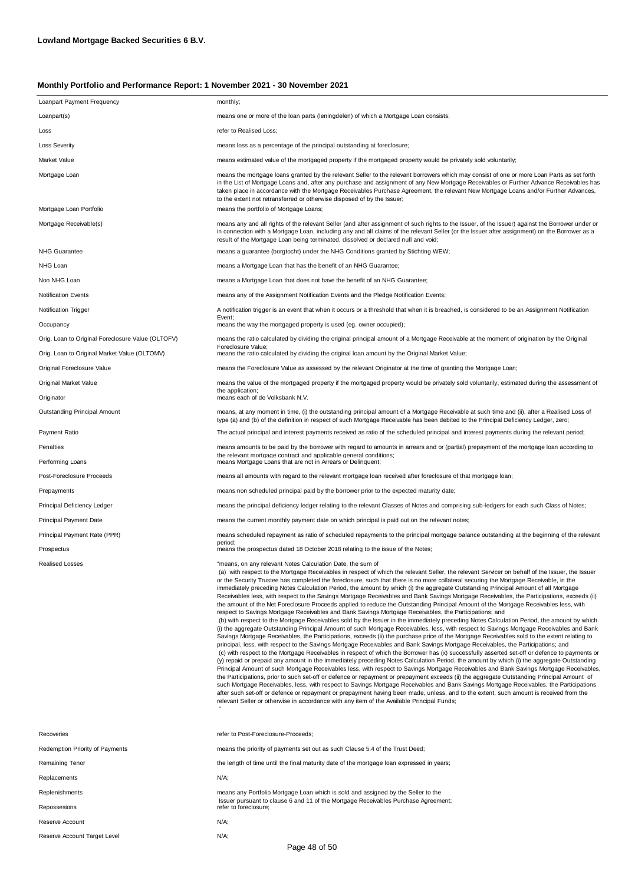| Loanpart Payment Frequency                        | monthly;                                                                                                                                                                                                                                                                                                                                                                                                                                                                                                                                                                                                                                                                                                                                                                                                                                                                                                                                                                                                                                                                                                                                                                                                                                                                                                                                                                                                                                                                                                                                                                                                                                                                                                                                                                                                                                                                                                                                                                                                                                                                                                                                                                                                                                                                                                                                                                                                                                             |
|---------------------------------------------------|------------------------------------------------------------------------------------------------------------------------------------------------------------------------------------------------------------------------------------------------------------------------------------------------------------------------------------------------------------------------------------------------------------------------------------------------------------------------------------------------------------------------------------------------------------------------------------------------------------------------------------------------------------------------------------------------------------------------------------------------------------------------------------------------------------------------------------------------------------------------------------------------------------------------------------------------------------------------------------------------------------------------------------------------------------------------------------------------------------------------------------------------------------------------------------------------------------------------------------------------------------------------------------------------------------------------------------------------------------------------------------------------------------------------------------------------------------------------------------------------------------------------------------------------------------------------------------------------------------------------------------------------------------------------------------------------------------------------------------------------------------------------------------------------------------------------------------------------------------------------------------------------------------------------------------------------------------------------------------------------------------------------------------------------------------------------------------------------------------------------------------------------------------------------------------------------------------------------------------------------------------------------------------------------------------------------------------------------------------------------------------------------------------------------------------------------------|
| Loanpart(s)                                       | means one or more of the loan parts (leningdelen) of which a Mortgage Loan consists;                                                                                                                                                                                                                                                                                                                                                                                                                                                                                                                                                                                                                                                                                                                                                                                                                                                                                                                                                                                                                                                                                                                                                                                                                                                                                                                                                                                                                                                                                                                                                                                                                                                                                                                                                                                                                                                                                                                                                                                                                                                                                                                                                                                                                                                                                                                                                                 |
| Loss                                              | refer to Realised Loss;                                                                                                                                                                                                                                                                                                                                                                                                                                                                                                                                                                                                                                                                                                                                                                                                                                                                                                                                                                                                                                                                                                                                                                                                                                                                                                                                                                                                                                                                                                                                                                                                                                                                                                                                                                                                                                                                                                                                                                                                                                                                                                                                                                                                                                                                                                                                                                                                                              |
| <b>Loss Severity</b>                              | means loss as a percentage of the principal outstanding at foreclosure;                                                                                                                                                                                                                                                                                                                                                                                                                                                                                                                                                                                                                                                                                                                                                                                                                                                                                                                                                                                                                                                                                                                                                                                                                                                                                                                                                                                                                                                                                                                                                                                                                                                                                                                                                                                                                                                                                                                                                                                                                                                                                                                                                                                                                                                                                                                                                                              |
| Market Value                                      | means estimated value of the mortgaged property if the mortgaged property would be privately sold voluntarily;                                                                                                                                                                                                                                                                                                                                                                                                                                                                                                                                                                                                                                                                                                                                                                                                                                                                                                                                                                                                                                                                                                                                                                                                                                                                                                                                                                                                                                                                                                                                                                                                                                                                                                                                                                                                                                                                                                                                                                                                                                                                                                                                                                                                                                                                                                                                       |
| Mortgage Loan                                     | means the mortgage loans granted by the relevant Seller to the relevant borrowers which may consist of one or more Loan Parts as set forth<br>in the List of Mortgage Loans and, after any purchase and assignment of any New Mortgage Receivables or Further Advance Receivables has<br>taken place in accordance with the Mortgage Receivables Purchase Agreement, the relevant New Mortgage Loans and/or Further Advances,<br>to the extent not retransferred or otherwise disposed of by the Issuer;                                                                                                                                                                                                                                                                                                                                                                                                                                                                                                                                                                                                                                                                                                                                                                                                                                                                                                                                                                                                                                                                                                                                                                                                                                                                                                                                                                                                                                                                                                                                                                                                                                                                                                                                                                                                                                                                                                                                             |
| Mortgage Loan Portfolio                           | means the portfolio of Mortgage Loans;                                                                                                                                                                                                                                                                                                                                                                                                                                                                                                                                                                                                                                                                                                                                                                                                                                                                                                                                                                                                                                                                                                                                                                                                                                                                                                                                                                                                                                                                                                                                                                                                                                                                                                                                                                                                                                                                                                                                                                                                                                                                                                                                                                                                                                                                                                                                                                                                               |
| Mortgage Receivable(s)                            | means any and all rights of the relevant Seller (and after assignment of such rights to the Issuer, of the Issuer) against the Borrower under or<br>in connection with a Mortgage Loan, including any and all claims of the relevant Seller (or the Issuer after assignment) on the Borrower as a<br>result of the Mortgage Loan being terminated, dissolved or declared null and void;                                                                                                                                                                                                                                                                                                                                                                                                                                                                                                                                                                                                                                                                                                                                                                                                                                                                                                                                                                                                                                                                                                                                                                                                                                                                                                                                                                                                                                                                                                                                                                                                                                                                                                                                                                                                                                                                                                                                                                                                                                                              |
| <b>NHG Guarantee</b>                              | means a guarantee (borgtocht) under the NHG Conditions granted by Stichting WEW;                                                                                                                                                                                                                                                                                                                                                                                                                                                                                                                                                                                                                                                                                                                                                                                                                                                                                                                                                                                                                                                                                                                                                                                                                                                                                                                                                                                                                                                                                                                                                                                                                                                                                                                                                                                                                                                                                                                                                                                                                                                                                                                                                                                                                                                                                                                                                                     |
| NHG Loan                                          | means a Mortgage Loan that has the benefit of an NHG Guarantee;                                                                                                                                                                                                                                                                                                                                                                                                                                                                                                                                                                                                                                                                                                                                                                                                                                                                                                                                                                                                                                                                                                                                                                                                                                                                                                                                                                                                                                                                                                                                                                                                                                                                                                                                                                                                                                                                                                                                                                                                                                                                                                                                                                                                                                                                                                                                                                                      |
| Non NHG Loan                                      | means a Mortgage Loan that does not have the benefit of an NHG Guarantee;                                                                                                                                                                                                                                                                                                                                                                                                                                                                                                                                                                                                                                                                                                                                                                                                                                                                                                                                                                                                                                                                                                                                                                                                                                                                                                                                                                                                                                                                                                                                                                                                                                                                                                                                                                                                                                                                                                                                                                                                                                                                                                                                                                                                                                                                                                                                                                            |
| <b>Notification Events</b>                        | means any of the Assignment Notification Events and the Pledge Notification Events;                                                                                                                                                                                                                                                                                                                                                                                                                                                                                                                                                                                                                                                                                                                                                                                                                                                                                                                                                                                                                                                                                                                                                                                                                                                                                                                                                                                                                                                                                                                                                                                                                                                                                                                                                                                                                                                                                                                                                                                                                                                                                                                                                                                                                                                                                                                                                                  |
| <b>Notification Trigger</b><br>Occupancy          | A notification trigger is an event that when it occurs or a threshold that when it is breached, is considered to be an Assignment Notification<br>Event;<br>means the way the mortgaged property is used (eg. owner occupied);                                                                                                                                                                                                                                                                                                                                                                                                                                                                                                                                                                                                                                                                                                                                                                                                                                                                                                                                                                                                                                                                                                                                                                                                                                                                                                                                                                                                                                                                                                                                                                                                                                                                                                                                                                                                                                                                                                                                                                                                                                                                                                                                                                                                                       |
| Orig. Loan to Original Foreclosure Value (OLTOFV) | means the ratio calculated by dividing the original principal amount of a Mortgage Receivable at the moment of origination by the Original                                                                                                                                                                                                                                                                                                                                                                                                                                                                                                                                                                                                                                                                                                                                                                                                                                                                                                                                                                                                                                                                                                                                                                                                                                                                                                                                                                                                                                                                                                                                                                                                                                                                                                                                                                                                                                                                                                                                                                                                                                                                                                                                                                                                                                                                                                           |
| Orig. Loan to Original Market Value (OLTOMV)      | Foreclosure Value;<br>means the ratio calculated by dividing the original loan amount by the Original Market Value;                                                                                                                                                                                                                                                                                                                                                                                                                                                                                                                                                                                                                                                                                                                                                                                                                                                                                                                                                                                                                                                                                                                                                                                                                                                                                                                                                                                                                                                                                                                                                                                                                                                                                                                                                                                                                                                                                                                                                                                                                                                                                                                                                                                                                                                                                                                                  |
| Original Foreclosure Value                        | means the Foreclosure Value as assessed by the relevant Originator at the time of granting the Mortgage Loan;                                                                                                                                                                                                                                                                                                                                                                                                                                                                                                                                                                                                                                                                                                                                                                                                                                                                                                                                                                                                                                                                                                                                                                                                                                                                                                                                                                                                                                                                                                                                                                                                                                                                                                                                                                                                                                                                                                                                                                                                                                                                                                                                                                                                                                                                                                                                        |
| Original Market Value                             |                                                                                                                                                                                                                                                                                                                                                                                                                                                                                                                                                                                                                                                                                                                                                                                                                                                                                                                                                                                                                                                                                                                                                                                                                                                                                                                                                                                                                                                                                                                                                                                                                                                                                                                                                                                                                                                                                                                                                                                                                                                                                                                                                                                                                                                                                                                                                                                                                                                      |
|                                                   | means the value of the mortgaged property if the mortgaged property would be privately sold voluntarily, estimated during the assessment of<br>the application:                                                                                                                                                                                                                                                                                                                                                                                                                                                                                                                                                                                                                                                                                                                                                                                                                                                                                                                                                                                                                                                                                                                                                                                                                                                                                                                                                                                                                                                                                                                                                                                                                                                                                                                                                                                                                                                                                                                                                                                                                                                                                                                                                                                                                                                                                      |
| Originator<br><b>Outstanding Principal Amount</b> | means each of de Volksbank N.V.<br>means, at any moment in time, (i) the outstanding principal amount of a Mortgage Receivable at such time and (ii), after a Realised Loss of<br>type (a) and (b) of the definition in respect of such Mortgage Receivable has been debited to the Principal Deficiency Ledger, zero;                                                                                                                                                                                                                                                                                                                                                                                                                                                                                                                                                                                                                                                                                                                                                                                                                                                                                                                                                                                                                                                                                                                                                                                                                                                                                                                                                                                                                                                                                                                                                                                                                                                                                                                                                                                                                                                                                                                                                                                                                                                                                                                               |
| Payment Ratio                                     | The actual principal and interest payments received as ratio of the scheduled principal and interest payments during the relevant period;                                                                                                                                                                                                                                                                                                                                                                                                                                                                                                                                                                                                                                                                                                                                                                                                                                                                                                                                                                                                                                                                                                                                                                                                                                                                                                                                                                                                                                                                                                                                                                                                                                                                                                                                                                                                                                                                                                                                                                                                                                                                                                                                                                                                                                                                                                            |
| Penalties                                         | means amounts to be paid by the borrower with regard to amounts in arrears and or (partial) prepayment of the mortgage loan according to                                                                                                                                                                                                                                                                                                                                                                                                                                                                                                                                                                                                                                                                                                                                                                                                                                                                                                                                                                                                                                                                                                                                                                                                                                                                                                                                                                                                                                                                                                                                                                                                                                                                                                                                                                                                                                                                                                                                                                                                                                                                                                                                                                                                                                                                                                             |
| Performing Loans                                  | the relevant mortgage contract and applicable general conditions;<br>means Mortgage Loans that are not in Arrears or Delinquent;                                                                                                                                                                                                                                                                                                                                                                                                                                                                                                                                                                                                                                                                                                                                                                                                                                                                                                                                                                                                                                                                                                                                                                                                                                                                                                                                                                                                                                                                                                                                                                                                                                                                                                                                                                                                                                                                                                                                                                                                                                                                                                                                                                                                                                                                                                                     |
| Post-Foreclosure Proceeds                         | means all amounts with regard to the relevant mortgage loan received after foreclosure of that mortgage loan;                                                                                                                                                                                                                                                                                                                                                                                                                                                                                                                                                                                                                                                                                                                                                                                                                                                                                                                                                                                                                                                                                                                                                                                                                                                                                                                                                                                                                                                                                                                                                                                                                                                                                                                                                                                                                                                                                                                                                                                                                                                                                                                                                                                                                                                                                                                                        |
| Prepayments                                       | means non scheduled principal paid by the borrower prior to the expected maturity date;                                                                                                                                                                                                                                                                                                                                                                                                                                                                                                                                                                                                                                                                                                                                                                                                                                                                                                                                                                                                                                                                                                                                                                                                                                                                                                                                                                                                                                                                                                                                                                                                                                                                                                                                                                                                                                                                                                                                                                                                                                                                                                                                                                                                                                                                                                                                                              |
| Principal Deficiency Ledger                       | means the principal deficiency ledger relating to the relevant Classes of Notes and comprising sub-ledgers for each such Class of Notes;                                                                                                                                                                                                                                                                                                                                                                                                                                                                                                                                                                                                                                                                                                                                                                                                                                                                                                                                                                                                                                                                                                                                                                                                                                                                                                                                                                                                                                                                                                                                                                                                                                                                                                                                                                                                                                                                                                                                                                                                                                                                                                                                                                                                                                                                                                             |
| Principal Payment Date                            | means the current monthly payment date on which principal is paid out on the relevant notes;                                                                                                                                                                                                                                                                                                                                                                                                                                                                                                                                                                                                                                                                                                                                                                                                                                                                                                                                                                                                                                                                                                                                                                                                                                                                                                                                                                                                                                                                                                                                                                                                                                                                                                                                                                                                                                                                                                                                                                                                                                                                                                                                                                                                                                                                                                                                                         |
| Principal Payment Rate (PPR)                      | means scheduled repayment as ratio of scheduled repayments to the principal mortgage balance outstanding at the beginning of the relevant                                                                                                                                                                                                                                                                                                                                                                                                                                                                                                                                                                                                                                                                                                                                                                                                                                                                                                                                                                                                                                                                                                                                                                                                                                                                                                                                                                                                                                                                                                                                                                                                                                                                                                                                                                                                                                                                                                                                                                                                                                                                                                                                                                                                                                                                                                            |
| Prospectus                                        | period;<br>means the prospectus dated 18 October 2018 relating to the issue of the Notes;                                                                                                                                                                                                                                                                                                                                                                                                                                                                                                                                                                                                                                                                                                                                                                                                                                                                                                                                                                                                                                                                                                                                                                                                                                                                                                                                                                                                                                                                                                                                                                                                                                                                                                                                                                                                                                                                                                                                                                                                                                                                                                                                                                                                                                                                                                                                                            |
| <b>Realised Losses</b>                            | "means, on any relevant Notes Calculation Date, the sum of<br>(a) with respect to the Mortgage Receivables in respect of which the relevant Seller, the relevant Servicer on behalf of the Issuer, the Issuer<br>or the Security Trustee has completed the foreclosure, such that there is no more collateral securing the Mortgage Receivable, in the<br>immediately preceding Notes Calculation Period, the amount by which (i) the aggregate Outstanding Principal Amount of all Mortgage<br>Receivables less, with respect to the Savings Mortgage Receivables and Bank Savings Mortgage Receivables, the Participations, exceeds (ii)<br>the amount of the Net Foreclosure Proceeds applied to reduce the Outstanding Principal Amount of the Mortgage Receivables less, with<br>respect to Savings Mortgage Receivables and Bank Savings Mortgage Receivables, the Participations; and<br>(b) with respect to the Mortgage Receivables sold by the Issuer in the immediately preceding Notes Calculation Period, the amount by which<br>(i) the aggregate Outstanding Principal Amount of such Mortgage Receivables, less, with respect to Savings Mortgage Receivables and Bank<br>Savings Mortgage Receivables, the Participations, exceeds (ii) the purchase price of the Mortgage Receivables sold to the extent relating to<br>principal, less, with respect to the Savings Mortgage Receivables and Bank Savings Mortgage Receivables, the Participations; and<br>(c) with respect to the Mortgage Receivables in respect of which the Borrower has (x) successfully asserted set-off or defence to payments or<br>(y) repaid or prepaid any amount in the immediately preceding Notes Calculation Period, the amount by which (i) the aggregate Outstanding<br>Principal Amount of such Mortgage Receivables less, with respect to Savings Mortgage Receivables and Bank Savings Mortgage Receivables,<br>the Participations, prior to such set-off or defence or repayment or prepayment exceeds (ii) the aggregate Outstanding Principal Amount of<br>such Mortgage Receivables, less, with respect to Savings Mortgage Receivables and Bank Savings Mortgage Receivables, the Participations<br>after such set-off or defence or repayment or prepayment having been made, unless, and to the extent, such amount is received from the<br>relevant Seller or otherwise in accordance with any item of the Available Principal Funds; |
| Recoveries                                        | refer to Post-Foreclosure-Proceeds;                                                                                                                                                                                                                                                                                                                                                                                                                                                                                                                                                                                                                                                                                                                                                                                                                                                                                                                                                                                                                                                                                                                                                                                                                                                                                                                                                                                                                                                                                                                                                                                                                                                                                                                                                                                                                                                                                                                                                                                                                                                                                                                                                                                                                                                                                                                                                                                                                  |
| Redemption Priority of Payments                   | means the priority of payments set out as such Clause 5.4 of the Trust Deed;                                                                                                                                                                                                                                                                                                                                                                                                                                                                                                                                                                                                                                                                                                                                                                                                                                                                                                                                                                                                                                                                                                                                                                                                                                                                                                                                                                                                                                                                                                                                                                                                                                                                                                                                                                                                                                                                                                                                                                                                                                                                                                                                                                                                                                                                                                                                                                         |
| Remaining Tenor                                   | the length of time until the final maturity date of the mortgage loan expressed in years;                                                                                                                                                                                                                                                                                                                                                                                                                                                                                                                                                                                                                                                                                                                                                                                                                                                                                                                                                                                                                                                                                                                                                                                                                                                                                                                                                                                                                                                                                                                                                                                                                                                                                                                                                                                                                                                                                                                                                                                                                                                                                                                                                                                                                                                                                                                                                            |
| Replacements                                      | N/A;                                                                                                                                                                                                                                                                                                                                                                                                                                                                                                                                                                                                                                                                                                                                                                                                                                                                                                                                                                                                                                                                                                                                                                                                                                                                                                                                                                                                                                                                                                                                                                                                                                                                                                                                                                                                                                                                                                                                                                                                                                                                                                                                                                                                                                                                                                                                                                                                                                                 |
| Replenishments                                    | means any Portfolio Mortgage Loan which is sold and assigned by the Seller to the                                                                                                                                                                                                                                                                                                                                                                                                                                                                                                                                                                                                                                                                                                                                                                                                                                                                                                                                                                                                                                                                                                                                                                                                                                                                                                                                                                                                                                                                                                                                                                                                                                                                                                                                                                                                                                                                                                                                                                                                                                                                                                                                                                                                                                                                                                                                                                    |
| Repossesions                                      | Issuer pursuant to clause 6 and 11 of the Mortgage Receivables Purchase Agreement;<br>refer to foreclosure;                                                                                                                                                                                                                                                                                                                                                                                                                                                                                                                                                                                                                                                                                                                                                                                                                                                                                                                                                                                                                                                                                                                                                                                                                                                                                                                                                                                                                                                                                                                                                                                                                                                                                                                                                                                                                                                                                                                                                                                                                                                                                                                                                                                                                                                                                                                                          |
| Reserve Account                                   | N/A;                                                                                                                                                                                                                                                                                                                                                                                                                                                                                                                                                                                                                                                                                                                                                                                                                                                                                                                                                                                                                                                                                                                                                                                                                                                                                                                                                                                                                                                                                                                                                                                                                                                                                                                                                                                                                                                                                                                                                                                                                                                                                                                                                                                                                                                                                                                                                                                                                                                 |
| Reserve Account Target Level                      | N/A;                                                                                                                                                                                                                                                                                                                                                                                                                                                                                                                                                                                                                                                                                                                                                                                                                                                                                                                                                                                                                                                                                                                                                                                                                                                                                                                                                                                                                                                                                                                                                                                                                                                                                                                                                                                                                                                                                                                                                                                                                                                                                                                                                                                                                                                                                                                                                                                                                                                 |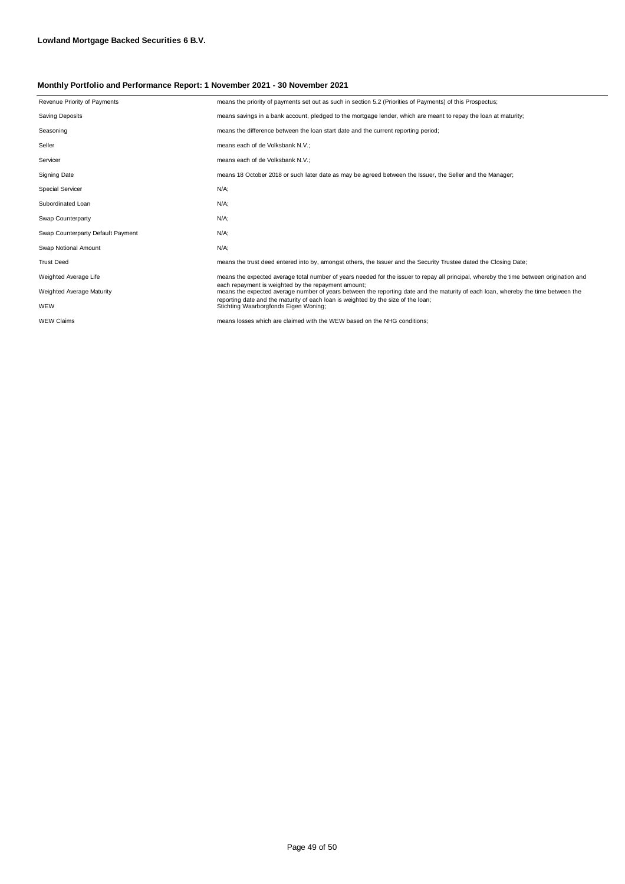| Revenue Priority of Payments      | means the priority of payments set out as such in section 5.2 (Priorities of Payments) of this Prospectus;                                                                               |
|-----------------------------------|------------------------------------------------------------------------------------------------------------------------------------------------------------------------------------------|
| <b>Saving Deposits</b>            | means savings in a bank account, pledged to the mortgage lender, which are meant to repay the loan at maturity;                                                                          |
| Seasoning                         | means the difference between the loan start date and the current reporting period;                                                                                                       |
| Seller                            | means each of de Volksbank N.V.;                                                                                                                                                         |
| Servicer                          | means each of de Volksbank N.V.;                                                                                                                                                         |
| Signing Date                      | means 18 October 2018 or such later date as may be agreed between the Issuer, the Seller and the Manager;                                                                                |
| <b>Special Servicer</b>           | $N/A$ ;                                                                                                                                                                                  |
| Subordinated Loan                 | $N/A$ ;                                                                                                                                                                                  |
| Swap Counterparty                 | $N/A$ :                                                                                                                                                                                  |
| Swap Counterparty Default Payment | $N/A$ ;                                                                                                                                                                                  |
| Swap Notional Amount              | $N/A$ :                                                                                                                                                                                  |
| <b>Trust Deed</b>                 | means the trust deed entered into by, amongst others, the Issuer and the Security Trustee dated the Closing Date;                                                                        |
| Weighted Average Life             | means the expected average total number of years needed for the issuer to repay all principal, whereby the time between origination and                                                  |
| Weighted Average Maturity         | each repayment is weighted by the repayment amount:<br>means the expected average number of years between the reporting date and the maturity of each loan, whereby the time between the |
| WEW                               | reporting date and the maturity of each loan is weighted by the size of the loan;<br>Stichting Waarborgfonds Eigen Woning;                                                               |
| <b>WEW Claims</b>                 | means losses which are claimed with the WEW based on the NHG conditions:                                                                                                                 |